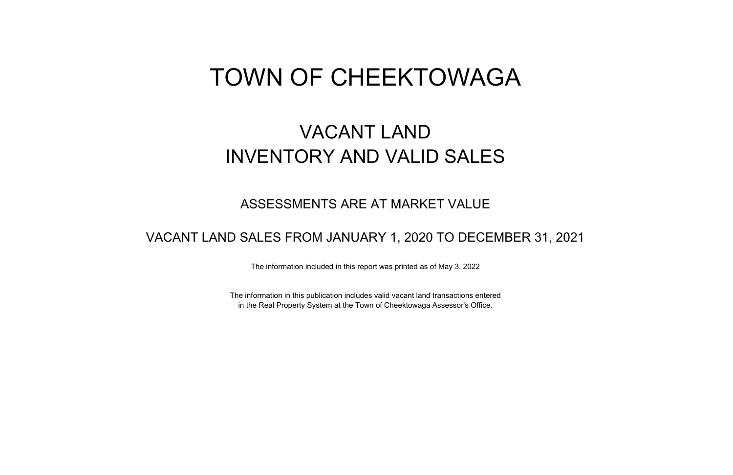# TOWN OF CHEEKTOWAGA

## VACANT LAND INVENTORY AND VALID SALES

#### ASSESSMENTS ARE AT MARKET VALUE

#### VACANT LAND SALES FROM JANUARY 1, 2020 TO DECEMBER 31, 2021

The information included in this report was printed as of May 3, 2022

The information in this publication includes valid vacant land transactions entered in the Real Property System at the Town of Cheektowaga Assessor's Office.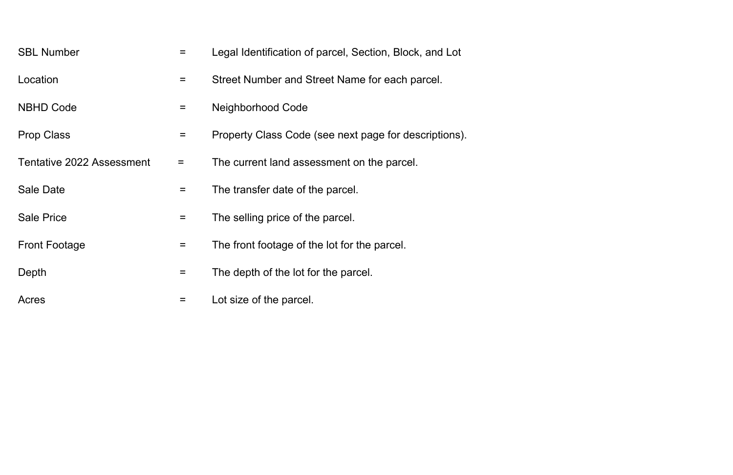| <b>SBL Number</b>                | $=$      | Legal Identification of parcel, Section, Block, and Lot |
|----------------------------------|----------|---------------------------------------------------------|
| Location                         | $\equiv$ | Street Number and Street Name for each parcel.          |
| <b>NBHD Code</b>                 | $\equiv$ | <b>Neighborhood Code</b>                                |
| <b>Prop Class</b>                | $\equiv$ | Property Class Code (see next page for descriptions).   |
| <b>Tentative 2022 Assessment</b> | $\equiv$ | The current land assessment on the parcel.              |
| <b>Sale Date</b>                 | $=$      | The transfer date of the parcel.                        |
| <b>Sale Price</b>                | $=$      | The selling price of the parcel.                        |
| <b>Front Footage</b>             | $=$      | The front footage of the lot for the parcel.            |
| Depth                            | $\equiv$ | The depth of the lot for the parcel.                    |
| Acres                            | Ξ        | Lot size of the parcel.                                 |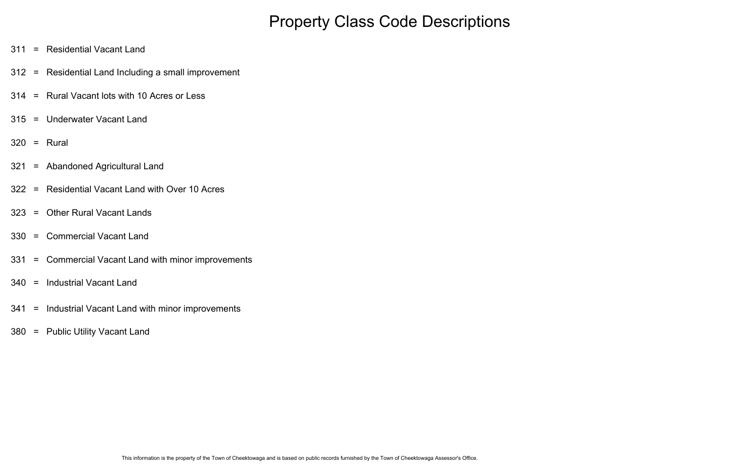### Property Class Code Descriptions

- 311 = Residential Vacant Land
- 312 = Residential Land Including a small improvement
- 314 = Rural Vacant lots with 10 Acres or Less
- 315 = Underwater Vacant Land
- 320 = Rural
- 321 = Abandoned Agricultural Land
- 322 = Residential Vacant Land with Over 10 Acres
- 323 = Other Rural Vacant Lands
- 330 = Commercial Vacant Land
- 331 = Commercial Vacant Land with minor improvements
- 340 = Industrial Vacant Land
- 341 = Industrial Vacant Land with minor improvements
- 380 = Public Utility Vacant Land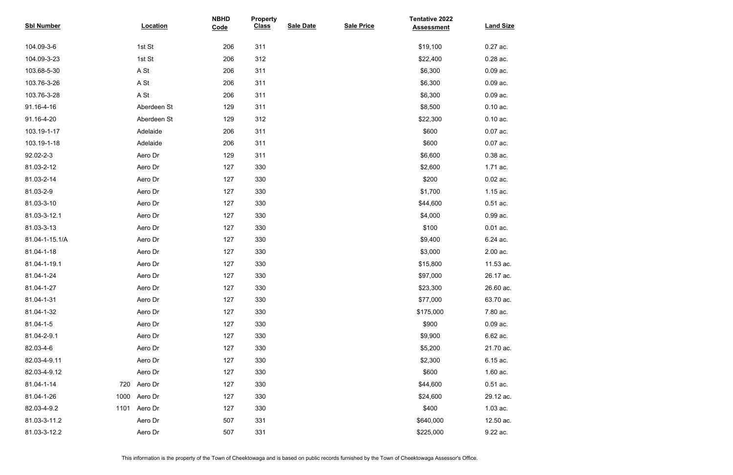| <b>Sbl Number</b> |      | <b>Location</b> | <b>NBHD</b><br>Code | <b>Property</b><br><b>Class</b> | <b>Sale Date</b> | <b>Sale Price</b> | <b>Tentative 2022</b><br><b>Assessment</b> | <b>Land Size</b> |
|-------------------|------|-----------------|---------------------|---------------------------------|------------------|-------------------|--------------------------------------------|------------------|
|                   |      |                 |                     |                                 |                  |                   |                                            |                  |
| 104.09-3-6        |      | 1st St          | 206                 | 311                             |                  |                   | \$19,100                                   | 0.27 ac.         |
| 104.09-3-23       |      | 1st St          | 206                 | 312                             |                  |                   | \$22,400                                   | 0.28 ac.         |
| 103.68-5-30       |      | A St            | 206                 | 311                             |                  |                   | \$6,300                                    | $0.09$ ac.       |
| 103.76-3-26       |      | A St            | 206                 | 311                             |                  |                   | \$6,300                                    | $0.09$ ac.       |
| 103.76-3-28       |      | A St            | 206                 | 311                             |                  |                   | \$6,300                                    | $0.09$ ac.       |
| 91.16-4-16        |      | Aberdeen St     | 129                 | 311                             |                  |                   | \$8,500                                    | $0.10$ ac.       |
| 91.16-4-20        |      | Aberdeen St     | 129                 | 312                             |                  |                   | \$22,300                                   | $0.10$ ac.       |
| 103.19-1-17       |      | Adelaide        | 206                 | 311                             |                  |                   | \$600                                      | 0.07 ac.         |
| 103.19-1-18       |      | Adelaide        | 206                 | 311                             |                  |                   | \$600                                      | $0.07$ ac.       |
| 92.02-2-3         |      | Aero Dr         | 129                 | 311                             |                  |                   | \$6,600                                    | 0.38 ac.         |
| 81.03-2-12        |      | Aero Dr         | 127                 | 330                             |                  |                   | \$2,600                                    | 1.71 ac.         |
| 81.03-2-14        |      | Aero Dr         | 127                 | 330                             |                  |                   | \$200                                      | $0.02$ ac.       |
| 81.03-2-9         |      | Aero Dr         | 127                 | 330                             |                  |                   | \$1,700                                    | 1.15 ac.         |
| 81.03-3-10        |      | Aero Dr         | 127                 | 330                             |                  |                   | \$44,600                                   | $0.51$ ac.       |
| 81.03-3-12.1      |      | Aero Dr         | 127                 | 330                             |                  |                   | \$4,000                                    | 0.99 ac.         |
| 81.03-3-13        |      | Aero Dr         | 127                 | 330                             |                  |                   | \$100                                      | $0.01$ ac.       |
| 81.04-1-15.1/A    |      | Aero Dr         | 127                 | 330                             |                  |                   | \$9,400                                    | 6.24 ac.         |
| 81.04-1-18        |      | Aero Dr         | 127                 | 330                             |                  |                   | \$3,000                                    | 2.00 ac.         |
| 81.04-1-19.1      |      | Aero Dr         | 127                 | 330                             |                  |                   | \$15,800                                   | 11.53 ac.        |
| 81.04-1-24        |      | Aero Dr         | 127                 | 330                             |                  |                   | \$97,000                                   | 26.17 ac.        |
| 81.04-1-27        |      | Aero Dr         | 127                 | 330                             |                  |                   | \$23,300                                   | 26.60 ac.        |
| 81.04-1-31        |      | Aero Dr         | 127                 | 330                             |                  |                   | \$77,000                                   | 63.70 ac.        |
| 81.04-1-32        |      | Aero Dr         | 127                 | 330                             |                  |                   | \$175,000                                  | 7.80 ac.         |
| 81.04-1-5         |      | Aero Dr         | 127                 | 330                             |                  |                   | \$900                                      | $0.09$ ac.       |
| 81.04-2-9.1       |      | Aero Dr         | 127                 | 330                             |                  |                   | \$9,900                                    | 6.62 ac.         |
| 82.03-4-6         |      | Aero Dr         | 127                 | 330                             |                  |                   | \$5,200                                    | 21.70 ac.        |
| 82.03-4-9.11      |      | Aero Dr         | 127                 | 330                             |                  |                   | \$2,300                                    | 6.15 ac.         |
| 82.03-4-9.12      |      | Aero Dr         | 127                 | 330                             |                  |                   | \$600                                      | 1.60 ac.         |
| 81.04-1-14        | 720  | Aero Dr         | 127                 | 330                             |                  |                   | \$44,600                                   | $0.51$ ac.       |
| 81.04-1-26        | 1000 | Aero Dr         | 127                 | 330                             |                  |                   | \$24,600                                   | 29.12 ac.        |
| 82.03-4-9.2       | 1101 | Aero Dr         | 127                 | 330                             |                  |                   | \$400                                      | $1.03$ ac.       |
| 81.03-3-11.2      |      | Aero Dr         | 507                 | 331                             |                  |                   | \$640,000                                  | 12.50 ac.        |
| 81.03-3-12.2      |      | Aero Dr         | 507                 | 331                             |                  |                   | \$225,000                                  | 9.22 ac.         |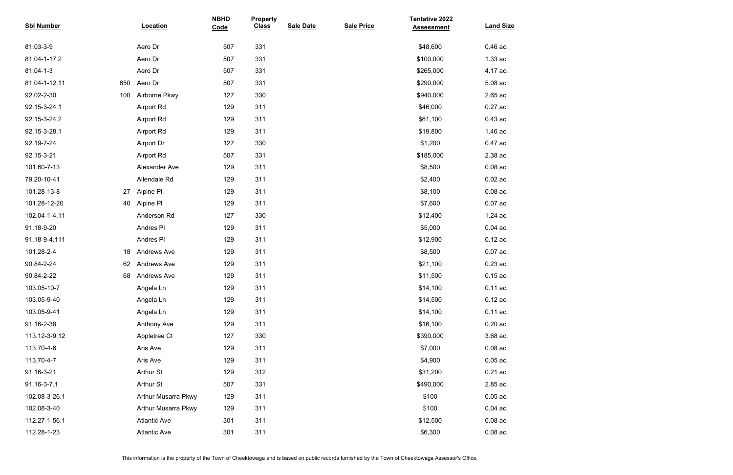| <b>Sbl Number</b> |     | <b>Location</b>     | <b>NBHD</b><br>Code | <b>Property</b><br><b>Class</b> | <b>Sale Date</b> | <b>Sale Price</b> | <b>Tentative 2022</b><br><b>Assessment</b> | <b>Land Size</b> |
|-------------------|-----|---------------------|---------------------|---------------------------------|------------------|-------------------|--------------------------------------------|------------------|
| 81.03-3-9         |     | Aero Dr             | 507                 | 331                             |                  |                   | \$48,600                                   | $0.46$ ac.       |
| 81.04-1-17.2      |     | Aero Dr             | 507                 | 331                             |                  |                   | \$100,000                                  | 1.33 ac.         |
| 81.04-1-3         |     | Aero Dr             | 507                 | 331                             |                  |                   | \$265,000                                  | 4.17 ac.         |
| 81.04-1-12.11     | 650 | Aero Dr             | 507                 | 331                             |                  |                   | \$290,000                                  | 5.08 ac.         |
| 92.02-2-30        | 100 | Airborne Pkwy       | 127                 | 330                             |                  |                   | \$940,000                                  | 2.65 ac.         |
| 92.15-3-24.1      |     | <b>Airport Rd</b>   | 129                 | 311                             |                  |                   | \$46,000                                   | 0.27 ac.         |
| 92.15-3-24.2      |     | <b>Airport Rd</b>   | 129                 | 311                             |                  |                   | \$61,100                                   | $0.43$ ac.       |
| 92.15-3-28.1      |     | <b>Airport Rd</b>   | 129                 | 311                             |                  |                   | \$19,800                                   | 1.46 ac.         |
| 92.19-7-24        |     | Airport Dr          | 127                 | 330                             |                  |                   | \$1,200                                    | 0.47 ac.         |
| 92.15-3-21        |     | <b>Airport Rd</b>   | 507                 | 331                             |                  |                   | \$185,000                                  | 2.38 ac.         |
| 101.60-7-13       |     | Alexander Ave       | 129                 | 311                             |                  |                   | \$8,500                                    | $0.08$ ac.       |
| 79.20-10-41       |     | Allendale Rd        | 129                 | 311                             |                  |                   | \$2,400                                    | $0.02$ ac.       |
| 101.28-13-8       | 27  | Alpine PI           | 129                 | 311                             |                  |                   | \$8,100                                    | $0.08$ ac.       |
| 101.28-12-20      | 40  | Alpine Pl           | 129                 | 311                             |                  |                   | \$7,600                                    | $0.07$ ac.       |
| 102.04-1-4.11     |     | Anderson Rd         | 127                 | 330                             |                  |                   | \$12,400                                   | 1.24 ac.         |
| 91.18-9-20        |     | Andres PI           | 129                 | 311                             |                  |                   | \$5,000                                    | $0.04$ ac.       |
| 91.18-9-4.111     |     | Andres PI           | 129                 | 311                             |                  |                   | \$12,900                                   | $0.12$ ac.       |
| 101.28-2-4        | 18  | <b>Andrews Ave</b>  | 129                 | 311                             |                  |                   | \$8,500                                    | $0.07$ ac.       |
| 90.84-2-24        | 62  | <b>Andrews Ave</b>  | 129                 | 311                             |                  |                   | \$21,100                                   | 0.23 ac.         |
| 90.84-2-22        | 68  | <b>Andrews Ave</b>  | 129                 | 311                             |                  |                   | \$11,500                                   | $0.15$ ac.       |
| 103.05-10-7       |     | Angela Ln           | 129                 | 311                             |                  |                   | \$14,100                                   | 0.11 ac.         |
| 103.05-9-40       |     | Angela Ln           | 129                 | 311                             |                  |                   | \$14,500                                   | $0.12$ ac.       |
| 103.05-9-41       |     | Angela Ln           | 129                 | 311                             |                  |                   | \$14,100                                   | $0.11$ ac.       |
| 91.16-2-38        |     | <b>Anthony Ave</b>  | 129                 | 311                             |                  |                   | \$16,100                                   | $0.20$ ac.       |
| 113.12-3-9.12     |     | Appletree Ct        | 127                 | 330                             |                  |                   | \$390,000                                  | 3.68 ac.         |
| 113.70-4-6        |     | Aris Ave            | 129                 | 311                             |                  |                   | \$7,000                                    | $0.08$ ac.       |
| 113.70-4-7        |     | Aris Ave            | 129                 | 311                             |                  |                   | \$4,900                                    | $0.05$ ac.       |
| 91.16-3-21        |     | Arthur St           | 129                 | 312                             |                  |                   | \$31,200                                   | $0.21$ ac.       |
| 91.16-3-7.1       |     | Arthur St           | 507                 | 331                             |                  |                   | \$490,000                                  | 2.85 ac.         |
| 102.08-3-26.1     |     | Arthur Musarra Pkwy | 129                 | 311                             |                  |                   | \$100                                      | $0.05$ ac.       |
| 102.08-3-40       |     | Arthur Musarra Pkwy | 129                 | 311                             |                  |                   | \$100                                      | $0.04$ ac.       |
| 112.27-1-56.1     |     | <b>Atlantic Ave</b> | 301                 | 311                             |                  |                   | \$12,500                                   | $0.08$ ac.       |
| 112.28-1-23       |     | <b>Atlantic Ave</b> | 301                 | 311                             |                  |                   | \$6,300                                    | $0.08$ ac.       |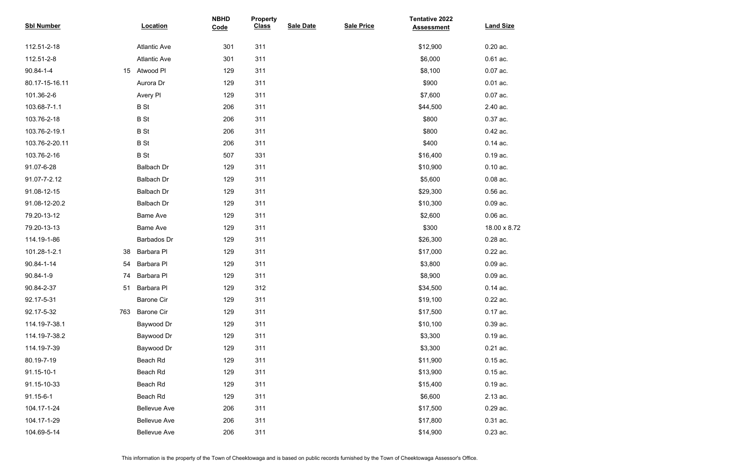| <b>Sbl Number</b> |     | <b>Location</b>     | <b>NBHD</b><br>Code | <b>Property</b><br><b>Class</b> | <b>Sale Date</b> | <b>Sale Price</b> | <b>Tentative 2022</b><br><b>Assessment</b> | <b>Land Size</b> |
|-------------------|-----|---------------------|---------------------|---------------------------------|------------------|-------------------|--------------------------------------------|------------------|
| 112.51-2-18       |     | <b>Atlantic Ave</b> | 301                 | 311                             |                  |                   | \$12,900                                   | $0.20$ ac.       |
| 112.51-2-8        |     | <b>Atlantic Ave</b> | 301                 | 311                             |                  |                   | \$6,000                                    | $0.61$ ac.       |
| 90.84-1-4         | 15  | Atwood PI           | 129                 | 311                             |                  |                   | \$8,100                                    | $0.07$ ac.       |
| 80.17-15-16.11    |     | Aurora Dr           | 129                 | 311                             |                  |                   | \$900                                      | $0.01$ ac.       |
| 101.36-2-6        |     | Avery PI            | 129                 | 311                             |                  |                   | \$7,600                                    | $0.07$ ac.       |
| 103.68-7-1.1      |     | <b>B</b> St         | 206                 | 311                             |                  |                   | \$44,500                                   | 2.40 ac.         |
| 103.76-2-18       |     | <b>B</b> St         | 206                 | 311                             |                  |                   | \$800                                      | 0.37 ac.         |
| 103.76-2-19.1     |     | <b>B</b> St         | 206                 | 311                             |                  |                   | \$800                                      | 0.42 ac.         |
| 103.76-2-20.11    |     | <b>B</b> St         | 206                 | 311                             |                  |                   | \$400                                      | $0.14$ ac.       |
| 103.76-2-16       |     | <b>B</b> St         | 507                 | 331                             |                  |                   | \$16,400                                   | $0.19$ ac.       |
| 91.07-6-28        |     | Balbach Dr          | 129                 | 311                             |                  |                   | \$10,900                                   | $0.10$ ac.       |
| 91.07-7-2.12      |     | <b>Balbach Dr</b>   | 129                 | 311                             |                  |                   | \$5,600                                    | $0.08$ ac.       |
| 91.08-12-15       |     | Balbach Dr          | 129                 | 311                             |                  |                   | \$29,300                                   | $0.56$ ac.       |
| 91.08-12-20.2     |     | Balbach Dr          | 129                 | 311                             |                  |                   | \$10,300                                   | $0.09$ ac.       |
| 79.20-13-12       |     | <b>Bame Ave</b>     | 129                 | 311                             |                  |                   | \$2,600                                    | $0.06$ ac.       |
| 79.20-13-13       |     | <b>Bame Ave</b>     | 129                 | 311                             |                  |                   | \$300                                      | 18.00 x 8.72     |
| 114.19-1-86       |     | Barbados Dr         | 129                 | 311                             |                  |                   | \$26,300                                   | 0.28 ac.         |
| 101.28-1-2.1      | 38  | Barbara PI          | 129                 | 311                             |                  |                   | \$17,000                                   | 0.22 ac.         |
| 90.84-1-14        | 54  | Barbara Pl          | 129                 | 311                             |                  |                   | \$3,800                                    | $0.09$ ac.       |
| 90.84-1-9         | 74  | Barbara Pl          | 129                 | 311                             |                  |                   | \$8,900                                    | $0.09$ ac.       |
| 90.84-2-37        | 51  | Barbara PI          | 129                 | 312                             |                  |                   | \$34,500                                   | $0.14$ ac.       |
| 92.17-5-31        |     | <b>Barone Cir</b>   | 129                 | 311                             |                  |                   | \$19,100                                   | 0.22 ac.         |
| 92.17-5-32        | 763 | <b>Barone Cir</b>   | 129                 | 311                             |                  |                   | \$17,500                                   | 0.17 ac.         |
| 114.19-7-38.1     |     | Baywood Dr          | 129                 | 311                             |                  |                   | \$10,100                                   | $0.39$ ac.       |
| 114.19-7-38.2     |     | Baywood Dr          | 129                 | 311                             |                  |                   | \$3,300                                    | $0.19$ ac.       |
| 114.19-7-39       |     | Baywood Dr          | 129                 | 311                             |                  |                   | \$3,300                                    | $0.21$ ac.       |
| 80.19-7-19        |     | Beach Rd            | 129                 | 311                             |                  |                   | \$11,900                                   | $0.15$ ac.       |
| 91.15-10-1        |     | Beach Rd            | 129                 | 311                             |                  |                   | \$13,900                                   | $0.15$ ac.       |
| 91.15-10-33       |     | Beach Rd            | 129                 | 311                             |                  |                   | \$15,400                                   | $0.19$ ac.       |
| 91.15-6-1         |     | Beach Rd            | 129                 | 311                             |                  |                   | \$6,600                                    | 2.13 ac.         |
| 104.17-1-24       |     | <b>Bellevue Ave</b> | 206                 | 311                             |                  |                   | \$17,500                                   | 0.29 ac.         |
| 104.17-1-29       |     | <b>Bellevue Ave</b> | 206                 | 311                             |                  |                   | \$17,800                                   | 0.31 ac.         |
| 104.69-5-14       |     | <b>Bellevue Ave</b> | 206                 | 311                             |                  |                   | \$14,900                                   | $0.23$ ac.       |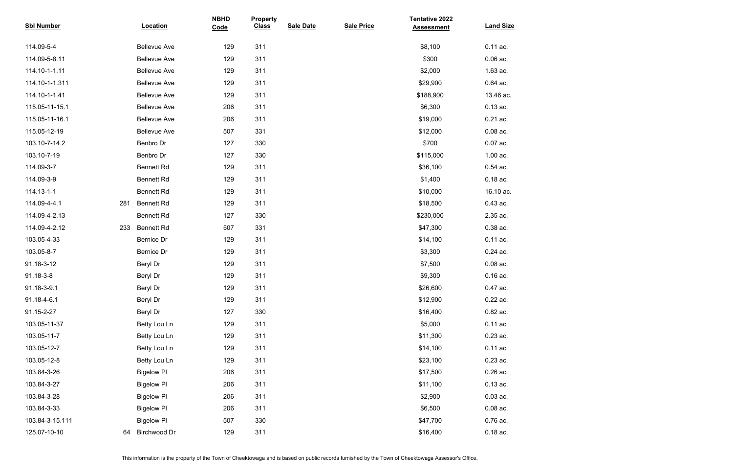| <b>Sbl Number</b> |     | <b>Location</b>     | <b>NBHD</b><br>Code | <b>Property</b><br><b>Class</b> | <b>Sale Date</b> | <b>Sale Price</b> | <b>Tentative 2022</b><br><b>Assessment</b> | <b>Land Size</b> |
|-------------------|-----|---------------------|---------------------|---------------------------------|------------------|-------------------|--------------------------------------------|------------------|
| 114.09-5-4        |     | <b>Bellevue Ave</b> | 129                 | 311                             |                  |                   | \$8,100                                    | 0.11 ac.         |
| 114.09-5-8.11     |     | <b>Bellevue Ave</b> | 129                 | 311                             |                  |                   | \$300                                      | $0.06$ ac.       |
| 114.10-1-1.11     |     | <b>Bellevue Ave</b> | 129                 | 311                             |                  |                   | \$2,000                                    | 1.63 ac.         |
| 114.10-1-1.311    |     | <b>Bellevue Ave</b> | 129                 | 311                             |                  |                   | \$29,900                                   | 0.64 ac.         |
| 114.10-1-1.41     |     | <b>Bellevue Ave</b> | 129                 | 311                             |                  |                   | \$188,900                                  | 13.46 ac.        |
| 115.05-11-15.1    |     | <b>Bellevue Ave</b> | 206                 | 311                             |                  |                   | \$6,300                                    | $0.13$ ac.       |
| 115.05-11-16.1    |     | <b>Bellevue Ave</b> | 206                 | 311                             |                  |                   | \$19,000                                   | $0.21$ ac.       |
| 115.05-12-19      |     | <b>Bellevue Ave</b> | 507                 | 331                             |                  |                   | \$12,000                                   | $0.08$ ac.       |
| 103.10-7-14.2     |     | Benbro Dr           | 127                 | 330                             |                  |                   | \$700                                      | $0.07$ ac.       |
| 103.10-7-19       |     | Benbro Dr           | 127                 | 330                             |                  |                   | \$115,000                                  | 1.00 ac.         |
| 114.09-3-7        |     | <b>Bennett Rd</b>   | 129                 | 311                             |                  |                   | \$36,100                                   | $0.54$ ac.       |
| 114.09-3-9        |     | <b>Bennett Rd</b>   | 129                 | 311                             |                  |                   | \$1,400                                    | $0.18$ ac.       |
| 114.13-1-1        |     | <b>Bennett Rd</b>   | 129                 | 311                             |                  |                   | \$10,000                                   | 16.10 ac.        |
| 114.09-4-4.1      | 281 | <b>Bennett Rd</b>   | 129                 | 311                             |                  |                   | \$18,500                                   | $0.43$ ac.       |
| 114.09-4-2.13     |     | <b>Bennett Rd</b>   | 127                 | 330                             |                  |                   | \$230,000                                  | 2.35 ac.         |
| 114.09-4-2.12     | 233 | <b>Bennett Rd</b>   | 507                 | 331                             |                  |                   | \$47,300                                   | 0.38 ac.         |
| 103.05-4-33       |     | Bernice Dr          | 129                 | 311                             |                  |                   | \$14,100                                   | $0.11$ ac.       |
| 103.05-8-7        |     | <b>Bernice Dr</b>   | 129                 | 311                             |                  |                   | \$3,300                                    | 0.24 ac.         |
| 91.18-3-12        |     | Beryl Dr            | 129                 | 311                             |                  |                   | \$7,500                                    | $0.08$ ac.       |
| 91.18-3-8         |     | Beryl Dr            | 129                 | 311                             |                  |                   | \$9,300                                    | $0.16$ ac.       |
| 91.18-3-9.1       |     | Beryl Dr            | 129                 | 311                             |                  |                   | \$26,600                                   | 0.47 ac.         |
| 91.18-4-6.1       |     | Beryl Dr            | 129                 | 311                             |                  |                   | \$12,900                                   | 0.22 ac.         |
| 91.15-2-27        |     | Beryl Dr            | 127                 | 330                             |                  |                   | \$16,400                                   | 0.82 ac.         |
| 103.05-11-37      |     | Betty Lou Ln        | 129                 | 311                             |                  |                   | \$5,000                                    | 0.11 ac.         |
| 103.05-11-7       |     | Betty Lou Ln        | 129                 | 311                             |                  |                   | \$11,300                                   | $0.23$ ac.       |
| 103.05-12-7       |     | Betty Lou Ln        | 129                 | 311                             |                  |                   | \$14,100                                   | 0.11 ac.         |
| 103.05-12-8       |     | Betty Lou Ln        | 129                 | 311                             |                  |                   | \$23,100                                   | $0.23$ ac.       |
| 103.84-3-26       |     | <b>Bigelow PI</b>   | 206                 | 311                             |                  |                   | \$17,500                                   | 0.26 ac.         |
| 103.84-3-27       |     | <b>Bigelow PI</b>   | 206                 | 311                             |                  |                   | \$11,100                                   | $0.13$ ac.       |
| 103.84-3-28       |     | <b>Bigelow PI</b>   | 206                 | 311                             |                  |                   | \$2,900                                    | $0.03$ ac.       |
| 103.84-3-33       |     | <b>Bigelow PI</b>   | 206                 | 311                             |                  |                   | \$6,500                                    | $0.08$ ac.       |
| 103.84-3-15.111   |     | <b>Bigelow PI</b>   | 507                 | 330                             |                  |                   | \$47,700                                   | 0.76 ac.         |
| 125.07-10-10      | 64  | Birchwood Dr        | 129                 | 311                             |                  |                   | \$16,400                                   | $0.18$ ac.       |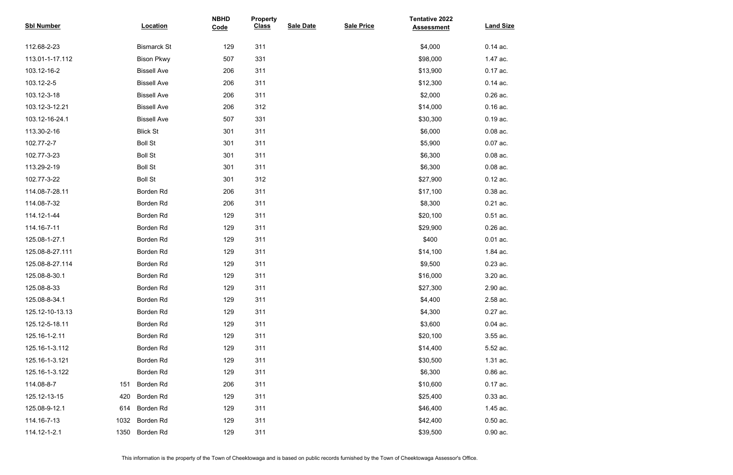| <b>Sbl Number</b> |      | Location           | <b>NBHD</b><br>Code | <b>Property</b><br><b>Class</b> | <b>Sale Date</b> | <b>Sale Price</b> | <b>Tentative 2022</b><br><b>Assessment</b> | <b>Land Size</b> |
|-------------------|------|--------------------|---------------------|---------------------------------|------------------|-------------------|--------------------------------------------|------------------|
| 112.68-2-23       |      | <b>Bismarck St</b> | 129                 | 311                             |                  |                   | \$4,000                                    | $0.14$ ac.       |
| 113.01-1-17.112   |      | <b>Bison Pkwy</b>  | 507                 | 331                             |                  |                   | \$98,000                                   | 1.47 ac.         |
| 103.12-16-2       |      | <b>Bissell Ave</b> | 206                 | 311                             |                  |                   | \$13,900                                   | 0.17 ac.         |
| 103.12-2-5        |      | <b>Bissell Ave</b> | 206                 | 311                             |                  |                   | \$12,300                                   | $0.14$ ac.       |
| 103.12-3-18       |      | <b>Bissell Ave</b> | 206                 | 311                             |                  |                   | \$2,000                                    | $0.26$ ac.       |
| 103.12-3-12.21    |      | <b>Bissell Ave</b> | 206                 | 312                             |                  |                   | \$14,000                                   | $0.16$ ac.       |
| 103.12-16-24.1    |      | <b>Bissell Ave</b> | 507                 | 331                             |                  |                   | \$30,300                                   | $0.19$ ac.       |
| 113.30-2-16       |      | <b>Blick St</b>    | 301                 | 311                             |                  |                   | \$6,000                                    | $0.08$ ac.       |
| 102.77-2-7        |      | <b>Boll St</b>     | 301                 | 311                             |                  |                   | \$5,900                                    | $0.07$ ac.       |
| 102.77-3-23       |      | <b>Boll St</b>     | 301                 | 311                             |                  |                   | \$6,300                                    | $0.08$ ac.       |
| 113.29-2-19       |      | <b>Boll St</b>     | 301                 | 311                             |                  |                   | \$6,300                                    | $0.08$ ac.       |
| 102.77-3-22       |      | <b>Boll St</b>     | 301                 | 312                             |                  |                   | \$27,900                                   | $0.12$ ac.       |
| 114.08-7-28.11    |      | Borden Rd          | 206                 | 311                             |                  |                   | \$17,100                                   | 0.38 ac.         |
| 114.08-7-32       |      | Borden Rd          | 206                 | 311                             |                  |                   | \$8,300                                    | $0.21$ ac.       |
| 114.12-1-44       |      | Borden Rd          | 129                 | 311                             |                  |                   | \$20,100                                   | $0.51$ ac.       |
| 114.16-7-11       |      | Borden Rd          | 129                 | 311                             |                  |                   | \$29,900                                   | $0.26$ ac.       |
| 125.08-1-27.1     |      | Borden Rd          | 129                 | 311                             |                  |                   | \$400                                      | $0.01$ ac.       |
| 125.08-8-27.111   |      | Borden Rd          | 129                 | 311                             |                  |                   | \$14,100                                   | 1.84 ac.         |
| 125.08-8-27.114   |      | Borden Rd          | 129                 | 311                             |                  |                   | \$9,500                                    | 0.23 ac.         |
| 125.08-8-30.1     |      | Borden Rd          | 129                 | 311                             |                  |                   | \$16,000                                   | 3.20 ac.         |
| 125.08-8-33       |      | Borden Rd          | 129                 | 311                             |                  |                   | \$27,300                                   | 2.90 ac.         |
| 125.08-8-34.1     |      | Borden Rd          | 129                 | 311                             |                  |                   | \$4,400                                    | 2.58 ac.         |
| 125.12-10-13.13   |      | Borden Rd          | 129                 | 311                             |                  |                   | \$4,300                                    | 0.27 ac.         |
| 125.12-5-18.11    |      | Borden Rd          | 129                 | 311                             |                  |                   | \$3,600                                    | $0.04$ ac.       |
| 125.16-1-2.11     |      | Borden Rd          | 129                 | 311                             |                  |                   | \$20,100                                   | 3.55 ac.         |
| 125.16-1-3.112    |      | Borden Rd          | 129                 | 311                             |                  |                   | \$14,400                                   | 5.52 ac.         |
| 125.16-1-3.121    |      | Borden Rd          | 129                 | 311                             |                  |                   | \$30,500                                   | 1.31 ac.         |
| 125.16-1-3.122    |      | Borden Rd          | 129                 | 311                             |                  |                   | \$6,300                                    | $0.86$ ac.       |
| 114.08-8-7        | 151  | Borden Rd          | 206                 | 311                             |                  |                   | \$10,600                                   | $0.17$ ac.       |
| 125.12-13-15      | 420  | Borden Rd          | 129                 | 311                             |                  |                   | \$25,400                                   | $0.33$ ac.       |
| 125.08-9-12.1     | 614  | Borden Rd          | 129                 | 311                             |                  |                   | \$46,400                                   | 1.45 ac.         |
| 114.16-7-13       | 1032 | Borden Rd          | 129                 | 311                             |                  |                   | \$42,400                                   | $0.50$ ac.       |
| 114.12-1-2.1      | 1350 | Borden Rd          | 129                 | 311                             |                  |                   | \$39,500                                   | $0.90$ ac.       |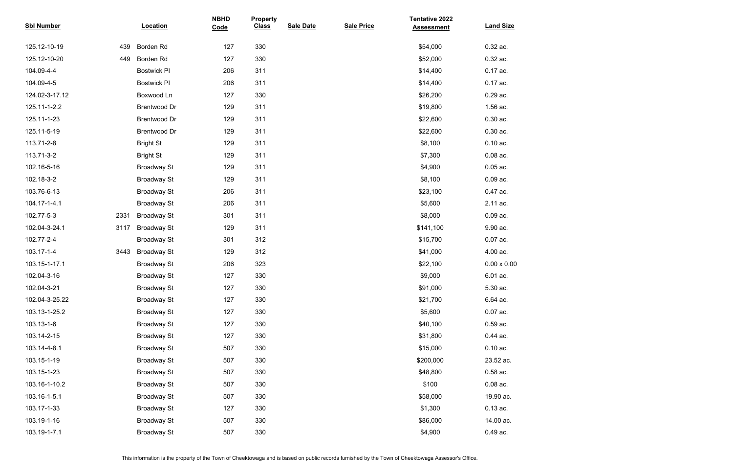| <b>Sbl Number</b> |      | Location            | <b>NBHD</b><br>Code | <b>Property</b><br><b>Class</b> | <b>Sale Date</b> | <b>Sale Price</b> | <b>Tentative 2022</b><br><b>Assessment</b> | <b>Land Size</b>   |
|-------------------|------|---------------------|---------------------|---------------------------------|------------------|-------------------|--------------------------------------------|--------------------|
| 125.12-10-19      | 439  | Borden Rd           | 127                 | 330                             |                  |                   | \$54,000                                   | 0.32 ac.           |
| 125.12-10-20      | 449  | Borden Rd           | 127                 | 330                             |                  |                   | \$52,000                                   | 0.32 ac.           |
| 104.09-4-4        |      | <b>Bostwick PI</b>  | 206                 | 311                             |                  |                   | \$14,400                                   | 0.17 ac.           |
| 104.09-4-5        |      | <b>Bostwick PI</b>  | 206                 | 311                             |                  |                   | \$14,400                                   | 0.17 ac.           |
| 124.02-3-17.12    |      | Boxwood Ln          | 127                 | 330                             |                  |                   | \$26,200                                   | 0.29 ac.           |
| 125.11-1-2.2      |      | <b>Brentwood Dr</b> | 129                 | 311                             |                  |                   | \$19,800                                   | 1.56 ac.           |
| 125.11-1-23       |      | <b>Brentwood Dr</b> | 129                 | 311                             |                  |                   | \$22,600                                   | $0.30$ ac.         |
| 125.11-5-19       |      | <b>Brentwood Dr</b> | 129                 | 311                             |                  |                   | \$22,600                                   | $0.30$ ac.         |
| 113.71-2-8        |      | <b>Bright St</b>    | 129                 | 311                             |                  |                   | \$8,100                                    | $0.10$ ac.         |
| 113.71-3-2        |      | <b>Bright St</b>    | 129                 | 311                             |                  |                   | \$7,300                                    | $0.08$ ac.         |
| 102.16-5-16       |      | <b>Broadway St</b>  | 129                 | 311                             |                  |                   | \$4,900                                    | $0.05$ ac.         |
| 102.18-3-2        |      | <b>Broadway St</b>  | 129                 | 311                             |                  |                   | \$8,100                                    | $0.09$ ac.         |
| 103.76-6-13       |      | <b>Broadway St</b>  | 206                 | 311                             |                  |                   | \$23,100                                   | 0.47 ac.           |
| 104.17-1-4.1      |      | <b>Broadway St</b>  | 206                 | 311                             |                  |                   | \$5,600                                    | 2.11 ac.           |
| 102.77-5-3        | 2331 | <b>Broadway St</b>  | 301                 | 311                             |                  |                   | \$8,000                                    | $0.09$ ac.         |
| 102.04-3-24.1     | 3117 | <b>Broadway St</b>  | 129                 | 311                             |                  |                   | \$141,100                                  | 9.90 ac.           |
| 102.77-2-4        |      | <b>Broadway St</b>  | 301                 | 312                             |                  |                   | \$15,700                                   | 0.07 ac.           |
| 103.17-1-4        | 3443 | <b>Broadway St</b>  | 129                 | 312                             |                  |                   | \$41,000                                   | 4.00 ac.           |
| 103.15-1-17.1     |      | <b>Broadway St</b>  | 206                 | 323                             |                  |                   | \$22,100                                   | $0.00 \times 0.00$ |
| 102.04-3-16       |      | <b>Broadway St</b>  | 127                 | 330                             |                  |                   | \$9,000                                    | 6.01 ac.           |
| 102.04-3-21       |      | <b>Broadway St</b>  | 127                 | 330                             |                  |                   | \$91,000                                   | 5.30 ac.           |
| 102.04-3-25.22    |      | <b>Broadway St</b>  | 127                 | 330                             |                  |                   | \$21,700                                   | 6.64 ac.           |
| 103.13-1-25.2     |      | <b>Broadway St</b>  | 127                 | 330                             |                  |                   | \$5,600                                    | 0.07 ac.           |
| 103.13-1-6        |      | <b>Broadway St</b>  | 127                 | 330                             |                  |                   | \$40,100                                   | 0.59 ac.           |
| 103.14-2-15       |      | <b>Broadway St</b>  | 127                 | 330                             |                  |                   | \$31,800                                   | 0.44 ac.           |
| 103.14-4-8.1      |      | <b>Broadway St</b>  | 507                 | 330                             |                  |                   | \$15,000                                   | $0.10$ ac.         |
| 103.15-1-19       |      | <b>Broadway St</b>  | 507                 | 330                             |                  |                   | \$200,000                                  | 23.52 ac.          |
| 103.15-1-23       |      | <b>Broadway St</b>  | 507                 | 330                             |                  |                   | \$48,800                                   | $0.58$ ac.         |
| 103.16-1-10.2     |      | <b>Broadway St</b>  | 507                 | 330                             |                  |                   | \$100                                      | $0.08$ ac.         |
| 103.16-1-5.1      |      | <b>Broadway St</b>  | 507                 | 330                             |                  |                   | \$58,000                                   | 19.90 ac.          |
| 103.17-1-33       |      | <b>Broadway St</b>  | 127                 | 330                             |                  |                   | \$1,300                                    | $0.13$ ac.         |
| 103.19-1-16       |      | <b>Broadway St</b>  | 507                 | 330                             |                  |                   | \$86,000                                   | 14.00 ac.          |
| 103.19-1-7.1      |      | <b>Broadway St</b>  | 507                 | 330                             |                  |                   | \$4,900                                    | 0.49 ac.           |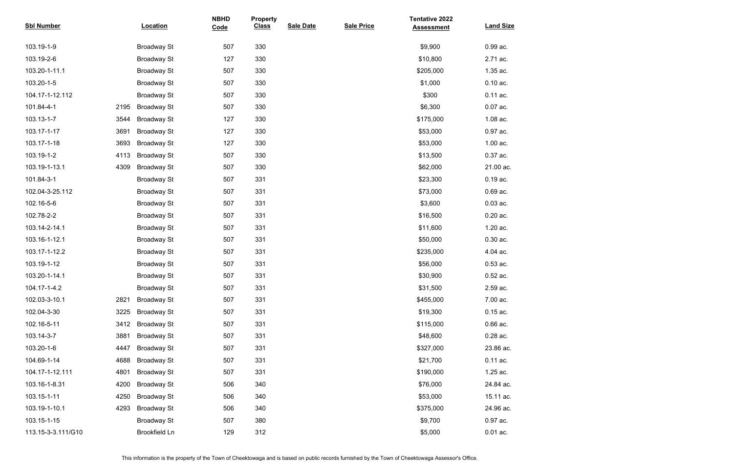| <b>Sbl Number</b>  |      | Location             | <b>NBHD</b><br>Code | <b>Property</b><br><b>Class</b> | <b>Sale Date</b> | <b>Sale Price</b> | <b>Tentative 2022</b><br><b>Assessment</b> | <b>Land Size</b> |
|--------------------|------|----------------------|---------------------|---------------------------------|------------------|-------------------|--------------------------------------------|------------------|
| 103.19-1-9         |      | <b>Broadway St</b>   | 507                 | 330                             |                  |                   | \$9,900                                    | 0.99 ac.         |
| 103.19-2-6         |      | <b>Broadway St</b>   | 127                 | 330                             |                  |                   | \$10,800                                   | 2.71 ac.         |
| 103.20-1-11.1      |      | <b>Broadway St</b>   | 507                 | 330                             |                  |                   | \$205,000                                  | 1.35 ac.         |
| 103.20-1-5         |      | <b>Broadway St</b>   | 507                 | 330                             |                  |                   | \$1,000                                    | $0.10$ ac.       |
| 104.17-1-12.112    |      | <b>Broadway St</b>   | 507                 | 330                             |                  |                   | \$300                                      | $0.11$ ac.       |
| 101.84-4-1         | 2195 | <b>Broadway St</b>   | 507                 | 330                             |                  |                   | \$6,300                                    | 0.07 ac.         |
| 103.13-1-7         | 3544 | <b>Broadway St</b>   | 127                 | 330                             |                  |                   | \$175,000                                  | 1.08 ac.         |
| 103.17-1-17        | 3691 | <b>Broadway St</b>   | 127                 | 330                             |                  |                   | \$53,000                                   | 0.97 ac.         |
| 103.17-1-18        | 3693 | <b>Broadway St</b>   | 127                 | 330                             |                  |                   | \$53,000                                   | 1.00 ac.         |
| 103.19-1-2         | 4113 | <b>Broadway St</b>   | 507                 | 330                             |                  |                   | \$13,500                                   | 0.37 ac.         |
| 103.19-1-13.1      | 4309 | <b>Broadway St</b>   | 507                 | 330                             |                  |                   | \$62,000                                   | 21.00 ac.        |
| 101.84-3-1         |      | <b>Broadway St</b>   | 507                 | 331                             |                  |                   | \$23,300                                   | 0.19 ac.         |
| 102.04-3-25.112    |      | <b>Broadway St</b>   | 507                 | 331                             |                  |                   | \$73,000                                   | 0.69 ac.         |
| 102.16-5-6         |      | <b>Broadway St</b>   | 507                 | 331                             |                  |                   | \$3,600                                    | $0.03$ ac.       |
| 102.78-2-2         |      | <b>Broadway St</b>   | 507                 | 331                             |                  |                   | \$16,500                                   | $0.20$ ac.       |
| 103.14-2-14.1      |      | <b>Broadway St</b>   | 507                 | 331                             |                  |                   | \$11,600                                   | 1.20 ac.         |
| 103.16-1-12.1      |      | <b>Broadway St</b>   | 507                 | 331                             |                  |                   | \$50,000                                   | 0.30 ac.         |
| 103.17-1-12.2      |      | <b>Broadway St</b>   | 507                 | 331                             |                  |                   | \$235,000                                  | 4.04 ac.         |
| 103.19-1-12        |      | <b>Broadway St</b>   | 507                 | 331                             |                  |                   | \$56,000                                   | $0.53$ ac.       |
| 103.20-1-14.1      |      | <b>Broadway St</b>   | 507                 | 331                             |                  |                   | \$30,900                                   | 0.52 ac.         |
| 104.17-1-4.2       |      | <b>Broadway St</b>   | 507                 | 331                             |                  |                   | \$31,500                                   | 2.59 ac.         |
| 102.03-3-10.1      | 2821 | <b>Broadway St</b>   | 507                 | 331                             |                  |                   | \$455,000                                  | 7.00 ac.         |
| 102.04-3-30        | 3225 | <b>Broadway St</b>   | 507                 | 331                             |                  |                   | \$19,300                                   | $0.15$ ac.       |
| 102.16-5-11        | 3412 | <b>Broadway St</b>   | 507                 | 331                             |                  |                   | \$115,000                                  | $0.66$ ac.       |
| 103.14-3-7         | 3881 | <b>Broadway St</b>   | 507                 | 331                             |                  |                   | \$48,600                                   | 0.28 ac.         |
| 103.20-1-6         | 4447 | <b>Broadway St</b>   | 507                 | 331                             |                  |                   | \$327,000                                  | 23.86 ac.        |
| 104.69-1-14        | 4688 | <b>Broadway St</b>   | 507                 | 331                             |                  |                   | \$21,700                                   | $0.11$ ac.       |
| 104.17-1-12.111    | 4801 | <b>Broadway St</b>   | 507                 | 331                             |                  |                   | \$190,000                                  | 1.25 ac.         |
| 103.16-1-8.31      | 4200 | <b>Broadway St</b>   | 506                 | 340                             |                  |                   | \$76,000                                   | 24.84 ac.        |
| 103.15-1-11        | 4250 | <b>Broadway St</b>   | 506                 | 340                             |                  |                   | \$53,000                                   | 15.11 ac.        |
| 103.19-1-10.1      | 4293 | <b>Broadway St</b>   | 506                 | 340                             |                  |                   | \$375,000                                  | 24.96 ac.        |
| 103.15-1-15        |      | <b>Broadway St</b>   | 507                 | 380                             |                  |                   | \$9,700                                    | 0.97 ac.         |
| 113.15-3-3.111/G10 |      | <b>Brookfield Ln</b> | 129                 | 312                             |                  |                   | \$5,000                                    | $0.01$ ac.       |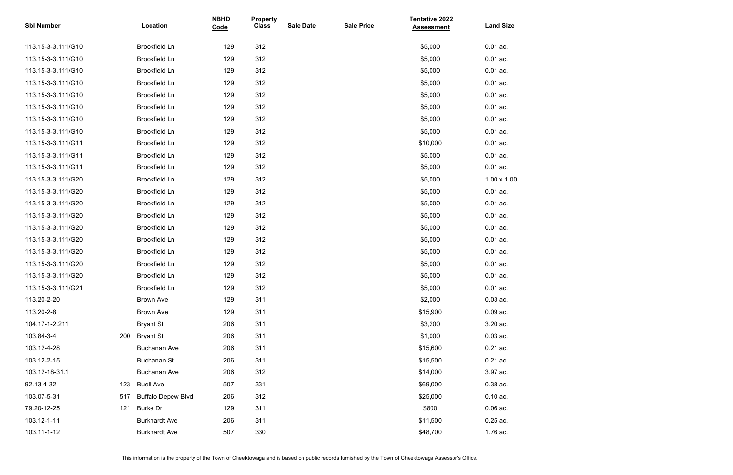| <b>Sbl Number</b>  |     | Location                  | <b>NBHD</b><br>Code | <b>Property</b><br><b>Class</b> | <b>Sale Date</b> | <b>Sale Price</b> | <b>Tentative 2022</b><br><b>Assessment</b> | <b>Land Size</b>   |
|--------------------|-----|---------------------------|---------------------|---------------------------------|------------------|-------------------|--------------------------------------------|--------------------|
| 113.15-3-3.111/G10 |     | <b>Brookfield Ln</b>      | 129                 | 312                             |                  |                   | \$5,000                                    | $0.01$ ac.         |
| 113.15-3-3.111/G10 |     | <b>Brookfield Ln</b>      | 129                 | 312                             |                  |                   | \$5,000                                    | $0.01$ ac.         |
| 113.15-3-3.111/G10 |     | <b>Brookfield Ln</b>      | 129                 | 312                             |                  |                   | \$5,000                                    | $0.01$ ac.         |
| 113.15-3-3.111/G10 |     | <b>Brookfield Ln</b>      | 129                 | 312                             |                  |                   | \$5,000                                    | $0.01$ ac.         |
| 113.15-3-3.111/G10 |     | <b>Brookfield Ln</b>      | 129                 | 312                             |                  |                   | \$5,000                                    | $0.01$ ac.         |
| 113.15-3-3.111/G10 |     | <b>Brookfield Ln</b>      | 129                 | 312                             |                  |                   | \$5,000                                    | $0.01$ ac.         |
| 113.15-3-3.111/G10 |     | <b>Brookfield Ln</b>      | 129                 | 312                             |                  |                   | \$5,000                                    | $0.01$ ac.         |
| 113.15-3-3.111/G10 |     | <b>Brookfield Ln</b>      | 129                 | 312                             |                  |                   | \$5,000                                    | $0.01$ ac.         |
| 113.15-3-3.111/G11 |     | <b>Brookfield Ln</b>      | 129                 | 312                             |                  |                   | \$10,000                                   | $0.01$ ac.         |
| 113.15-3-3.111/G11 |     | <b>Brookfield Ln</b>      | 129                 | 312                             |                  |                   | \$5,000                                    | $0.01$ ac.         |
| 113.15-3-3.111/G11 |     | <b>Brookfield Ln</b>      | 129                 | 312                             |                  |                   | \$5,000                                    | $0.01$ ac.         |
| 113.15-3-3.111/G20 |     | <b>Brookfield Ln</b>      | 129                 | 312                             |                  |                   | \$5,000                                    | $1.00 \times 1.00$ |
| 113.15-3-3.111/G20 |     | <b>Brookfield Ln</b>      | 129                 | 312                             |                  |                   | \$5,000                                    | $0.01$ ac.         |
| 113.15-3-3.111/G20 |     | <b>Brookfield Ln</b>      | 129                 | 312                             |                  |                   | \$5,000                                    | $0.01$ ac.         |
| 113.15-3-3.111/G20 |     | <b>Brookfield Ln</b>      | 129                 | 312                             |                  |                   | \$5,000                                    | $0.01$ ac.         |
| 113.15-3-3.111/G20 |     | <b>Brookfield Ln</b>      | 129                 | 312                             |                  |                   | \$5,000                                    | $0.01$ ac.         |
| 113.15-3-3.111/G20 |     | <b>Brookfield Ln</b>      | 129                 | 312                             |                  |                   | \$5,000                                    | $0.01$ ac.         |
| 113.15-3-3.111/G20 |     | <b>Brookfield Ln</b>      | 129                 | 312                             |                  |                   | \$5,000                                    | $0.01$ ac.         |
| 113.15-3-3.111/G20 |     | <b>Brookfield Ln</b>      | 129                 | 312                             |                  |                   | \$5,000                                    | $0.01$ ac.         |
| 113.15-3-3.111/G20 |     | <b>Brookfield Ln</b>      | 129                 | 312                             |                  |                   | \$5,000                                    | $0.01$ ac.         |
| 113.15-3-3.111/G21 |     | <b>Brookfield Ln</b>      | 129                 | 312                             |                  |                   | \$5,000                                    | $0.01$ ac.         |
| 113.20-2-20        |     | <b>Brown Ave</b>          | 129                 | 311                             |                  |                   | \$2,000                                    | $0.03$ ac.         |
| 113.20-2-8         |     | <b>Brown Ave</b>          | 129                 | 311                             |                  |                   | \$15,900                                   | $0.09$ ac.         |
| 104.17-1-2.211     |     | <b>Bryant St</b>          | 206                 | 311                             |                  |                   | \$3,200                                    | 3.20 ac.           |
| 103.84-3-4         | 200 | <b>Bryant St</b>          | 206                 | 311                             |                  |                   | \$1,000                                    | $0.03$ ac.         |
| 103.12-4-28        |     | <b>Buchanan Ave</b>       | 206                 | 311                             |                  |                   | \$15,600                                   | $0.21$ ac.         |
| 103.12-2-15        |     | <b>Buchanan St</b>        | 206                 | 311                             |                  |                   | \$15,500                                   | $0.21$ ac.         |
| 103.12-18-31.1     |     | <b>Buchanan Ave</b>       | 206                 | 312                             |                  |                   | \$14,000                                   | 3.97 ac.           |
| 92.13-4-32         | 123 | <b>Buell Ave</b>          | 507                 | 331                             |                  |                   | \$69,000                                   | 0.38 ac.           |
| 103.07-5-31        | 517 | <b>Buffalo Depew Blvd</b> | 206                 | 312                             |                  |                   | \$25,000                                   | $0.10$ ac.         |
| 79.20-12-25        | 121 | <b>Burke Dr</b>           | 129                 | 311                             |                  |                   | \$800                                      | $0.06$ ac.         |
| 103.12-1-11        |     | <b>Burkhardt Ave</b>      | 206                 | 311                             |                  |                   | \$11,500                                   | $0.25$ ac.         |
| 103.11-1-12        |     | <b>Burkhardt Ave</b>      | 507                 | 330                             |                  |                   | \$48,700                                   | 1.76 ac.           |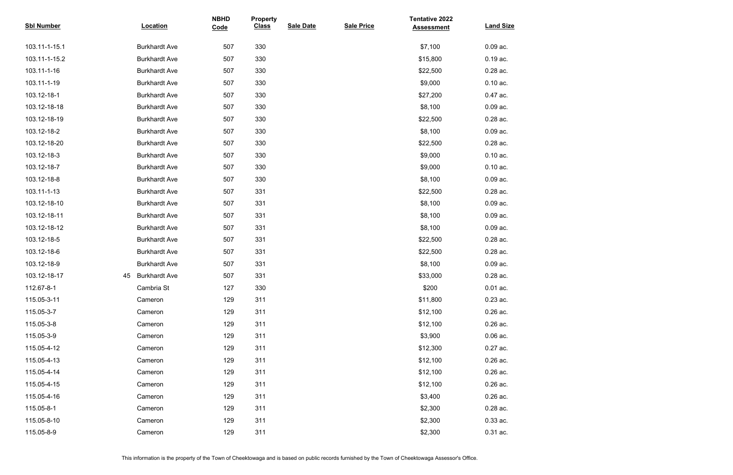| <b>Sbl Number</b> |    | <b>Location</b>      | <b>NBHD</b><br>Code | <b>Property</b><br><b>Class</b> | <b>Sale Date</b> | <b>Sale Price</b> | <b>Tentative 2022</b><br><b>Assessment</b> | <b>Land Size</b> |
|-------------------|----|----------------------|---------------------|---------------------------------|------------------|-------------------|--------------------------------------------|------------------|
| 103.11-1-15.1     |    | <b>Burkhardt Ave</b> | 507                 | 330                             |                  |                   | \$7,100                                    | $0.09$ ac.       |
| 103.11-1-15.2     |    | <b>Burkhardt Ave</b> | 507                 | 330                             |                  |                   | \$15,800                                   | 0.19 ac.         |
| 103.11-1-16       |    | <b>Burkhardt Ave</b> | 507                 | 330                             |                  |                   | \$22,500                                   | $0.28$ ac.       |
| 103.11-1-19       |    | <b>Burkhardt Ave</b> | 507                 | 330                             |                  |                   | \$9,000                                    | $0.10$ ac.       |
| 103.12-18-1       |    | <b>Burkhardt Ave</b> | 507                 | 330                             |                  |                   | \$27,200                                   | 0.47 ac.         |
| 103.12-18-18      |    | <b>Burkhardt Ave</b> | 507                 | 330                             |                  |                   | \$8,100                                    | $0.09$ ac.       |
| 103.12-18-19      |    | <b>Burkhardt Ave</b> | 507                 | 330                             |                  |                   | \$22,500                                   | 0.28 ac.         |
| 103.12-18-2       |    | <b>Burkhardt Ave</b> | 507                 | 330                             |                  |                   | \$8,100                                    | $0.09$ ac.       |
| 103.12-18-20      |    | <b>Burkhardt Ave</b> | 507                 | 330                             |                  |                   | \$22,500                                   | 0.28 ac.         |
| 103.12-18-3       |    | <b>Burkhardt Ave</b> | 507                 | 330                             |                  |                   | \$9,000                                    | $0.10$ ac.       |
| 103.12-18-7       |    | <b>Burkhardt Ave</b> | 507                 | 330                             |                  |                   | \$9,000                                    | $0.10$ ac.       |
| 103.12-18-8       |    | <b>Burkhardt Ave</b> | 507                 | 330                             |                  |                   | \$8,100                                    | $0.09$ ac.       |
| 103.11-1-13       |    | <b>Burkhardt Ave</b> | 507                 | 331                             |                  |                   | \$22,500                                   | 0.28 ac.         |
| 103.12-18-10      |    | <b>Burkhardt Ave</b> | 507                 | 331                             |                  |                   | \$8,100                                    | $0.09$ ac.       |
| 103.12-18-11      |    | <b>Burkhardt Ave</b> | 507                 | 331                             |                  |                   | \$8,100                                    | $0.09$ ac.       |
| 103.12-18-12      |    | <b>Burkhardt Ave</b> | 507                 | 331                             |                  |                   | \$8,100                                    | $0.09$ ac.       |
| 103.12-18-5       |    | <b>Burkhardt Ave</b> | 507                 | 331                             |                  |                   | \$22,500                                   | 0.28 ac.         |
| 103.12-18-6       |    | <b>Burkhardt Ave</b> | 507                 | 331                             |                  |                   | \$22,500                                   | 0.28 ac.         |
| 103.12-18-9       |    | <b>Burkhardt Ave</b> | 507                 | 331                             |                  |                   | \$8,100                                    | $0.09$ ac.       |
| 103.12-18-17      | 45 | <b>Burkhardt Ave</b> | 507                 | 331                             |                  |                   | \$33,000                                   | 0.28 ac.         |
| 112.67-8-1        |    | Cambria St           | 127                 | 330                             |                  |                   | \$200                                      | $0.01$ ac.       |
| 115.05-3-11       |    | Cameron              | 129                 | 311                             |                  |                   | \$11,800                                   | $0.23$ ac.       |
| 115.05-3-7        |    | Cameron              | 129                 | 311                             |                  |                   | \$12,100                                   | $0.26$ ac.       |
| 115.05-3-8        |    | Cameron              | 129                 | 311                             |                  |                   | \$12,100                                   | 0.26 ac.         |
| 115.05-3-9        |    | Cameron              | 129                 | 311                             |                  |                   | \$3,900                                    | $0.06$ ac.       |
| 115.05-4-12       |    | Cameron              | 129                 | 311                             |                  |                   | \$12,300                                   | 0.27 ac.         |
| 115.05-4-13       |    | Cameron              | 129                 | 311                             |                  |                   | \$12,100                                   | 0.26 ac.         |
| 115.05-4-14       |    | Cameron              | 129                 | 311                             |                  |                   | \$12,100                                   | $0.26$ ac.       |
| 115.05-4-15       |    | Cameron              | 129                 | 311                             |                  |                   | \$12,100                                   | 0.26 ac.         |
| 115.05-4-16       |    | Cameron              | 129                 | 311                             |                  |                   | \$3,400                                    | $0.26$ ac.       |
| 115.05-8-1        |    | Cameron              | 129                 | 311                             |                  |                   | \$2,300                                    | 0.28 ac.         |
| 115.05-8-10       |    | Cameron              | 129                 | 311                             |                  |                   | \$2,300                                    | 0.33 ac.         |
| 115.05-8-9        |    | Cameron              | 129                 | 311                             |                  |                   | \$2,300                                    | $0.31$ ac.       |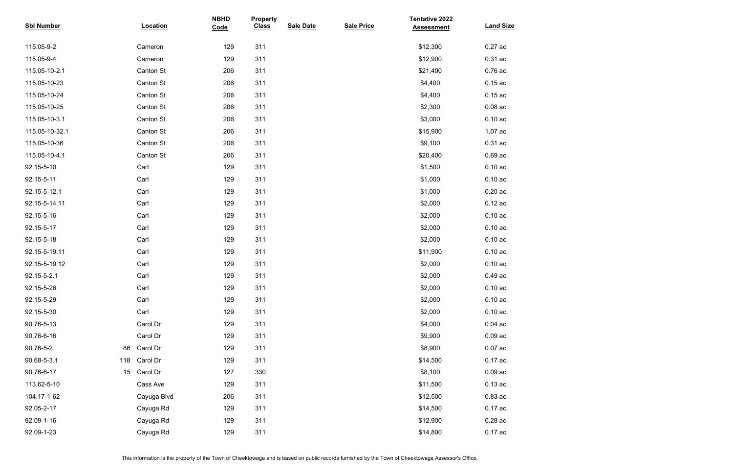| <b>Sbl Number</b>  | <b>Location</b> | <b>NBHD</b><br>Code | <b>Property</b><br><b>Class</b> | <b>Sale Date</b> | <b>Sale Price</b> | <b>Tentative 2022</b><br><b>Assessment</b> | <b>Land Size</b> |
|--------------------|-----------------|---------------------|---------------------------------|------------------|-------------------|--------------------------------------------|------------------|
| 115.05-9-2         | Cameron         | 129                 | 311                             |                  |                   | \$12,300                                   | 0.27 ac.         |
| 115.05-9-4         | Cameron         | 129                 | 311                             |                  |                   | \$12,900                                   | 0.31 ac.         |
| 115.05-10-2.1      | Canton St       | 206                 | 311                             |                  |                   | \$21,400                                   | 0.76 ac.         |
| 115.05-10-23       | Canton St       | 206                 | 311                             |                  |                   | \$4,400                                    | $0.15$ ac.       |
| 115.05-10-24       | Canton St       | 206                 | 311                             |                  |                   | \$4,400                                    | $0.15$ ac.       |
| 115.05-10-25       | Canton St       | 206                 | 311                             |                  |                   | \$2,300                                    | $0.08$ ac.       |
| 115.05-10-3.1      | Canton St       | 206                 | 311                             |                  |                   | \$3,000                                    | $0.10$ ac.       |
| 115.05-10-32.1     | Canton St       | 206                 | 311                             |                  |                   | \$15,900                                   | 1.07 ac.         |
| 115.05-10-36       | Canton St       | 206                 | 311                             |                  |                   | \$9,100                                    | 0.31 ac.         |
| 115.05-10-4.1      | Canton St       | 206                 | 311                             |                  |                   | \$20,400                                   | 0.69 ac.         |
| 92.15-5-10         | Carl            | 129                 | 311                             |                  |                   | \$1,500                                    | $0.10$ ac.       |
| 92.15-5-11         | Carl            | 129                 | 311                             |                  |                   | \$1,000                                    | $0.10$ ac.       |
| 92.15-5-12.1       | Carl            | 129                 | 311                             |                  |                   | \$1,000                                    | $0.20$ ac.       |
| 92.15-5-14.11      | Carl            | 129                 | 311                             |                  |                   | \$2,000                                    | $0.12$ ac.       |
| 92.15-5-16         | Carl            | 129                 | 311                             |                  |                   | \$2,000                                    | $0.10$ ac.       |
| 92.15-5-17         | Carl            | 129                 | 311                             |                  |                   | \$2,000                                    | $0.10$ ac.       |
| 92.15-5-18         | Carl            | 129                 | 311                             |                  |                   | \$2,000                                    | $0.10$ ac.       |
| 92.15-5-19.11      | Carl            | 129                 | 311                             |                  |                   | \$11,900                                   | $0.10$ ac.       |
| 92.15-5-19.12      | Carl            | 129                 | 311                             |                  |                   | \$2,000                                    | $0.10$ ac.       |
| 92.15-5-2.1        | Carl            | 129                 | 311                             |                  |                   | \$2,000                                    | 0.49 ac.         |
| 92.15-5-26         | Carl            | 129                 | 311                             |                  |                   | \$2,000                                    | $0.10$ ac.       |
| 92.15-5-29         | Carl            | 129                 | 311                             |                  |                   | \$2,000                                    | $0.10$ ac.       |
| 92.15-5-30         | Carl            | 129                 | 311                             |                  |                   | \$2,000                                    | $0.10$ ac.       |
| 90.76-5-13         | Carol Dr        | 129                 | 311                             |                  |                   | \$4,000                                    | $0.04$ ac.       |
| 90.76-6-16         | Carol Dr        | 129                 | 311                             |                  |                   | \$9,900                                    | $0.09$ ac.       |
| 90.76-5-2<br>86    | Carol Dr        | 129                 | 311                             |                  |                   | \$8,900                                    | $0.07$ ac.       |
| 90.68-5-3.1<br>118 | Carol Dr        | 129                 | 311                             |                  |                   | \$14,500                                   | 0.17 ac.         |
| 90.76-6-17<br>15   | Carol Dr        | 127                 | 330                             |                  |                   | \$8,100                                    | $0.09$ ac.       |
| 113.62-5-10        | Cass Ave        | 129                 | 311                             |                  |                   | \$11,500                                   | $0.13$ ac.       |
| 104.17-1-62        | Cayuga Blvd     | 206                 | 311                             |                  |                   | \$12,500                                   | $0.83$ ac.       |
| 92.05-2-17         | Cayuga Rd       | 129                 | 311                             |                  |                   | \$14,500                                   | 0.17 ac.         |
| 92.09-1-16         | Cayuga Rd       | 129                 | 311                             |                  |                   | \$12,900                                   | 0.28 ac.         |
| 92.09-1-23         | Cayuga Rd       | 129                 | 311                             |                  |                   | \$14,800                                   | 0.17 ac.         |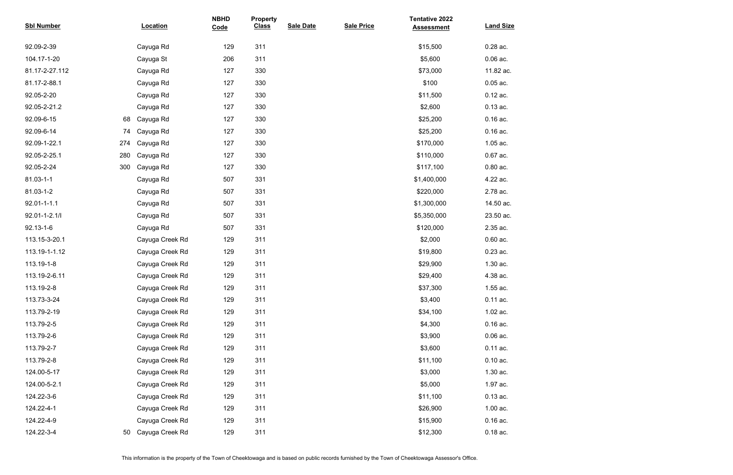| <b>Sbl Number</b> |     | <b>Location</b> | <b>NBHD</b><br>Code | <b>Property</b><br><b>Class</b> | <b>Sale Date</b> | <b>Sale Price</b> | <b>Tentative 2022</b><br><b>Assessment</b> | <b>Land Size</b> |
|-------------------|-----|-----------------|---------------------|---------------------------------|------------------|-------------------|--------------------------------------------|------------------|
| 92.09-2-39        |     | Cayuga Rd       | 129                 | 311                             |                  |                   | \$15,500                                   | 0.28 ac.         |
| 104.17-1-20       |     | Cayuga St       | 206                 | 311                             |                  |                   | \$5,600                                    | $0.06$ ac.       |
| 81.17-2-27.112    |     | Cayuga Rd       | 127                 | 330                             |                  |                   | \$73,000                                   | 11.82 ac.        |
| 81.17-2-88.1      |     | Cayuga Rd       | 127                 | 330                             |                  |                   | \$100                                      | $0.05$ ac.       |
| 92.05-2-20        |     | Cayuga Rd       | 127                 | 330                             |                  |                   | \$11,500                                   | $0.12$ ac.       |
| 92.05-2-21.2      |     | Cayuga Rd       | 127                 | 330                             |                  |                   | \$2,600                                    | $0.13$ ac.       |
| 92.09-6-15        | 68  | Cayuga Rd       | 127                 | 330                             |                  |                   | \$25,200                                   | $0.16$ ac.       |
| 92.09-6-14        | 74  | Cayuga Rd       | 127                 | 330                             |                  |                   | \$25,200                                   | $0.16$ ac.       |
| 92.09-1-22.1      | 274 | Cayuga Rd       | 127                 | 330                             |                  |                   | \$170,000                                  | 1.05 ac.         |
| 92.05-2-25.1      | 280 | Cayuga Rd       | 127                 | 330                             |                  |                   | \$110,000                                  | 0.67 ac.         |
| 92.05-2-24        | 300 | Cayuga Rd       | 127                 | 330                             |                  |                   | \$117,100                                  | $0.80$ ac.       |
| 81.03-1-1         |     | Cayuga Rd       | 507                 | 331                             |                  |                   | \$1,400,000                                | 4.22 ac.         |
| 81.03-1-2         |     | Cayuga Rd       | 507                 | 331                             |                  |                   | \$220,000                                  | 2.78 ac.         |
| $92.01 - 1 - 1.1$ |     | Cayuga Rd       | 507                 | 331                             |                  |                   | \$1,300,000                                | 14.50 ac.        |
| 92.01-1-2.1/l     |     | Cayuga Rd       | 507                 | 331                             |                  |                   | \$5,350,000                                | 23.50 ac.        |
| 92.13-1-6         |     | Cayuga Rd       | 507                 | 331                             |                  |                   | \$120,000                                  | 2.35 ac.         |
| 113.15-3-20.1     |     | Cayuga Creek Rd | 129                 | 311                             |                  |                   | \$2,000                                    | $0.60$ ac.       |
| 113.19-1-1.12     |     | Cayuga Creek Rd | 129                 | 311                             |                  |                   | \$19,800                                   | 0.23 ac.         |
| 113.19-1-8        |     | Cayuga Creek Rd | 129                 | 311                             |                  |                   | \$29,900                                   | 1.30 ac.         |
| 113.19-2-6.11     |     | Cayuga Creek Rd | 129                 | 311                             |                  |                   | \$29,400                                   | 4.38 ac.         |
| 113.19-2-8        |     | Cayuga Creek Rd | 129                 | 311                             |                  |                   | \$37,300                                   | 1.55 ac.         |
| 113.73-3-24       |     | Cayuga Creek Rd | 129                 | 311                             |                  |                   | \$3,400                                    | 0.11 ac.         |
| 113.79-2-19       |     | Cayuga Creek Rd | 129                 | 311                             |                  |                   | \$34,100                                   | 1.02 ac.         |
| 113.79-2-5        |     | Cayuga Creek Rd | 129                 | 311                             |                  |                   | \$4,300                                    | $0.16$ ac.       |
| 113.79-2-6        |     | Cayuga Creek Rd | 129                 | 311                             |                  |                   | \$3,900                                    | $0.06$ ac.       |
| 113.79-2-7        |     | Cayuga Creek Rd | 129                 | 311                             |                  |                   | \$3,600                                    | 0.11 ac.         |
| 113.79-2-8        |     | Cayuga Creek Rd | 129                 | 311                             |                  |                   | \$11,100                                   | $0.10$ ac.       |
| 124.00-5-17       |     | Cayuga Creek Rd | 129                 | 311                             |                  |                   | \$3,000                                    | 1.30 ac.         |
| 124.00-5-2.1      |     | Cayuga Creek Rd | 129                 | 311                             |                  |                   | \$5,000                                    | 1.97 ac.         |
| 124.22-3-6        |     | Cayuga Creek Rd | 129                 | 311                             |                  |                   | \$11,100                                   | $0.13$ ac.       |
| 124.22-4-1        |     | Cayuga Creek Rd | 129                 | 311                             |                  |                   | \$26,900                                   | 1.00 ac.         |
| 124.22-4-9        |     | Cayuga Creek Rd | 129                 | 311                             |                  |                   | \$15,900                                   | $0.16$ ac.       |
| 124.22-3-4        | 50  | Cayuga Creek Rd | 129                 | 311                             |                  |                   | \$12,300                                   | $0.18$ ac.       |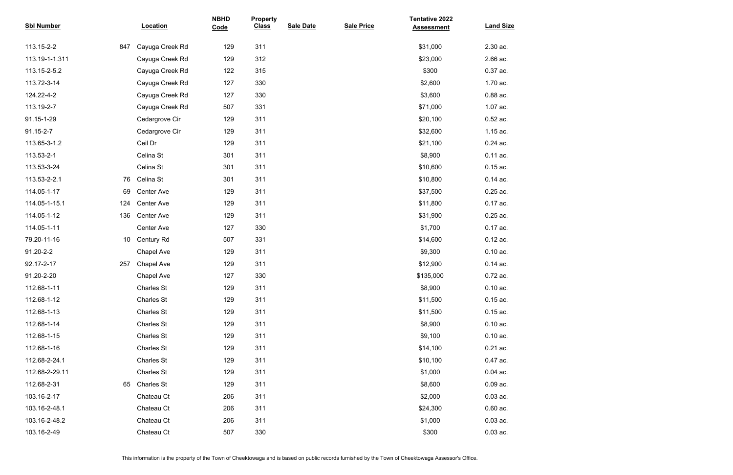| <b>Sbl Number</b> |                 | <b>Location</b>   | <b>NBHD</b><br>Code | <b>Property</b><br><b>Class</b> | <b>Sale Date</b> | <b>Sale Price</b> | <b>Tentative 2022</b><br><b>Assessment</b> | <b>Land Size</b> |
|-------------------|-----------------|-------------------|---------------------|---------------------------------|------------------|-------------------|--------------------------------------------|------------------|
| 113.15-2-2        | 847             | Cayuga Creek Rd   | 129                 | 311                             |                  |                   | \$31,000                                   | 2.30 ac.         |
| 113.19-1-1.311    |                 | Cayuga Creek Rd   | 129                 | 312                             |                  |                   | \$23,000                                   | 2.66 ac.         |
| 113.15-2-5.2      |                 | Cayuga Creek Rd   | 122                 | 315                             |                  |                   | \$300                                      | 0.37 ac.         |
| 113.72-3-14       |                 | Cayuga Creek Rd   | 127                 | 330                             |                  |                   | \$2,600                                    | 1.70 ac.         |
| 124.22-4-2        |                 | Cayuga Creek Rd   | 127                 | 330                             |                  |                   | \$3,600                                    | 0.88 ac.         |
| 113.19-2-7        |                 | Cayuga Creek Rd   | 507                 | 331                             |                  |                   | \$71,000                                   | 1.07 ac.         |
| 91.15-1-29        |                 | Cedargrove Cir    | 129                 | 311                             |                  |                   | \$20,100                                   | 0.52 ac.         |
| 91.15-2-7         |                 | Cedargrove Cir    | 129                 | 311                             |                  |                   | \$32,600                                   | 1.15 ac.         |
| 113.65-3-1.2      |                 | Ceil Dr           | 129                 | 311                             |                  |                   | \$21,100                                   | 0.24 ac.         |
| 113.53-2-1        |                 | Celina St         | 301                 | 311                             |                  |                   | \$8,900                                    | $0.11$ ac.       |
| 113.53-3-24       |                 | Celina St         | 301                 | 311                             |                  |                   | \$10,600                                   | $0.15$ ac.       |
| 113.53-2-2.1      | 76              | Celina St         | 301                 | 311                             |                  |                   | \$10,800                                   | $0.14$ ac.       |
| 114.05-1-17       | 69              | Center Ave        | 129                 | 311                             |                  |                   | \$37,500                                   | $0.25$ ac.       |
| 114.05-1-15.1     | 124             | Center Ave        | 129                 | 311                             |                  |                   | \$11,800                                   | 0.17 ac.         |
| 114.05-1-12       | 136             | Center Ave        | 129                 | 311                             |                  |                   | \$31,900                                   | 0.25 ac.         |
| 114.05-1-11       |                 | Center Ave        | 127                 | 330                             |                  |                   | \$1,700                                    | 0.17 ac.         |
| 79.20-11-16       | 10 <sup>°</sup> | <b>Century Rd</b> | 507                 | 331                             |                  |                   | \$14,600                                   | $0.12$ ac.       |
| 91.20-2-2         |                 | <b>Chapel Ave</b> | 129                 | 311                             |                  |                   | \$9,300                                    | $0.10$ ac.       |
| 92.17-2-17        | 257             | <b>Chapel Ave</b> | 129                 | 311                             |                  |                   | \$12,900                                   | $0.14$ ac.       |
| 91.20-2-20        |                 | <b>Chapel Ave</b> | 127                 | 330                             |                  |                   | \$135,000                                  | 0.72 ac.         |
| 112.68-1-11       |                 | <b>Charles St</b> | 129                 | 311                             |                  |                   | \$8,900                                    | $0.10$ ac.       |
| 112.68-1-12       |                 | <b>Charles St</b> | 129                 | 311                             |                  |                   | \$11,500                                   | $0.15$ ac.       |
| 112.68-1-13       |                 | <b>Charles St</b> | 129                 | 311                             |                  |                   | \$11,500                                   | $0.15$ ac.       |
| 112.68-1-14       |                 | <b>Charles St</b> | 129                 | 311                             |                  |                   | \$8,900                                    | $0.10$ ac.       |
| 112.68-1-15       |                 | <b>Charles St</b> | 129                 | 311                             |                  |                   | \$9,100                                    | $0.10$ ac.       |
| 112.68-1-16       |                 | <b>Charles St</b> | 129                 | 311                             |                  |                   | \$14,100                                   | $0.21$ ac.       |
| 112.68-2-24.1     |                 | <b>Charles St</b> | 129                 | 311                             |                  |                   | \$10,100                                   | 0.47 ac.         |
| 112.68-2-29.11    |                 | <b>Charles St</b> | 129                 | 311                             |                  |                   | \$1,000                                    | $0.04$ ac.       |
| 112.68-2-31       | 65              | <b>Charles St</b> | 129                 | 311                             |                  |                   | \$8,600                                    | $0.09$ ac.       |
| 103.16-2-17       |                 | Chateau Ct        | 206                 | 311                             |                  |                   | \$2,000                                    | $0.03$ ac.       |
| 103.16-2-48.1     |                 | Chateau Ct        | 206                 | 311                             |                  |                   | \$24,300                                   | $0.60$ ac.       |
| 103.16-2-48.2     |                 | Chateau Ct        | 206                 | 311                             |                  |                   | \$1,000                                    | $0.03$ ac.       |
| 103.16-2-49       |                 | Chateau Ct        | 507                 | 330                             |                  |                   | \$300                                      | $0.03$ ac.       |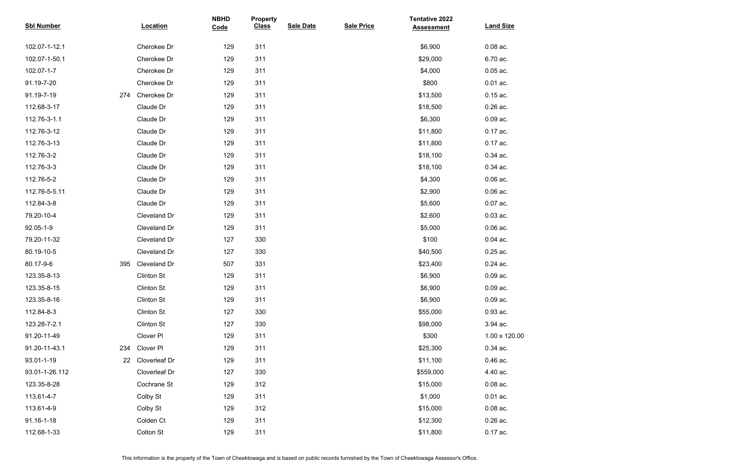| <b>Sbl Number</b> |     | Location             | <b>NBHD</b><br>Code | <b>Property</b><br><b>Class</b> | <b>Sale Date</b> | <b>Sale Price</b> | <b>Tentative 2022</b><br><b>Assessment</b> | <b>Land Size</b> |
|-------------------|-----|----------------------|---------------------|---------------------------------|------------------|-------------------|--------------------------------------------|------------------|
| 102.07-1-12.1     |     | Cherokee Dr          | 129                 | 311                             |                  |                   | \$6,900                                    | $0.08$ ac.       |
| 102.07-1-50.1     |     | Cherokee Dr          | 129                 | 311                             |                  |                   | \$29,000                                   | 6.70 ac.         |
| 102.07-1-7        |     | Cherokee Dr          | 129                 | 311                             |                  |                   | \$4,000                                    | $0.05$ ac.       |
| 91.19-7-20        |     | Cherokee Dr          | 129                 | 311                             |                  |                   | \$800                                      | $0.01$ ac.       |
| 91.19-7-19        | 274 | Cherokee Dr          | 129                 | 311                             |                  |                   | \$13,500                                   | $0.15$ ac.       |
| 112.68-3-17       |     | Claude Dr            | 129                 | 311                             |                  |                   | \$18,500                                   | 0.26 ac.         |
| 112.76-3-1.1      |     | Claude Dr            | 129                 | 311                             |                  |                   | \$6,300                                    | $0.09$ ac.       |
| 112.76-3-12       |     | Claude Dr            | 129                 | 311                             |                  |                   | \$11,800                                   | 0.17 ac.         |
| 112.76-3-13       |     | Claude Dr            | 129                 | 311                             |                  |                   | \$11,800                                   | 0.17 ac.         |
| 112.76-3-2        |     | Claude Dr            | 129                 | 311                             |                  |                   | \$18,100                                   | 0.34 ac.         |
| 112.76-3-3        |     | Claude Dr            | 129                 | 311                             |                  |                   | \$18,100                                   | 0.34 ac.         |
| 112.76-5-2        |     | Claude Dr            | 129                 | 311                             |                  |                   | \$4,300                                    | $0.06$ ac.       |
| 112.76-5-5.11     |     | Claude Dr            | 129                 | 311                             |                  |                   | \$2,900                                    | $0.06$ ac.       |
| 112.84-3-8        |     | Claude Dr            | 129                 | 311                             |                  |                   | \$5,600                                    | $0.07$ ac.       |
| 79.20-10-4        |     | Cleveland Dr         | 129                 | 311                             |                  |                   | \$2,600                                    | $0.03$ ac.       |
| 92.05-1-9         |     | Cleveland Dr         | 129                 | 311                             |                  |                   | \$5,000                                    | $0.06$ ac.       |
| 79.20-11-32       |     | Cleveland Dr         | 127                 | 330                             |                  |                   | \$100                                      | $0.04$ ac.       |
| 80.19-10-5        |     | Cleveland Dr         | 127                 | 330                             |                  |                   | \$40,500                                   | 0.25 ac.         |
| 80.17-9-6         | 395 | Cleveland Dr         | 507                 | 331                             |                  |                   | \$23,400                                   | $0.24$ ac.       |
| 123.35-8-13       |     | <b>Clinton St</b>    | 129                 | 311                             |                  |                   | \$6,900                                    | $0.09$ ac.       |
| 123.35-8-15       |     | <b>Clinton St</b>    | 129                 | 311                             |                  |                   | \$6,900                                    | $0.09$ ac.       |
| 123.35-8-16       |     | <b>Clinton St</b>    | 129                 | 311                             |                  |                   | \$6,900                                    | $0.09$ ac.       |
| 112.84-8-3        |     | <b>Clinton St</b>    | 127                 | 330                             |                  |                   | \$55,000                                   | 0.93 ac.         |
| 123.28-7-2.1      |     | <b>Clinton St</b>    | 127                 | 330                             |                  |                   | \$98,000                                   | 3.94 ac.         |
| 91.20-11-49       |     | Clover PI            | 129                 | 311                             |                  |                   | \$300                                      | 1.00 x 120.00    |
| 91.20-11-43.1     | 234 | Clover PI            | 129                 | 311                             |                  |                   | \$25,300                                   | 0.34 ac.         |
| 93.01-1-19        | 22  | <b>Cloverleaf Dr</b> | 129                 | 311                             |                  |                   | \$11,100                                   | 0.46 ac.         |
| 93.01-1-26.112    |     | Cloverleaf Dr        | 127                 | 330                             |                  |                   | \$559,000                                  | 4.40 ac.         |
| 123.35-8-28       |     | Cochrane St          | 129                 | 312                             |                  |                   | \$15,000                                   | $0.08$ ac.       |
| 113.61-4-7        |     | Colby St             | 129                 | 311                             |                  |                   | \$1,000                                    | $0.01$ ac.       |
| 113.61-4-9        |     | Colby St             | 129                 | 312                             |                  |                   | \$15,000                                   | $0.08$ ac.       |
| 91.16-1-18        |     | Colden Ct            | 129                 | 311                             |                  |                   | \$12,300                                   | $0.26$ ac.       |
| 112.68-1-33       |     | Colton St            | 129                 | 311                             |                  |                   | \$11,800                                   | $0.17$ ac.       |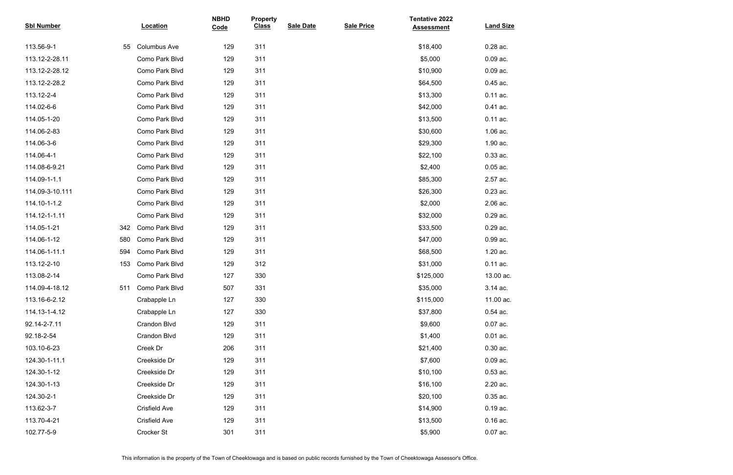| <b>Sbl Number</b> |     | <b>Location</b>      | <b>NBHD</b><br>Code | <b>Property</b><br><b>Class</b> | <b>Sale Date</b> | <b>Sale Price</b> | <b>Tentative 2022</b><br><b>Assessment</b> | <b>Land Size</b> |
|-------------------|-----|----------------------|---------------------|---------------------------------|------------------|-------------------|--------------------------------------------|------------------|
|                   |     |                      |                     |                                 |                  |                   |                                            |                  |
| 113.56-9-1        | 55  | <b>Columbus Ave</b>  | 129                 | 311                             |                  |                   | \$18,400                                   | 0.28 ac.         |
| 113.12-2-28.11    |     | Como Park Blvd       | 129                 | 311                             |                  |                   | \$5,000                                    | $0.09$ ac.       |
| 113.12-2-28.12    |     | Como Park Blvd       | 129                 | 311                             |                  |                   | \$10,900                                   | $0.09$ ac.       |
| 113.12-2-28.2     |     | Como Park Blvd       | 129                 | 311                             |                  |                   | \$64,500                                   | 0.45 ac.         |
| 113.12-2-4        |     | Como Park Blvd       | 129                 | 311                             |                  |                   | \$13,300                                   | $0.11$ ac.       |
| 114.02-6-6        |     | Como Park Blvd       | 129                 | 311                             |                  |                   | \$42,000                                   | 0.41 ac.         |
| 114.05-1-20       |     | Como Park Blvd       | 129                 | 311                             |                  |                   | \$13,500                                   | 0.11 ac.         |
| 114.06-2-83       |     | Como Park Blvd       | 129                 | 311                             |                  |                   | \$30,600                                   | 1.06 ac.         |
| 114.06-3-6        |     | Como Park Blvd       | 129                 | 311                             |                  |                   | \$29,300                                   | 1.90 ac.         |
| 114.06-4-1        |     | Como Park Blvd       | 129                 | 311                             |                  |                   | \$22,100                                   | 0.33 ac.         |
| 114.08-6-9.21     |     | Como Park Blvd       | 129                 | 311                             |                  |                   | \$2,400                                    | $0.05$ ac.       |
| 114.09-1-1.1      |     | Como Park Blvd       | 129                 | 311                             |                  |                   | \$85,300                                   | 2.57 ac.         |
| 114.09-3-10.111   |     | Como Park Blvd       | 129                 | 311                             |                  |                   | \$26,300                                   | $0.23$ ac.       |
| 114.10-1-1.2      |     | Como Park Blvd       | 129                 | 311                             |                  |                   | \$2,000                                    | 2.06 ac.         |
| 114.12-1-1.11     |     | Como Park Blvd       | 129                 | 311                             |                  |                   | \$32,000                                   | 0.29 ac.         |
| 114.05-1-21       | 342 | Como Park Blvd       | 129                 | 311                             |                  |                   | \$33,500                                   | 0.29 ac.         |
| 114.06-1-12       | 580 | Como Park Blvd       | 129                 | 311                             |                  |                   | \$47,000                                   | 0.99 ac.         |
| 114.06-1-11.1     | 594 | Como Park Blvd       | 129                 | 311                             |                  |                   | \$68,500                                   | 1.20 ac.         |
| 113.12-2-10       | 153 | Como Park Blvd       | 129                 | 312                             |                  |                   | \$31,000                                   | 0.11 ac.         |
| 113.08-2-14       |     | Como Park Blvd       | 127                 | 330                             |                  |                   | \$125,000                                  | 13.00 ac.        |
| 114.09-4-18.12    | 511 | Como Park Blvd       | 507                 | 331                             |                  |                   | \$35,000                                   | 3.14 ac.         |
| 113.16-6-2.12     |     | Crabapple Ln         | 127                 | 330                             |                  |                   | \$115,000                                  | 11.00 ac.        |
| 114.13-1-4.12     |     | Crabapple Ln         | 127                 | 330                             |                  |                   | \$37,800                                   | $0.54$ ac.       |
| 92.14-2-7.11      |     | Crandon Blvd         | 129                 | 311                             |                  |                   | \$9,600                                    | $0.07$ ac.       |
| 92.18-2-54        |     | Crandon Blvd         | 129                 | 311                             |                  |                   | \$1,400                                    | $0.01$ ac.       |
| 103.10-6-23       |     | Creek Dr             | 206                 | 311                             |                  |                   | \$21,400                                   | $0.30$ ac.       |
| 124.30-1-11.1     |     | Creekside Dr         | 129                 | 311                             |                  |                   | \$7,600                                    | $0.09$ ac.       |
| 124.30-1-12       |     | Creekside Dr         | 129                 | 311                             |                  |                   | \$10,100                                   | $0.53$ ac.       |
| 124.30-1-13       |     | Creekside Dr         | 129                 | 311                             |                  |                   | \$16,100                                   | 2.20 ac.         |
| 124.30-2-1        |     | Creekside Dr         | 129                 | 311                             |                  |                   | \$20,100                                   | $0.35$ ac.       |
| 113.62-3-7        |     | <b>Crisfield Ave</b> | 129                 | 311                             |                  |                   | \$14,900                                   | $0.19$ ac.       |
| 113.70-4-21       |     | <b>Crisfield Ave</b> | 129                 | 311                             |                  |                   | \$13,500                                   | $0.16$ ac.       |
| 102.77-5-9        |     | Crocker St           | 301                 | 311                             |                  |                   | \$5,900                                    | $0.07$ ac.       |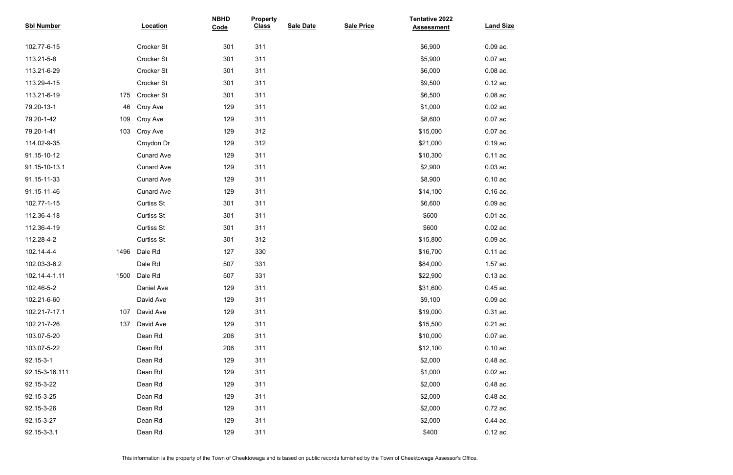| <b>Sbl Number</b> |      | <b>Location</b>   | <b>NBHD</b><br>Code | <b>Property</b><br><b>Class</b> | <b>Sale Date</b> | <b>Sale Price</b> | <b>Tentative 2022</b><br><b>Assessment</b> | <b>Land Size</b> |
|-------------------|------|-------------------|---------------------|---------------------------------|------------------|-------------------|--------------------------------------------|------------------|
| 102.77-6-15       |      | Crocker St        | 301                 | 311                             |                  |                   | \$6,900                                    | $0.09$ ac.       |
| 113.21-5-8        |      | Crocker St        | 301                 | 311                             |                  |                   | \$5,900                                    | $0.07$ ac.       |
| 113.21-6-29       |      | Crocker St        | 301                 | 311                             |                  |                   | \$6,000                                    | $0.08$ ac.       |
| 113.29-4-15       |      | Crocker St        | 301                 | 311                             |                  |                   | \$9,500                                    | $0.12$ ac.       |
| 113.21-6-19       | 175  | Crocker St        | 301                 | 311                             |                  |                   | \$6,500                                    | $0.08$ ac.       |
| 79.20-13-1        | 46   | Croy Ave          | 129                 | 311                             |                  |                   | \$1,000                                    | $0.02$ ac.       |
| 79.20-1-42        | 109  | Croy Ave          | 129                 | 311                             |                  |                   | \$8,600                                    | $0.07$ ac.       |
| 79.20-1-41        | 103  | Croy Ave          | 129                 | 312                             |                  |                   | \$15,000                                   | $0.07$ ac.       |
| 114.02-9-35       |      | Croydon Dr        | 129                 | 312                             |                  |                   | \$21,000                                   | $0.19$ ac.       |
| 91.15-10-12       |      | <b>Cunard Ave</b> | 129                 | 311                             |                  |                   | \$10,300                                   | 0.11 ac.         |
| 91.15-10-13.1     |      | <b>Cunard Ave</b> | 129                 | 311                             |                  |                   | \$2,900                                    | $0.03$ ac.       |
| 91.15-11-33       |      | <b>Cunard Ave</b> | 129                 | 311                             |                  |                   | \$8,900                                    | $0.10$ ac.       |
| 91.15-11-46       |      | <b>Cunard Ave</b> | 129                 | 311                             |                  |                   | \$14,100                                   | $0.16$ ac.       |
| 102.77-1-15       |      | <b>Curtiss St</b> | 301                 | 311                             |                  |                   | \$6,600                                    | $0.09$ ac.       |
| 112.36-4-18       |      | <b>Curtiss St</b> | 301                 | 311                             |                  |                   | \$600                                      | $0.01$ ac.       |
| 112.36-4-19       |      | <b>Curtiss St</b> | 301                 | 311                             |                  |                   | \$600                                      | $0.02$ ac.       |
| 112.28-4-2        |      | <b>Curtiss St</b> | 301                 | 312                             |                  |                   | \$15,800                                   | $0.09$ ac.       |
| 102.14-4-4        | 1496 | Dale Rd           | 127                 | 330                             |                  |                   | \$16,700                                   | $0.11$ ac.       |
| 102.03-3-6.2      |      | Dale Rd           | 507                 | 331                             |                  |                   | \$84,000                                   | 1.57 ac.         |
| 102.14-4-1.11     | 1500 | Dale Rd           | 507                 | 331                             |                  |                   | \$22,900                                   | $0.13$ ac.       |
| 102.46-5-2        |      | Daniel Ave        | 129                 | 311                             |                  |                   | \$31,600                                   | $0.45$ ac.       |
| 102.21-6-60       |      | David Ave         | 129                 | 311                             |                  |                   | \$9,100                                    | $0.09$ ac.       |
| 102.21-7-17.1     | 107  | David Ave         | 129                 | 311                             |                  |                   | \$19,000                                   | $0.31$ ac.       |
| 102.21-7-26       | 137  | David Ave         | 129                 | 311                             |                  |                   | \$15,500                                   | $0.21$ ac.       |
| 103.07-5-20       |      | Dean Rd           | 206                 | 311                             |                  |                   | \$10,000                                   | $0.07$ ac.       |
| 103.07-5-22       |      | Dean Rd           | 206                 | 311                             |                  |                   | \$12,100                                   | $0.10$ ac.       |
| 92.15-3-1         |      | Dean Rd           | 129                 | 311                             |                  |                   | \$2,000                                    | 0.48 ac.         |
| 92.15-3-16.111    |      | Dean Rd           | 129                 | 311                             |                  |                   | \$1,000                                    | $0.02$ ac.       |
| 92.15-3-22        |      | Dean Rd           | 129                 | 311                             |                  |                   | \$2,000                                    | 0.48 ac.         |
| 92.15-3-25        |      | Dean Rd           | 129                 | 311                             |                  |                   | \$2,000                                    | 0.48 ac.         |
| 92.15-3-26        |      | Dean Rd           | 129                 | 311                             |                  |                   | \$2,000                                    | 0.72 ac.         |
| 92.15-3-27        |      | Dean Rd           | 129                 | 311                             |                  |                   | \$2,000                                    | 0.44 ac.         |
| 92.15-3-3.1       |      | Dean Rd           | 129                 | 311                             |                  |                   | \$400                                      | $0.12$ ac.       |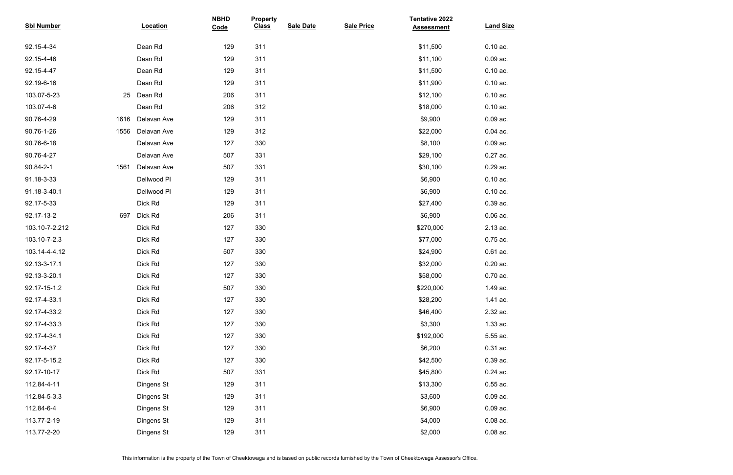| <b>Sbl Number</b> |      | <b>Location</b> | <b>NBHD</b><br>Code | <b>Property</b><br><b>Class</b> | <b>Sale Date</b> | <b>Sale Price</b> | <b>Tentative 2022</b><br><b>Assessment</b> | <b>Land Size</b> |
|-------------------|------|-----------------|---------------------|---------------------------------|------------------|-------------------|--------------------------------------------|------------------|
| 92.15-4-34        |      | Dean Rd         | 129                 | 311                             |                  |                   | \$11,500                                   | $0.10$ ac.       |
| 92.15-4-46        |      | Dean Rd         | 129                 | 311                             |                  |                   | \$11,100                                   | $0.09$ ac.       |
| 92.15-4-47        |      | Dean Rd         | 129                 | 311                             |                  |                   | \$11,500                                   | $0.10$ ac.       |
| 92.19-6-16        |      | Dean Rd         | 129                 | 311                             |                  |                   | \$11,900                                   | $0.10$ ac.       |
| 103.07-5-23       | 25   | Dean Rd         | 206                 | 311                             |                  |                   | \$12,100                                   | $0.10$ ac.       |
| 103.07-4-6        |      | Dean Rd         | 206                 | 312                             |                  |                   | \$18,000                                   | $0.10$ ac.       |
| 90.76-4-29        | 1616 | Delavan Ave     | 129                 | 311                             |                  |                   | \$9,900                                    | $0.09$ ac.       |
| 90.76-1-26        | 1556 | Delavan Ave     | 129                 | 312                             |                  |                   | \$22,000                                   | $0.04$ ac.       |
| 90.76-6-18        |      | Delavan Ave     | 127                 | 330                             |                  |                   | \$8,100                                    | $0.09$ ac.       |
| 90.76-4-27        |      | Delavan Ave     | 507                 | 331                             |                  |                   | \$29,100                                   | $0.27$ ac.       |
| 90.84-2-1         | 1561 | Delavan Ave     | 507                 | 331                             |                  |                   | \$30,100                                   | 0.29 ac.         |
| 91.18-3-33        |      | Dellwood PI     | 129                 | 311                             |                  |                   | \$6,900                                    | $0.10$ ac.       |
| 91.18-3-40.1      |      | Dellwood Pl     | 129                 | 311                             |                  |                   | \$6,900                                    | $0.10$ ac.       |
| 92.17-5-33        |      | Dick Rd         | 129                 | 311                             |                  |                   | \$27,400                                   | 0.39 ac.         |
| 92.17-13-2        | 697  | Dick Rd         | 206                 | 311                             |                  |                   | \$6,900                                    | $0.06$ ac.       |
| 103.10-7-2.212    |      | Dick Rd         | 127                 | 330                             |                  |                   | \$270,000                                  | 2.13 ac.         |
| 103.10-7-2.3      |      | Dick Rd         | 127                 | 330                             |                  |                   | \$77,000                                   | 0.75 ac.         |
| 103.14-4-4.12     |      | Dick Rd         | 507                 | 330                             |                  |                   | \$24,900                                   | $0.61$ ac.       |
| 92.13-3-17.1      |      | Dick Rd         | 127                 | 330                             |                  |                   | \$32,000                                   | $0.20$ ac.       |
| 92.13-3-20.1      |      | Dick Rd         | 127                 | 330                             |                  |                   | \$58,000                                   | $0.70$ ac.       |
| 92.17-15-1.2      |      | Dick Rd         | 507                 | 330                             |                  |                   | \$220,000                                  | 1.49 ac.         |
| 92.17-4-33.1      |      | Dick Rd         | 127                 | 330                             |                  |                   | \$28,200                                   | 1.41 ac.         |
| 92.17-4-33.2      |      | Dick Rd         | 127                 | 330                             |                  |                   | \$46,400                                   | 2.32 ac.         |
| 92.17-4-33.3      |      | Dick Rd         | 127                 | 330                             |                  |                   | \$3,300                                    | 1.33 ac.         |
| 92.17-4-34.1      |      | Dick Rd         | 127                 | 330                             |                  |                   | \$192,000                                  | 5.55 ac.         |
| 92.17-4-37        |      | Dick Rd         | 127                 | 330                             |                  |                   | \$6,200                                    | 0.31 ac.         |
| 92.17-5-15.2      |      | Dick Rd         | 127                 | 330                             |                  |                   | \$42,500                                   | 0.39 ac.         |
| 92.17-10-17       |      | Dick Rd         | 507                 | 331                             |                  |                   | \$45,800                                   | $0.24$ ac.       |
| 112.84-4-11       |      | Dingens St      | 129                 | 311                             |                  |                   | \$13,300                                   | $0.55$ ac.       |
| 112.84-5-3.3      |      | Dingens St      | 129                 | 311                             |                  |                   | \$3,600                                    | $0.09$ ac.       |
| 112.84-6-4        |      | Dingens St      | 129                 | 311                             |                  |                   | \$6,900                                    | $0.09$ ac.       |
| 113.77-2-19       |      | Dingens St      | 129                 | 311                             |                  |                   | \$4,000                                    | $0.08$ ac.       |
| 113.77-2-20       |      | Dingens St      | 129                 | 311                             |                  |                   | \$2,000                                    | $0.08$ ac.       |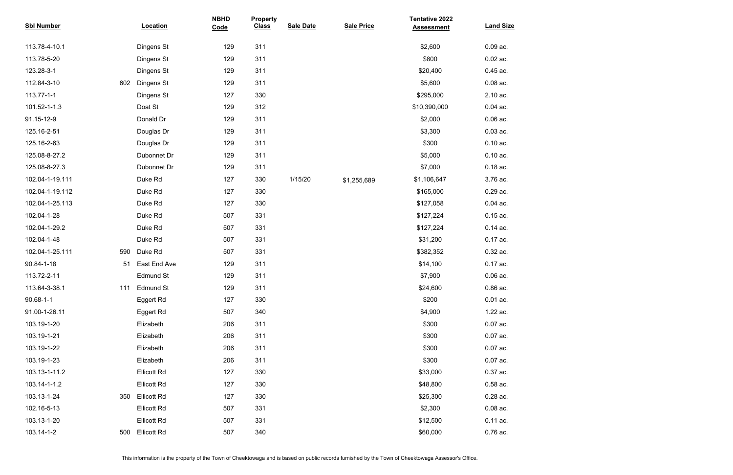| <b>Sbl Number</b> |     | Location           | <b>NBHD</b><br>Code | <b>Property</b><br><b>Class</b> | <b>Sale Date</b> | <b>Sale Price</b> | <b>Tentative 2022</b><br><b>Assessment</b> | <b>Land Size</b> |
|-------------------|-----|--------------------|---------------------|---------------------------------|------------------|-------------------|--------------------------------------------|------------------|
| 113.78-4-10.1     |     | Dingens St         | 129                 | 311                             |                  |                   | \$2,600                                    | $0.09$ ac.       |
| 113.78-5-20       |     | Dingens St         | 129                 | 311                             |                  |                   | \$800                                      | $0.02$ ac.       |
| 123.28-3-1        |     | Dingens St         | 129                 | 311                             |                  |                   | \$20,400                                   | 0.45 ac.         |
| 112.84-3-10       | 602 | Dingens St         | 129                 | 311                             |                  |                   | \$5,600                                    | $0.08$ ac.       |
| 113.77-1-1        |     | Dingens St         | 127                 | 330                             |                  |                   | \$295,000                                  | 2.10 ac.         |
| 101.52-1-1.3      |     | Doat St            | 129                 | 312                             |                  |                   | \$10,390,000                               | $0.04$ ac.       |
| 91.15-12-9        |     | Donald Dr          | 129                 | 311                             |                  |                   | \$2,000                                    | $0.06$ ac.       |
| 125.16-2-51       |     | Douglas Dr         | 129                 | 311                             |                  |                   | \$3,300                                    | $0.03$ ac.       |
| 125.16-2-63       |     | Douglas Dr         | 129                 | 311                             |                  |                   | \$300                                      | $0.10$ ac.       |
| 125.08-8-27.2     |     | Dubonnet Dr        | 129                 | 311                             |                  |                   | \$5,000                                    | $0.10$ ac.       |
| 125.08-8-27.3     |     | Dubonnet Dr        | 129                 | 311                             |                  |                   | \$7,000                                    | $0.18$ ac.       |
| 102.04-1-19.111   |     | Duke Rd            | 127                 | 330                             | 1/15/20          | \$1,255,689       | \$1,106,647                                | 3.76 ac.         |
| 102.04-1-19.112   |     | Duke Rd            | 127                 | 330                             |                  |                   | \$165,000                                  | 0.29 ac.         |
| 102.04-1-25.113   |     | Duke Rd            | 127                 | 330                             |                  |                   | \$127,058                                  | $0.04$ ac.       |
| 102.04-1-28       |     | Duke Rd            | 507                 | 331                             |                  |                   | \$127,224                                  | $0.15$ ac.       |
| 102.04-1-29.2     |     | Duke Rd            | 507                 | 331                             |                  |                   | \$127,224                                  | $0.14$ ac.       |
| 102.04-1-48       |     | Duke Rd            | 507                 | 331                             |                  |                   | \$31,200                                   | 0.17 ac.         |
| 102.04-1-25.111   | 590 | Duke Rd            | 507                 | 331                             |                  |                   | \$382,352                                  | 0.32 ac.         |
| 90.84-1-18        | 51  | East End Ave       | 129                 | 311                             |                  |                   | \$14,100                                   | 0.17 ac.         |
| 113.72-2-11       |     | <b>Edmund St</b>   | 129                 | 311                             |                  |                   | \$7,900                                    | $0.06$ ac.       |
| 113.64-3-38.1     | 111 | <b>Edmund St</b>   | 129                 | 311                             |                  |                   | \$24,600                                   | $0.86$ ac.       |
| $90.68 - 1 - 1$   |     | Eggert Rd          | 127                 | 330                             |                  |                   | \$200                                      | $0.01$ ac.       |
| 91.00-1-26.11     |     | <b>Eggert Rd</b>   | 507                 | 340                             |                  |                   | \$4,900                                    | 1.22 ac.         |
| 103.19-1-20       |     | Elizabeth          | 206                 | 311                             |                  |                   | \$300                                      | $0.07$ ac.       |
| 103.19-1-21       |     | Elizabeth          | 206                 | 311                             |                  |                   | \$300                                      | $0.07$ ac.       |
| 103.19-1-22       |     | Elizabeth          | 206                 | 311                             |                  |                   | \$300                                      | $0.07$ ac.       |
| 103.19-1-23       |     | Elizabeth          | 206                 | 311                             |                  |                   | \$300                                      | $0.07$ ac.       |
| 103.13-1-11.2     |     | <b>Ellicott Rd</b> | 127                 | 330                             |                  |                   | \$33,000                                   | 0.37 ac.         |
| 103.14-1-1.2      |     | <b>Ellicott Rd</b> | 127                 | 330                             |                  |                   | \$48,800                                   | $0.58$ ac.       |
| 103.13-1-24       | 350 | <b>Ellicott Rd</b> | 127                 | 330                             |                  |                   | \$25,300                                   | $0.28$ ac.       |
| 102.16-5-13       |     | <b>Ellicott Rd</b> | 507                 | 331                             |                  |                   | \$2,300                                    | $0.08$ ac.       |
| 103.13-1-20       |     | <b>Ellicott Rd</b> | 507                 | 331                             |                  |                   | \$12,500                                   | 0.11 ac.         |
| 103.14-1-2        | 500 | <b>Ellicott Rd</b> | 507                 | 340                             |                  |                   | \$60,000                                   | 0.76 ac.         |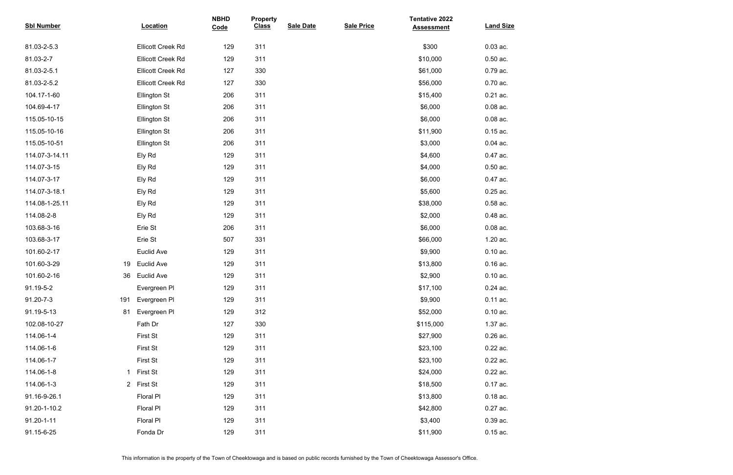| <b>Sbl Number</b> |     | <b>Location</b>          | <b>NBHD</b><br>Code | <b>Property</b><br><b>Class</b> | <b>Sale Date</b> | <b>Sale Price</b> | <b>Tentative 2022</b><br><b>Assessment</b> | <b>Land Size</b> |
|-------------------|-----|--------------------------|---------------------|---------------------------------|------------------|-------------------|--------------------------------------------|------------------|
| 81.03-2-5.3       |     | <b>Ellicott Creek Rd</b> | 129                 | 311                             |                  |                   | \$300                                      | $0.03$ ac.       |
| 81.03-2-7         |     | <b>Ellicott Creek Rd</b> | 129                 | 311                             |                  |                   | \$10,000                                   | $0.50$ ac.       |
| 81.03-2-5.1       |     | <b>Ellicott Creek Rd</b> | 127                 | 330                             |                  |                   | \$61,000                                   | 0.79 ac.         |
| 81.03-2-5.2       |     | <b>Ellicott Creek Rd</b> | 127                 | 330                             |                  |                   | \$56,000                                   | 0.70 ac.         |
| 104.17-1-60       |     | <b>Ellington St</b>      | 206                 | 311                             |                  |                   | \$15,400                                   | $0.21$ ac.       |
| 104.69-4-17       |     | <b>Ellington St</b>      | 206                 | 311                             |                  |                   | \$6,000                                    | $0.08$ ac.       |
| 115.05-10-15      |     | <b>Ellington St</b>      | 206                 | 311                             |                  |                   | \$6,000                                    | $0.08$ ac.       |
| 115.05-10-16      |     | <b>Ellington St</b>      | 206                 | 311                             |                  |                   | \$11,900                                   | $0.15$ ac.       |
| 115.05-10-51      |     | <b>Ellington St</b>      | 206                 | 311                             |                  |                   | \$3,000                                    | $0.04$ ac.       |
| 114.07-3-14.11    |     | Ely Rd                   | 129                 | 311                             |                  |                   | \$4,600                                    | 0.47 ac.         |
| 114.07-3-15       |     | Ely Rd                   | 129                 | 311                             |                  |                   | \$4,000                                    | $0.50$ ac.       |
| 114.07-3-17       |     | Ely Rd                   | 129                 | 311                             |                  |                   | \$6,000                                    | 0.47 ac.         |
| 114.07-3-18.1     |     | Ely Rd                   | 129                 | 311                             |                  |                   | \$5,600                                    | $0.25$ ac.       |
| 114.08-1-25.11    |     | Ely Rd                   | 129                 | 311                             |                  |                   | \$38,000                                   | $0.58$ ac.       |
| 114.08-2-8        |     | Ely Rd                   | 129                 | 311                             |                  |                   | \$2,000                                    | 0.48 ac.         |
| 103.68-3-16       |     | Erie St                  | 206                 | 311                             |                  |                   | \$6,000                                    | $0.08$ ac.       |
| 103.68-3-17       |     | Erie St                  | 507                 | 331                             |                  |                   | \$66,000                                   | 1.20 ac.         |
| 101.60-2-17       |     | Euclid Ave               | 129                 | 311                             |                  |                   | \$9,900                                    | $0.10$ ac.       |
| 101.60-3-29       | 19  | <b>Euclid Ave</b>        | 129                 | 311                             |                  |                   | \$13,800                                   | $0.16$ ac.       |
| 101.60-2-16       | 36  | <b>Euclid Ave</b>        | 129                 | 311                             |                  |                   | \$2,900                                    | $0.10$ ac.       |
| 91.19-5-2         |     | Evergreen PI             | 129                 | 311                             |                  |                   | \$17,100                                   | 0.24 ac.         |
| 91.20-7-3         | 191 | Evergreen PI             | 129                 | 311                             |                  |                   | \$9,900                                    | 0.11 ac.         |
| 91.19-5-13        | 81  | Evergreen PI             | 129                 | 312                             |                  |                   | \$52,000                                   | $0.10$ ac.       |
| 102.08-10-27      |     | Fath Dr                  | 127                 | 330                             |                  |                   | \$115,000                                  | 1.37 ac.         |
| 114.06-1-4        |     | <b>First St</b>          | 129                 | 311                             |                  |                   | \$27,900                                   | $0.26$ ac.       |
| 114.06-1-6        |     | <b>First St</b>          | 129                 | 311                             |                  |                   | \$23,100                                   | 0.22 ac.         |
| 114.06-1-7        |     | <b>First St</b>          | 129                 | 311                             |                  |                   | \$23,100                                   | 0.22 ac.         |
| 114.06-1-8        | 1.  | <b>First St</b>          | 129                 | 311                             |                  |                   | \$24,000                                   | 0.22 ac.         |
| 114.06-1-3        |     | 2 First St               | 129                 | 311                             |                  |                   | \$18,500                                   | 0.17 ac.         |
| 91.16-9-26.1      |     | <b>Floral PI</b>         | 129                 | 311                             |                  |                   | \$13,800                                   | $0.18$ ac.       |
| 91.20-1-10.2      |     | Floral PI                | 129                 | 311                             |                  |                   | \$42,800                                   | 0.27 ac.         |
| 91.20-1-11        |     | Floral PI                | 129                 | 311                             |                  |                   | \$3,400                                    | 0.39 ac.         |
| 91.15-6-25        |     | Fonda Dr                 | 129                 | 311                             |                  |                   | \$11,900                                   | $0.15$ ac.       |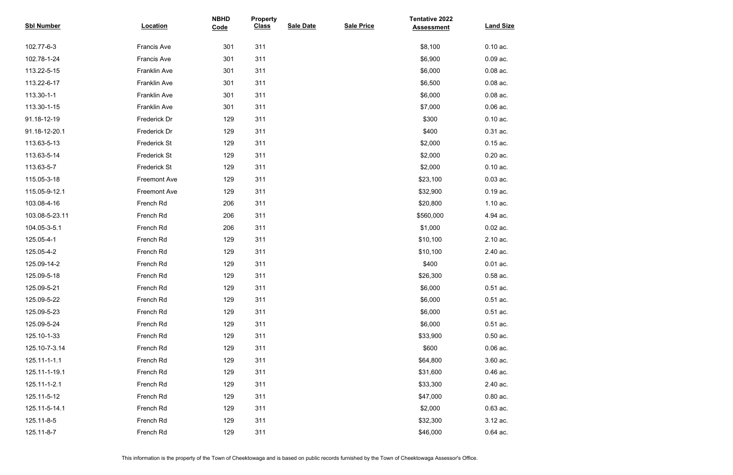| <b>Sbl Number</b> | <b>Location</b>     | <b>NBHD</b><br>Code | <b>Property</b><br><b>Class</b> | <b>Sale Date</b> | <b>Sale Price</b> | <b>Tentative 2022</b><br><b>Assessment</b> | <b>Land Size</b> |
|-------------------|---------------------|---------------------|---------------------------------|------------------|-------------------|--------------------------------------------|------------------|
| 102.77-6-3        | Francis Ave         | 301                 | 311                             |                  |                   | \$8,100                                    | $0.10$ ac.       |
| 102.78-1-24       | <b>Francis Ave</b>  | 301                 | 311                             |                  |                   | \$6,900                                    | $0.09$ ac.       |
| 113.22-5-15       | Franklin Ave        | 301                 | 311                             |                  |                   | \$6,000                                    | $0.08$ ac.       |
| 113.22-6-17       | Franklin Ave        | 301                 | 311                             |                  |                   | \$6,500                                    | $0.08$ ac.       |
| 113.30-1-1        | Franklin Ave        | 301                 | 311                             |                  |                   | \$6,000                                    | $0.08$ ac.       |
| 113.30-1-15       | Franklin Ave        | 301                 | 311                             |                  |                   | \$7,000                                    | $0.06$ ac.       |
| 91.18-12-19       | Frederick Dr        | 129                 | 311                             |                  |                   | \$300                                      | $0.10$ ac.       |
| 91.18-12-20.1     | Frederick Dr        | 129                 | 311                             |                  |                   | \$400                                      | $0.31$ ac.       |
| 113.63-5-13       | <b>Frederick St</b> | 129                 | 311                             |                  |                   | \$2,000                                    | $0.15$ ac.       |
| 113.63-5-14       | <b>Frederick St</b> | 129                 | 311                             |                  |                   | \$2,000                                    | $0.20$ ac.       |
| 113.63-5-7        | <b>Frederick St</b> | 129                 | 311                             |                  |                   | \$2,000                                    | $0.10$ ac.       |
| 115.05-3-18       | <b>Freemont Ave</b> | 129                 | 311                             |                  |                   | \$23,100                                   | $0.03$ ac.       |
| 115.05-9-12.1     | <b>Freemont Ave</b> | 129                 | 311                             |                  |                   | \$32,900                                   | $0.19$ ac.       |
| 103.08-4-16       | French Rd           | 206                 | 311                             |                  |                   | \$20,800                                   | 1.10 ac.         |
| 103.08-5-23.11    | French Rd           | 206                 | 311                             |                  |                   | \$560,000                                  | 4.94 ac.         |
| 104.05-3-5.1      | French Rd           | 206                 | 311                             |                  |                   | \$1,000                                    | $0.02$ ac.       |
| 125.05-4-1        | French Rd           | 129                 | 311                             |                  |                   | \$10,100                                   | 2.10 ac.         |
| 125.05-4-2        | French Rd           | 129                 | 311                             |                  |                   | \$10,100                                   | 2.40 ac.         |
| 125.09-14-2       | French Rd           | 129                 | 311                             |                  |                   | \$400                                      | $0.01$ ac.       |
| 125.09-5-18       | French Rd           | 129                 | 311                             |                  |                   | \$26,300                                   | $0.58$ ac.       |
| 125.09-5-21       | French Rd           | 129                 | 311                             |                  |                   | \$6,000                                    | $0.51$ ac.       |
| 125.09-5-22       | French Rd           | 129                 | 311                             |                  |                   | \$6,000                                    | $0.51$ ac.       |
| 125.09-5-23       | French Rd           | 129                 | 311                             |                  |                   | \$6,000                                    | $0.51$ ac.       |
| 125.09-5-24       | French Rd           | 129                 | 311                             |                  |                   | \$6,000                                    | $0.51$ ac.       |
| 125.10-1-33       | French Rd           | 129                 | 311                             |                  |                   | \$33,900                                   | $0.50$ ac.       |
| 125.10-7-3.14     | French Rd           | 129                 | 311                             |                  |                   | \$600                                      | $0.06$ ac.       |
| 125.11-1-1.1      | French Rd           | 129                 | 311                             |                  |                   | \$64,800                                   | 3.60 ac.         |
| 125.11-1-19.1     | French Rd           | 129                 | 311                             |                  |                   | \$31,600                                   | $0.46$ ac.       |
| 125.11-1-2.1      | French Rd           | 129                 | 311                             |                  |                   | \$33,300                                   | 2.40 ac.         |
| 125.11-5-12       | French Rd           | 129                 | 311                             |                  |                   | \$47,000                                   | $0.80$ ac.       |
| 125.11-5-14.1     | French Rd           | 129                 | 311                             |                  |                   | \$2,000                                    | $0.63$ ac.       |
| 125.11-8-5        | French Rd           | 129                 | 311                             |                  |                   | \$32,300                                   | 3.12 ac.         |
| 125.11-8-7        | French Rd           | 129                 | 311                             |                  |                   | \$46,000                                   | $0.64$ ac.       |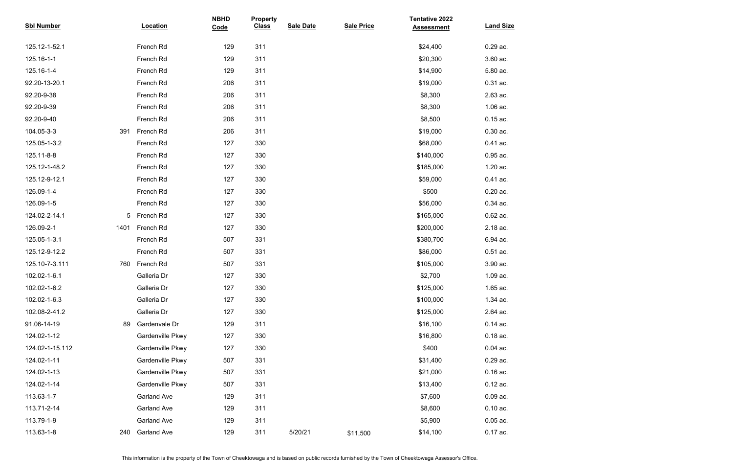| <b>Sbl Number</b> |      | Location           | <b>NBHD</b><br>Code | <b>Property</b><br><b>Class</b> | <b>Sale Date</b> | <b>Sale Price</b> | <b>Tentative 2022</b><br><b>Assessment</b> | <b>Land Size</b> |
|-------------------|------|--------------------|---------------------|---------------------------------|------------------|-------------------|--------------------------------------------|------------------|
| 125.12-1-52.1     |      | French Rd          | 129                 | 311                             |                  |                   | \$24,400                                   | 0.29 ac.         |
| 125.16-1-1        |      | French Rd          | 129                 | 311                             |                  |                   | \$20,300                                   | 3.60 ac.         |
| 125.16-1-4        |      | French Rd          | 129                 | 311                             |                  |                   | \$14,900                                   | 5.80 ac.         |
| 92.20-13-20.1     |      | French Rd          | 206                 | 311                             |                  |                   | \$19,000                                   | 0.31 ac.         |
| 92.20-9-38        |      | French Rd          | 206                 | 311                             |                  |                   | \$8,300                                    | 2.63 ac.         |
| 92.20-9-39        |      | French Rd          | 206                 | 311                             |                  |                   | \$8,300                                    | 1.06 ac.         |
| 92.20-9-40        |      | French Rd          | 206                 | 311                             |                  |                   | \$8,500                                    | $0.15$ ac.       |
| 104.05-3-3        | 391  | French Rd          | 206                 | 311                             |                  |                   | \$19,000                                   | $0.30$ ac.       |
| 125.05-1-3.2      |      | French Rd          | 127                 | 330                             |                  |                   | \$68,000                                   | 0.41 ac.         |
| 125.11-8-8        |      | French Rd          | 127                 | 330                             |                  |                   | \$140,000                                  | 0.95 ac.         |
| 125.12-1-48.2     |      | French Rd          | 127                 | 330                             |                  |                   | \$185,000                                  | 1.20 ac.         |
| 125.12-9-12.1     |      | French Rd          | 127                 | 330                             |                  |                   | \$59,000                                   | 0.41 ac.         |
| 126.09-1-4        |      | French Rd          | 127                 | 330                             |                  |                   | \$500                                      | $0.20$ ac.       |
| 126.09-1-5        |      | French Rd          | 127                 | 330                             |                  |                   | \$56,000                                   | 0.34 ac.         |
| 124.02-2-14.1     |      | 5 French Rd        | 127                 | 330                             |                  |                   | \$165,000                                  | $0.62$ ac.       |
| 126.09-2-1        | 1401 | French Rd          | 127                 | 330                             |                  |                   | \$200,000                                  | 2.18 ac.         |
| 125.05-1-3.1      |      | French Rd          | 507                 | 331                             |                  |                   | \$380,700                                  | 6.94 ac.         |
| 125.12-9-12.2     |      | French Rd          | 507                 | 331                             |                  |                   | \$86,000                                   | $0.51$ ac.       |
| 125.10-7-3.111    | 760  | French Rd          | 507                 | 331                             |                  |                   | \$105,000                                  | 3.90 ac.         |
| 102.02-1-6.1      |      | Galleria Dr        | 127                 | 330                             |                  |                   | \$2,700                                    | 1.09 ac.         |
| 102.02-1-6.2      |      | Galleria Dr        | 127                 | 330                             |                  |                   | \$125,000                                  | 1.65 ac.         |
| 102.02-1-6.3      |      | Galleria Dr        | 127                 | 330                             |                  |                   | \$100,000                                  | 1.34 ac.         |
| 102.08-2-41.2     |      | Galleria Dr        | 127                 | 330                             |                  |                   | \$125,000                                  | 2.64 ac.         |
| 91.06-14-19       | 89   | Gardenvale Dr      | 129                 | 311                             |                  |                   | \$16,100                                   | $0.14$ ac.       |
| 124.02-1-12       |      | Gardenville Pkwy   | 127                 | 330                             |                  |                   | \$16,800                                   | $0.18$ ac.       |
| 124.02-1-15.112   |      | Gardenville Pkwy   | 127                 | 330                             |                  |                   | \$400                                      | $0.04$ ac.       |
| 124.02-1-11       |      | Gardenville Pkwy   | 507                 | 331                             |                  |                   | \$31,400                                   | 0.29 ac.         |
| 124.02-1-13       |      | Gardenville Pkwy   | 507                 | 331                             |                  |                   | \$21,000                                   | $0.16$ ac.       |
| 124.02-1-14       |      | Gardenville Pkwy   | 507                 | 331                             |                  |                   | \$13,400                                   | $0.12$ ac.       |
| 113.63-1-7        |      | <b>Garland Ave</b> | 129                 | 311                             |                  |                   | \$7,600                                    | $0.09$ ac.       |
| 113.71-2-14       |      | <b>Garland Ave</b> | 129                 | 311                             |                  |                   | \$8,600                                    | $0.10$ ac.       |
| 113.79-1-9        |      | <b>Garland Ave</b> | 129                 | 311                             |                  |                   | \$5,900                                    | $0.05$ ac.       |
| 113.63-1-8        | 240  | <b>Garland Ave</b> | 129                 | 311                             | 5/20/21          | \$11,500          | \$14,100                                   | $0.17$ ac.       |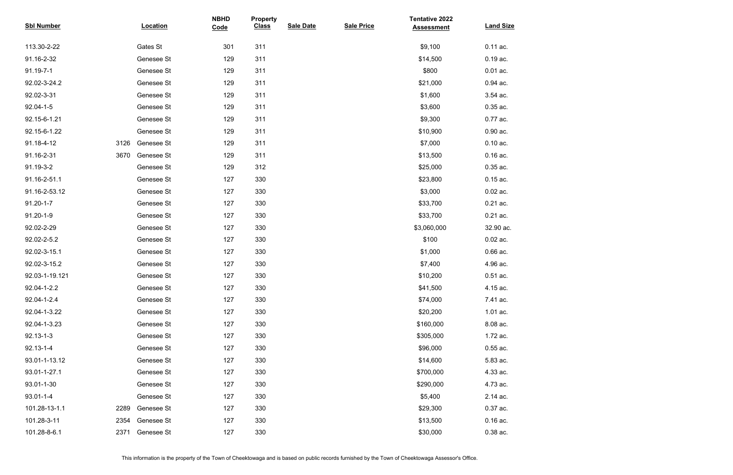| <b>Sbl Number</b> |      | <b>Location</b> | <b>NBHD</b><br>Code | <b>Property</b><br><b>Class</b> | <b>Sale Date</b> | <b>Sale Price</b> | <b>Tentative 2022</b><br><b>Assessment</b> | <b>Land Size</b> |
|-------------------|------|-----------------|---------------------|---------------------------------|------------------|-------------------|--------------------------------------------|------------------|
| 113.30-2-22       |      | Gates St        | 301                 | 311                             |                  |                   | \$9,100                                    | 0.11 ac.         |
| 91.16-2-32        |      | Genesee St      | 129                 | 311                             |                  |                   | \$14,500                                   | $0.19$ ac.       |
| 91.19-7-1         |      | Genesee St      | 129                 | 311                             |                  |                   | \$800                                      | $0.01$ ac.       |
| 92.02-3-24.2      |      | Genesee St      | 129                 | 311                             |                  |                   | \$21,000                                   | 0.94 ac.         |
| 92.02-3-31        |      | Genesee St      | 129                 | 311                             |                  |                   | \$1,600                                    | 3.54 ac.         |
| 92.04-1-5         |      | Genesee St      | 129                 | 311                             |                  |                   | \$3,600                                    | 0.35 ac.         |
| 92.15-6-1.21      |      | Genesee St      | 129                 | 311                             |                  |                   | \$9,300                                    | 0.77 ac.         |
| 92.15-6-1.22      |      | Genesee St      | 129                 | 311                             |                  |                   | \$10,900                                   | $0.90$ ac.       |
| 91.18-4-12        | 3126 | Genesee St      | 129                 | 311                             |                  |                   | \$7,000                                    | $0.10$ ac.       |
| 91.16-2-31        | 3670 | Genesee St      | 129                 | 311                             |                  |                   | \$13,500                                   | $0.16$ ac.       |
| 91.19-3-2         |      | Genesee St      | 129                 | 312                             |                  |                   | \$25,000                                   | 0.35 ac.         |
| 91.16-2-51.1      |      | Genesee St      | 127                 | 330                             |                  |                   | \$23,800                                   | $0.15$ ac.       |
| 91.16-2-53.12     |      | Genesee St      | 127                 | 330                             |                  |                   | \$3,000                                    | $0.02$ ac.       |
| $91.20 - 1 - 7$   |      | Genesee St      | 127                 | 330                             |                  |                   | \$33,700                                   | $0.21$ ac.       |
| 91.20-1-9         |      | Genesee St      | 127                 | 330                             |                  |                   | \$33,700                                   | $0.21$ ac.       |
| 92.02-2-29        |      | Genesee St      | 127                 | 330                             |                  |                   | \$3,060,000                                | 32.90 ac.        |
| 92.02-2-5.2       |      | Genesee St      | 127                 | 330                             |                  |                   | \$100                                      | $0.02$ ac.       |
| 92.02-3-15.1      |      | Genesee St      | 127                 | 330                             |                  |                   | \$1,000                                    | $0.66$ ac.       |
| 92.02-3-15.2      |      | Genesee St      | 127                 | 330                             |                  |                   | \$7,400                                    | 4.96 ac.         |
| 92.03-1-19.121    |      | Genesee St      | 127                 | 330                             |                  |                   | \$10,200                                   | $0.51$ ac.       |
| 92.04-1-2.2       |      | Genesee St      | 127                 | 330                             |                  |                   | \$41,500                                   | 4.15 ac.         |
| 92.04-1-2.4       |      | Genesee St      | 127                 | 330                             |                  |                   | \$74,000                                   | 7.41 ac.         |
| 92.04-1-3.22      |      | Genesee St      | 127                 | 330                             |                  |                   | \$20,200                                   | 1.01 ac.         |
| 92.04-1-3.23      |      | Genesee St      | 127                 | 330                             |                  |                   | \$160,000                                  | 8.08 ac.         |
| $92.13 - 1 - 3$   |      | Genesee St      | 127                 | 330                             |                  |                   | \$305,000                                  | 1.72 ac.         |
| $92.13 - 1 - 4$   |      | Genesee St      | 127                 | 330                             |                  |                   | \$96,000                                   | $0.55$ ac.       |
| 93.01-1-13.12     |      | Genesee St      | 127                 | 330                             |                  |                   | \$14,600                                   | 5.83 ac.         |
| 93.01-1-27.1      |      | Genesee St      | 127                 | 330                             |                  |                   | \$700,000                                  | 4.33 ac.         |
| 93.01-1-30        |      | Genesee St      | 127                 | 330                             |                  |                   | \$290,000                                  | 4.73 ac.         |
| $93.01 - 1 - 4$   |      | Genesee St      | 127                 | 330                             |                  |                   | \$5,400                                    | 2.14 ac.         |
| 101.28-13-1.1     | 2289 | Genesee St      | 127                 | 330                             |                  |                   | \$29,300                                   | 0.37 ac.         |
| 101.28-3-11       | 2354 | Genesee St      | 127                 | 330                             |                  |                   | \$13,500                                   | $0.16$ ac.       |
| 101.28-8-6.1      | 2371 | Genesee St      | 127                 | 330                             |                  |                   | \$30,000                                   | $0.38$ ac.       |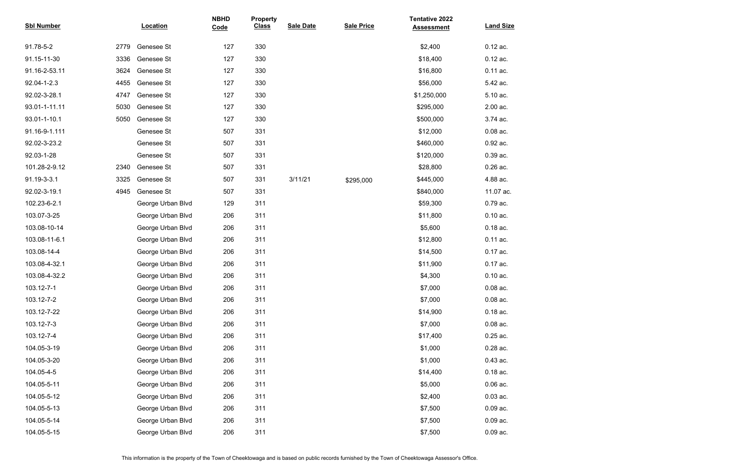| <b>Sbl Number</b> |      | <b>Location</b>   | <b>NBHD</b><br>Code | <b>Property</b><br><b>Class</b> | <b>Sale Date</b> | <b>Sale Price</b> | <b>Tentative 2022</b><br><b>Assessment</b> | <b>Land Size</b> |
|-------------------|------|-------------------|---------------------|---------------------------------|------------------|-------------------|--------------------------------------------|------------------|
| 91.78-5-2         | 2779 | Genesee St        | 127                 | 330                             |                  |                   | \$2,400                                    | $0.12$ ac.       |
| 91.15-11-30       | 3336 | Genesee St        | 127                 | 330                             |                  |                   | \$18,400                                   | $0.12$ ac.       |
| 91.16-2-53.11     | 3624 | Genesee St        | 127                 | 330                             |                  |                   | \$16,800                                   | $0.11$ ac.       |
| 92.04-1-2.3       | 4455 | Genesee St        | 127                 | 330                             |                  |                   | \$56,000                                   | 5.42 ac.         |
| 92.02-3-28.1      | 4747 | Genesee St        | 127                 | 330                             |                  |                   | \$1,250,000                                | 5.10 ac.         |
| 93.01-1-11.11     | 5030 | Genesee St        | 127                 | 330                             |                  |                   | \$295,000                                  | 2.00 ac.         |
| 93.01-1-10.1      | 5050 | Genesee St        | 127                 | 330                             |                  |                   | \$500,000                                  | 3.74 ac.         |
| 91.16-9-1.111     |      | Genesee St        | 507                 | 331                             |                  |                   | \$12,000                                   | $0.08$ ac.       |
| 92.02-3-23.2      |      | Genesee St        | 507                 | 331                             |                  |                   | \$460,000                                  | 0.92 ac.         |
| 92.03-1-28        |      | Genesee St        | 507                 | 331                             |                  |                   | \$120,000                                  | 0.39 ac.         |
| 101.28-2-9.12     | 2340 | Genesee St        | 507                 | 331                             |                  |                   | \$28,800                                   | $0.26$ ac.       |
| 91.19-3-3.1       | 3325 | Genesee St        | 507                 | 331                             | 3/11/21          | \$295,000         | \$445,000                                  | 4.88 ac.         |
| 92.02-3-19.1      | 4945 | Genesee St        | 507                 | 331                             |                  |                   | \$840,000                                  | 11.07 ac.        |
| 102.23-6-2.1      |      | George Urban Blvd | 129                 | 311                             |                  |                   | \$59,300                                   | 0.79 ac.         |
| 103.07-3-25       |      | George Urban Blvd | 206                 | 311                             |                  |                   | \$11,800                                   | $0.10$ ac.       |
| 103.08-10-14      |      | George Urban Blvd | 206                 | 311                             |                  |                   | \$5,600                                    | $0.18$ ac.       |
| 103.08-11-6.1     |      | George Urban Blvd | 206                 | 311                             |                  |                   | \$12,800                                   | 0.11 ac.         |
| 103.08-14-4       |      | George Urban Blvd | 206                 | 311                             |                  |                   | \$14,500                                   | 0.17 ac.         |
| 103.08-4-32.1     |      | George Urban Blvd | 206                 | 311                             |                  |                   | \$11,900                                   | 0.17 ac.         |
| 103.08-4-32.2     |      | George Urban Blvd | 206                 | 311                             |                  |                   | \$4,300                                    | $0.10$ ac.       |
| 103.12-7-1        |      | George Urban Blvd | 206                 | 311                             |                  |                   | \$7,000                                    | $0.08$ ac.       |
| 103.12-7-2        |      | George Urban Blvd | 206                 | 311                             |                  |                   | \$7,000                                    | $0.08$ ac.       |
| 103.12-7-22       |      | George Urban Blvd | 206                 | 311                             |                  |                   | \$14,900                                   | $0.18$ ac.       |
| 103.12-7-3        |      | George Urban Blvd | 206                 | 311                             |                  |                   | \$7,000                                    | $0.08$ ac.       |
| 103.12-7-4        |      | George Urban Blvd | 206                 | 311                             |                  |                   | \$17,400                                   | $0.25$ ac.       |
| 104.05-3-19       |      | George Urban Blvd | 206                 | 311                             |                  |                   | \$1,000                                    | 0.28 ac.         |
| 104.05-3-20       |      | George Urban Blvd | 206                 | 311                             |                  |                   | \$1,000                                    | $0.43$ ac.       |
| 104.05-4-5        |      | George Urban Blvd | 206                 | 311                             |                  |                   | \$14,400                                   | $0.18$ ac.       |
| 104.05-5-11       |      | George Urban Blvd | 206                 | 311                             |                  |                   | \$5,000                                    | $0.06$ ac.       |
| 104.05-5-12       |      | George Urban Blvd | 206                 | 311                             |                  |                   | \$2,400                                    | $0.03$ ac.       |
| 104.05-5-13       |      | George Urban Blvd | 206                 | 311                             |                  |                   | \$7,500                                    | $0.09$ ac.       |
| 104.05-5-14       |      | George Urban Blvd | 206                 | 311                             |                  |                   | \$7,500                                    | $0.09$ ac.       |
| 104.05-5-15       |      | George Urban Blvd | 206                 | 311                             |                  |                   | \$7,500                                    | $0.09$ ac.       |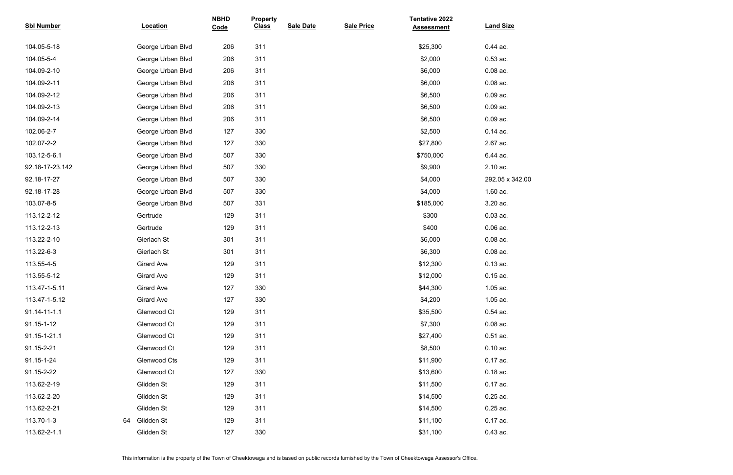| <b>Sbl Number</b> |    | <b>Location</b>   | <b>NBHD</b><br>Code | <b>Property</b><br><b>Class</b> | <b>Sale Date</b> | <b>Sale Price</b> | <b>Tentative 2022</b><br><b>Assessment</b> | <b>Land Size</b> |
|-------------------|----|-------------------|---------------------|---------------------------------|------------------|-------------------|--------------------------------------------|------------------|
| 104.05-5-18       |    | George Urban Blvd | 206                 | 311                             |                  |                   | \$25,300                                   | 0.44 ac.         |
| 104.05-5-4        |    | George Urban Blvd | 206                 | 311                             |                  |                   | \$2,000                                    | $0.53$ ac.       |
| 104.09-2-10       |    | George Urban Blvd | 206                 | 311                             |                  |                   | \$6,000                                    | $0.08$ ac.       |
| 104.09-2-11       |    | George Urban Blvd | 206                 | 311                             |                  |                   | \$6,000                                    | $0.08$ ac.       |
| 104.09-2-12       |    | George Urban Blvd | 206                 | 311                             |                  |                   | \$6,500                                    | $0.09$ ac.       |
| 104.09-2-13       |    | George Urban Blvd | 206                 | 311                             |                  |                   | \$6,500                                    | $0.09$ ac.       |
| 104.09-2-14       |    | George Urban Blvd | 206                 | 311                             |                  |                   | \$6,500                                    | $0.09$ ac.       |
| 102.06-2-7        |    | George Urban Blvd | 127                 | 330                             |                  |                   | \$2,500                                    | $0.14$ ac.       |
| 102.07-2-2        |    | George Urban Blvd | 127                 | 330                             |                  |                   | \$27,800                                   | 2.67 ac.         |
| 103.12-5-6.1      |    | George Urban Blvd | 507                 | 330                             |                  |                   | \$750,000                                  | 6.44 ac.         |
| 92.18-17-23.142   |    | George Urban Blvd | 507                 | 330                             |                  |                   | \$9,900                                    | 2.10 ac.         |
| 92.18-17-27       |    | George Urban Blvd | 507                 | 330                             |                  |                   | \$4,000                                    | 292.05 x 342.00  |
| 92.18-17-28       |    | George Urban Blvd | 507                 | 330                             |                  |                   | \$4,000                                    | 1.60 ac.         |
| 103.07-8-5        |    | George Urban Blvd | 507                 | 331                             |                  |                   | \$185,000                                  | 3.20 ac.         |
| 113.12-2-12       |    | Gertrude          | 129                 | 311                             |                  |                   | \$300                                      | $0.03$ ac.       |
| 113.12-2-13       |    | Gertrude          | 129                 | 311                             |                  |                   | \$400                                      | $0.06$ ac.       |
| 113.22-2-10       |    | Gierlach St       | 301                 | 311                             |                  |                   | \$6,000                                    | $0.08$ ac.       |
| 113.22-6-3        |    | Gierlach St       | 301                 | 311                             |                  |                   | \$6,300                                    | $0.08$ ac.       |
| 113.55-4-5        |    | <b>Girard Ave</b> | 129                 | 311                             |                  |                   | \$12,300                                   | $0.13$ ac.       |
| 113.55-5-12       |    | <b>Girard Ave</b> | 129                 | 311                             |                  |                   | \$12,000                                   | $0.15$ ac.       |
| 113.47-1-5.11     |    | <b>Girard Ave</b> | 127                 | 330                             |                  |                   | \$44,300                                   | 1.05 ac.         |
| 113.47-1-5.12     |    | <b>Girard Ave</b> | 127                 | 330                             |                  |                   | \$4,200                                    | 1.05 ac.         |
| 91.14-11-1.1      |    | Glenwood Ct       | 129                 | 311                             |                  |                   | \$35,500                                   | $0.54$ ac.       |
| 91.15-1-12        |    | Glenwood Ct       | 129                 | 311                             |                  |                   | \$7,300                                    | $0.08$ ac.       |
| 91.15-1-21.1      |    | Glenwood Ct       | 129                 | 311                             |                  |                   | \$27,400                                   | $0.51$ ac.       |
| 91.15-2-21        |    | Glenwood Ct       | 129                 | 311                             |                  |                   | \$8,500                                    | $0.10$ ac.       |
| 91.15-1-24        |    | Glenwood Cts      | 129                 | 311                             |                  |                   | \$11,900                                   | 0.17 ac.         |
| 91.15-2-22        |    | Glenwood Ct       | 127                 | 330                             |                  |                   | \$13,600                                   | $0.18$ ac.       |
| 113.62-2-19       |    | Glidden St        | 129                 | 311                             |                  |                   | \$11,500                                   | 0.17 ac.         |
| 113.62-2-20       |    | Glidden St        | 129                 | 311                             |                  |                   | \$14,500                                   | $0.25$ ac.       |
| 113.62-2-21       |    | Glidden St        | 129                 | 311                             |                  |                   | \$14,500                                   | $0.25$ ac.       |
| 113.70-1-3        | 64 | Glidden St        | 129                 | 311                             |                  |                   | \$11,100                                   | 0.17 ac.         |
| 113.62-2-1.1      |    | Glidden St        | 127                 | 330                             |                  |                   | \$31,100                                   | $0.43$ ac.       |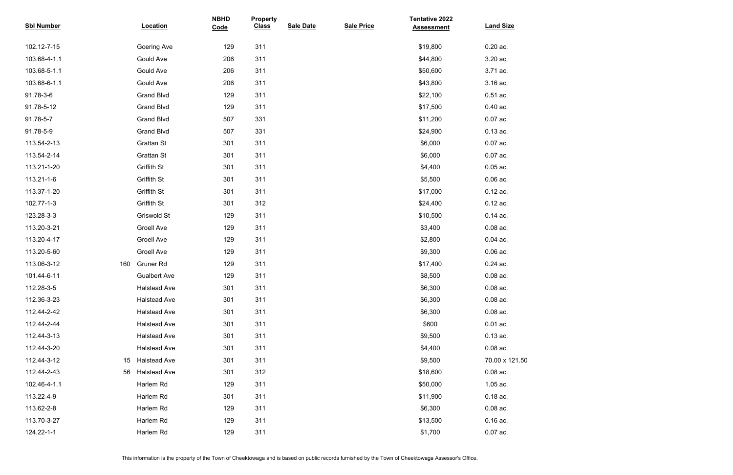| <b>Sbl Number</b>  | Location            | <b>NBHD</b><br>Code | <b>Property</b><br><b>Class</b> | <b>Sale Date</b> | <b>Sale Price</b> | <b>Tentative 2022</b><br><b>Assessment</b> | <b>Land Size</b> |
|--------------------|---------------------|---------------------|---------------------------------|------------------|-------------------|--------------------------------------------|------------------|
|                    |                     |                     |                                 |                  |                   |                                            |                  |
| 102.12-7-15        | Goering Ave         | 129                 | 311                             |                  |                   | \$19,800                                   | $0.20$ ac.       |
| 103.68-4-1.1       | Gould Ave           | 206                 | 311                             |                  |                   | \$44,800                                   | 3.20 ac.         |
| 103.68-5-1.1       | Gould Ave           | 206                 | 311                             |                  |                   | \$50,600                                   | 3.71 ac.         |
| 103.68-6-1.1       | Gould Ave           | 206                 | 311                             |                  |                   | \$43,800                                   | 3.16 ac.         |
| 91.78-3-6          | <b>Grand Blvd</b>   | 129                 | 311                             |                  |                   | \$22,100                                   | $0.51$ ac.       |
| 91.78-5-12         | <b>Grand Blvd</b>   | 129                 | 311                             |                  |                   | \$17,500                                   | $0.40$ ac.       |
| 91.78-5-7          | <b>Grand Blvd</b>   | 507                 | 331                             |                  |                   | \$11,200                                   | 0.07 ac.         |
| 91.78-5-9          | <b>Grand Blvd</b>   | 507                 | 331                             |                  |                   | \$24,900                                   | $0.13$ ac.       |
| 113.54-2-13        | <b>Grattan St</b>   | 301                 | 311                             |                  |                   | \$6,000                                    | 0.07 ac.         |
| 113.54-2-14        | <b>Grattan St</b>   | 301                 | 311                             |                  |                   | \$6,000                                    | $0.07$ ac.       |
| 113.21-1-20        | Griffith St         | 301                 | 311                             |                  |                   | \$4,400                                    | $0.05$ ac.       |
| 113.21-1-6         | Griffith St         | 301                 | 311                             |                  |                   | \$5,500                                    | $0.06$ ac.       |
| 113.37-1-20        | Griffith St         | 301                 | 311                             |                  |                   | \$17,000                                   | $0.12$ ac.       |
| 102.77-1-3         | Griffith St         | 301                 | 312                             |                  |                   | \$24,400                                   | $0.12$ ac.       |
| 123.28-3-3         | Griswold St         | 129                 | 311                             |                  |                   | \$10,500                                   | $0.14$ ac.       |
| 113.20-3-21        | <b>Groell Ave</b>   | 129                 | 311                             |                  |                   | \$3,400                                    | $0.08$ ac.       |
| 113.20-4-17        | <b>Groell Ave</b>   | 129                 | 311                             |                  |                   | \$2,800                                    | $0.04$ ac.       |
| 113.20-5-60        | <b>Groell Ave</b>   | 129                 | 311                             |                  |                   | \$9,300                                    | $0.06$ ac.       |
| 113.06-3-12<br>160 | <b>Gruner Rd</b>    | 129                 | 311                             |                  |                   | \$17,400                                   | $0.24$ ac.       |
| 101.44-6-11        | <b>Gualbert Ave</b> | 129                 | 311                             |                  |                   | \$8,500                                    | $0.08$ ac.       |
| 112.28-3-5         | <b>Halstead Ave</b> | 301                 | 311                             |                  |                   | \$6,300                                    | $0.08$ ac.       |
| 112.36-3-23        | <b>Halstead Ave</b> | 301                 | 311                             |                  |                   | \$6,300                                    | $0.08$ ac.       |
| 112.44-2-42        | <b>Halstead Ave</b> | 301                 | 311                             |                  |                   | \$6,300                                    | $0.08$ ac.       |
| 112.44-2-44        | <b>Halstead Ave</b> | 301                 | 311                             |                  |                   | \$600                                      | $0.01$ ac.       |
| 112.44-3-13        | <b>Halstead Ave</b> | 301                 | 311                             |                  |                   | \$9,500                                    | $0.13$ ac.       |
| 112.44-3-20        | <b>Halstead Ave</b> | 301                 | 311                             |                  |                   | \$4,400                                    | $0.08$ ac.       |
| 112.44-3-12<br>15  | <b>Halstead Ave</b> | 301                 | 311                             |                  |                   | \$9,500                                    | 70.00 x 121.50   |
| 112.44-2-43<br>56  | <b>Halstead Ave</b> | 301                 | 312                             |                  |                   | \$18,600                                   | $0.08$ ac.       |
| 102.46-4-1.1       | Harlem Rd           | 129                 | 311                             |                  |                   | \$50,000                                   | 1.05 ac.         |
| 113.22-4-9         | Harlem Rd           | 301                 | 311                             |                  |                   | \$11,900                                   | $0.18$ ac.       |
| 113.62-2-8         | Harlem Rd           | 129                 | 311                             |                  |                   | \$6,300                                    | $0.08$ ac.       |
| 113.70-3-27        | Harlem Rd           | 129                 | 311                             |                  |                   | \$13,500                                   | $0.16$ ac.       |
| 124.22-1-1         | Harlem Rd           | 129                 | 311                             |                  |                   | \$1,700                                    | $0.07$ ac.       |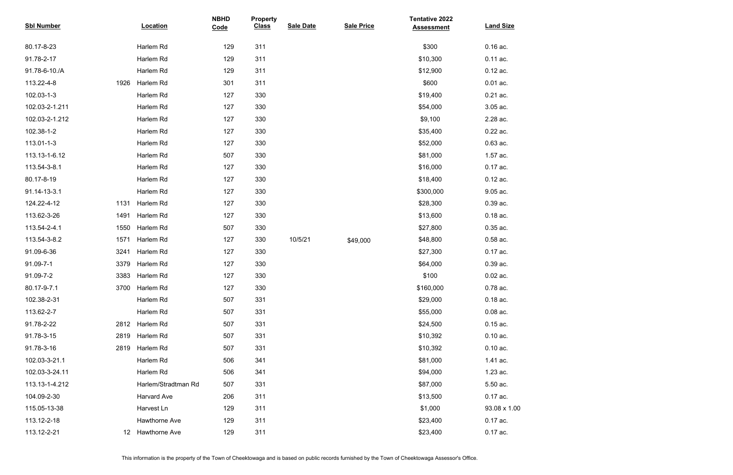| <b>Sbl Number</b> |                 | <b>Location</b>      | <b>NBHD</b><br>Code | <b>Property</b><br><b>Class</b> | <b>Sale Date</b> | <b>Sale Price</b> | <b>Tentative 2022</b><br><b>Assessment</b> | <b>Land Size</b> |
|-------------------|-----------------|----------------------|---------------------|---------------------------------|------------------|-------------------|--------------------------------------------|------------------|
|                   |                 |                      |                     |                                 |                  |                   |                                            |                  |
| 80.17-8-23        |                 | Harlem Rd            | 129                 | 311                             |                  |                   | \$300                                      | 0.16 ac.         |
| 91.78-2-17        |                 | Harlem Rd            | 129                 | 311                             |                  |                   | \$10,300                                   | 0.11 ac.         |
| 91.78-6-10./A     |                 | Harlem Rd            | 129                 | 311                             |                  |                   | \$12,900                                   | $0.12$ ac.       |
| 113.22-4-8        | 1926            | Harlem Rd            | 301                 | 311                             |                  |                   | \$600                                      | $0.01$ ac.       |
| 102.03-1-3        |                 | Harlem Rd            | 127                 | 330                             |                  |                   | \$19,400                                   | 0.21 ac.         |
| 102.03-2-1.211    |                 | Harlem Rd            | 127                 | 330                             |                  |                   | \$54,000                                   | 3.05 ac.         |
| 102.03-2-1.212    |                 | Harlem Rd            | 127                 | 330                             |                  |                   | \$9,100                                    | 2.28 ac.         |
| 102.38-1-2        |                 | Harlem Rd            | 127                 | 330                             |                  |                   | \$35,400                                   | 0.22 ac.         |
| 113.01-1-3        |                 | Harlem Rd            | 127                 | 330                             |                  |                   | \$52,000                                   | 0.63 ac.         |
| 113.13-1-6.12     |                 | Harlem Rd            | 507                 | 330                             |                  |                   | \$81,000                                   | 1.57 ac.         |
| 113.54-3-8.1      |                 | Harlem Rd            | 127                 | 330                             |                  |                   | \$16,000                                   | 0.17 ac.         |
| 80.17-8-19        |                 | Harlem Rd            | 127                 | 330                             |                  |                   | \$18,400                                   | $0.12$ ac.       |
| 91.14-13-3.1      |                 | Harlem Rd            | 127                 | 330                             |                  |                   | \$300,000                                  | 9.05 ac.         |
| 124.22-4-12       | 1131            | Harlem Rd            | 127                 | 330                             |                  |                   | \$28,300                                   | 0.39 ac.         |
| 113.62-3-26       | 1491            | Harlem Rd            | 127                 | 330                             |                  |                   | \$13,600                                   | $0.18$ ac.       |
| 113.54-2-4.1      | 1550            | Harlem Rd            | 507                 | 330                             |                  |                   | \$27,800                                   | $0.35$ ac.       |
| 113.54-3-8.2      | 1571            | Harlem Rd            | 127                 | 330                             | 10/5/21          | \$49,000          | \$48,800                                   | 0.58 ac.         |
| 91.09-6-36        | 3241            | Harlem Rd            | 127                 | 330                             |                  |                   | \$27,300                                   | 0.17 ac.         |
| 91.09-7-1         | 3379            | Harlem Rd            | 127                 | 330                             |                  |                   | \$64,000                                   | 0.39 ac.         |
| 91.09-7-2         | 3383            | Harlem Rd            | 127                 | 330                             |                  |                   | \$100                                      | $0.02$ ac.       |
| 80.17-9-7.1       | 3700            | Harlem Rd            | 127                 | 330                             |                  |                   | \$160,000                                  | 0.78 ac.         |
| 102.38-2-31       |                 | Harlem Rd            | 507                 | 331                             |                  |                   | \$29,000                                   | $0.18$ ac.       |
| 113.62-2-7        |                 | Harlem Rd            | 507                 | 331                             |                  |                   | \$55,000                                   | $0.08$ ac.       |
| 91.78-2-22        | 2812            | Harlem Rd            | 507                 | 331                             |                  |                   | \$24,500                                   | $0.15$ ac.       |
| 91.78-3-15        | 2819            | Harlem Rd            | 507                 | 331                             |                  |                   | \$10,392                                   | $0.10$ ac.       |
| 91.78-3-16        | 2819            | Harlem Rd            | 507                 | 331                             |                  |                   | \$10,392                                   | $0.10$ ac.       |
| 102.03-3-21.1     |                 | Harlem Rd            | 506                 | 341                             |                  |                   | \$81,000                                   | 1.41 ac.         |
| 102.03-3-24.11    |                 | Harlem Rd            | 506                 | 341                             |                  |                   | \$94,000                                   | 1.23 ac.         |
| 113.13-1-4.212    |                 | Harlem/Stradtman Rd  | 507                 | 331                             |                  |                   | \$87,000                                   | 5.50 ac.         |
| 104.09-2-30       |                 | <b>Harvard Ave</b>   | 206                 | 311                             |                  |                   | \$13,500                                   | $0.17$ ac.       |
| 115.05-13-38      |                 | Harvest Ln           | 129                 | 311                             |                  |                   | \$1,000                                    | 93.08 x 1.00     |
| 113.12-2-18       |                 | Hawthorne Ave        | 129                 | 311                             |                  |                   | \$23,400                                   | $0.17$ ac.       |
| 113.12-2-21       | 12 <sup>2</sup> | <b>Hawthorne Ave</b> | 129                 | 311                             |                  |                   | \$23,400                                   | 0.17 ac.         |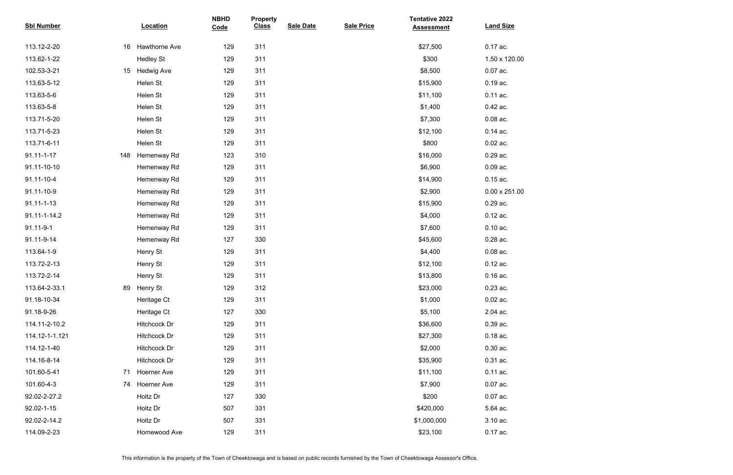| <b>Sbl Number</b> |     | Location           | <b>NBHD</b><br>Code | <b>Property</b><br><b>Class</b> | <b>Sale Date</b> | <b>Sale Price</b> | <b>Tentative 2022</b><br><b>Assessment</b> | <b>Land Size</b>     |
|-------------------|-----|--------------------|---------------------|---------------------------------|------------------|-------------------|--------------------------------------------|----------------------|
| 113.12-2-20       | 16  | Hawthorne Ave      | 129                 | 311                             |                  |                   | \$27,500                                   | 0.17 ac.             |
| 113.62-1-22       |     | <b>Hedley St</b>   | 129                 | 311                             |                  |                   | \$300                                      | 1.50 x 120.00        |
| 102.53-3-21       | 15  | <b>Hedwig Ave</b>  | 129                 | 311                             |                  |                   | \$8,500                                    | 0.07 ac.             |
| 113.63-5-12       |     | Helen St           | 129                 | 311                             |                  |                   | \$15,900                                   | 0.19 ac.             |
| 113.63-5-6        |     | Helen St           | 129                 | 311                             |                  |                   | \$11,100                                   | 0.11 ac.             |
| 113.63-5-8        |     | Helen St           | 129                 | 311                             |                  |                   | \$1,400                                    | 0.42 ac.             |
| 113.71-5-20       |     | Helen St           | 129                 | 311                             |                  |                   | \$7,300                                    | $0.08$ ac.           |
| 113.71-5-23       |     | Helen St           | 129                 | 311                             |                  |                   | \$12,100                                   | $0.14$ ac.           |
| 113.71-6-11       |     | Helen St           | 129                 | 311                             |                  |                   | \$800                                      | $0.02$ ac.           |
| $91.11 - 1 - 17$  | 148 | Hemenway Rd        | 123                 | 310                             |                  |                   | \$16,000                                   | 0.29 ac.             |
| 91.11-10-10       |     | Hemenway Rd        | 129                 | 311                             |                  |                   | \$6,900                                    | 0.09 ac.             |
| 91.11-10-4        |     | Hemenway Rd        | 129                 | 311                             |                  |                   | \$14,900                                   | $0.15$ ac.           |
| 91.11-10-9        |     | Hemenway Rd        | 129                 | 311                             |                  |                   | \$2,900                                    | $0.00 \times 251.00$ |
| $91.11 - 1 - 13$  |     | Hemenway Rd        | 129                 | 311                             |                  |                   | \$15,900                                   | 0.29 ac.             |
| 91.11-1-14.2      |     | Hemenway Rd        | 129                 | 311                             |                  |                   | \$4,000                                    | $0.12$ ac.           |
| 91.11-9-1         |     | Hemenway Rd        | 129                 | 311                             |                  |                   | \$7,600                                    | $0.10$ ac.           |
| 91.11-9-14        |     | Hemenway Rd        | 127                 | 330                             |                  |                   | \$45,600                                   | 0.28 ac.             |
| 113.64-1-9        |     | Henry St           | 129                 | 311                             |                  |                   | \$4,400                                    | $0.08$ ac.           |
| 113.72-2-13       |     | Henry St           | 129                 | 311                             |                  |                   | \$12,100                                   | 0.12 ac.             |
| 113.72-2-14       |     | Henry St           | 129                 | 311                             |                  |                   | \$13,800                                   | $0.16$ ac.           |
| 113.64-2-33.1     | 89  | Henry St           | 129                 | 312                             |                  |                   | \$23,000                                   | $0.23$ ac.           |
| 91.18-10-34       |     | Heritage Ct        | 129                 | 311                             |                  |                   | \$1,000                                    | $0.02$ ac.           |
| 91.18-9-26        |     | Heritage Ct        | 127                 | 330                             |                  |                   | \$5,100                                    | 2.04 ac.             |
| 114.11-2-10.2     |     | Hitchcock Dr       | 129                 | 311                             |                  |                   | \$36,600                                   | 0.39 ac.             |
| 114.12-1-1.121    |     | Hitchcock Dr       | 129                 | 311                             |                  |                   | \$27,300                                   | $0.18$ ac.           |
| 114.12-1-40       |     | Hitchcock Dr       | 129                 | 311                             |                  |                   | \$2,000                                    | $0.30$ ac.           |
| 114.16-8-14       |     | Hitchcock Dr       | 129                 | 311                             |                  |                   | \$35,900                                   | 0.31 ac.             |
| 101.60-5-41       | 71  | <b>Hoerner Ave</b> | 129                 | 311                             |                  |                   | \$11,100                                   | $0.11$ ac.           |
| 101.60-4-3        | 74  | Hoerner Ave        | 129                 | 311                             |                  |                   | \$7,900                                    | $0.07$ ac.           |
| 92.02-2-27.2      |     | Holtz Dr           | 127                 | 330                             |                  |                   | \$200                                      | 0.07 ac.             |
| 92.02-1-15        |     | Holtz Dr           | 507                 | 331                             |                  |                   | \$420,000                                  | 5.64 ac.             |
| 92.02-2-14.2      |     | Holtz Dr           | 507                 | 331                             |                  |                   | \$1,000,000                                | 3.10 ac.             |
| 114.09-2-23       |     | Homewood Ave       | 129                 | 311                             |                  |                   | \$23,100                                   | 0.17 ac.             |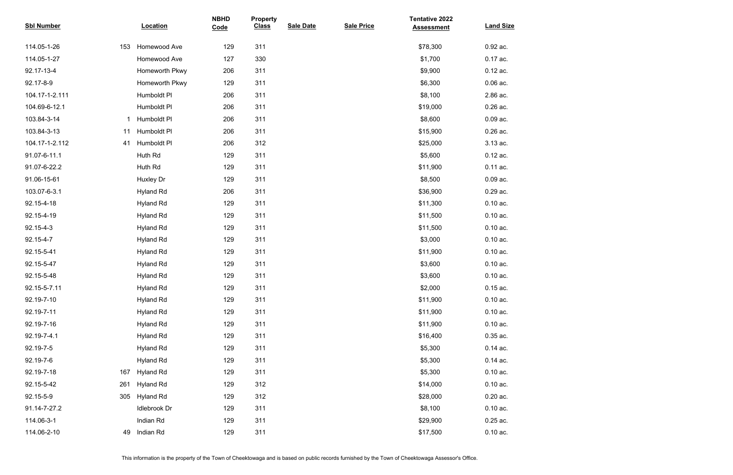| <b>Sbl Number</b> |     | Location         | <b>NBHD</b><br>Code | <b>Property</b><br><b>Class</b> | <b>Sale Date</b> | <b>Sale Price</b> | <b>Tentative 2022</b><br><b>Assessment</b> | <b>Land Size</b> |
|-------------------|-----|------------------|---------------------|---------------------------------|------------------|-------------------|--------------------------------------------|------------------|
| 114.05-1-26       | 153 | Homewood Ave     | 129                 | 311                             |                  |                   | \$78,300                                   | 0.92 ac.         |
| 114.05-1-27       |     | Homewood Ave     | 127                 | 330                             |                  |                   | \$1,700                                    | 0.17 ac.         |
| 92.17-13-4        |     | Homeworth Pkwy   | 206                 | 311                             |                  |                   | \$9,900                                    | $0.12$ ac.       |
| 92.17-8-9         |     | Homeworth Pkwy   | 129                 | 311                             |                  |                   | \$6,300                                    | $0.06$ ac.       |
| 104.17-1-2.111    |     | Humboldt Pl      | 206                 | 311                             |                  |                   | \$8,100                                    | 2.86 ac.         |
| 104.69-6-12.1     |     | Humboldt PI      | 206                 | 311                             |                  |                   | \$19,000                                   | $0.26$ ac.       |
| 103.84-3-14       |     | Humboldt PI      | 206                 | 311                             |                  |                   | \$8,600                                    | $0.09$ ac.       |
| 103.84-3-13       | 11  | Humboldt PI      | 206                 | 311                             |                  |                   | \$15,900                                   | 0.26 ac.         |
| 104.17-1-2.112    | 41  | Humboldt PI      | 206                 | 312                             |                  |                   | \$25,000                                   | 3.13 ac.         |
| 91.07-6-11.1      |     | Huth Rd          | 129                 | 311                             |                  |                   | \$5,600                                    | $0.12$ ac.       |
| 91.07-6-22.2      |     | Huth Rd          | 129                 | 311                             |                  |                   | \$11,900                                   | $0.11$ ac.       |
| 91.06-15-61       |     | Huxley Dr        | 129                 | 311                             |                  |                   | \$8,500                                    | $0.09$ ac.       |
| 103.07-6-3.1      |     | <b>Hyland Rd</b> | 206                 | 311                             |                  |                   | \$36,900                                   | 0.29 ac.         |
| 92.15-4-18        |     | <b>Hyland Rd</b> | 129                 | 311                             |                  |                   | \$11,300                                   | $0.10$ ac.       |
| 92.15-4-19        |     | <b>Hyland Rd</b> | 129                 | 311                             |                  |                   | \$11,500                                   | $0.10$ ac.       |
| 92.15-4-3         |     | <b>Hyland Rd</b> | 129                 | 311                             |                  |                   | \$11,500                                   | $0.10$ ac.       |
| 92.15-4-7         |     | <b>Hyland Rd</b> | 129                 | 311                             |                  |                   | \$3,000                                    | $0.10$ ac.       |
| 92.15-5-41        |     | <b>Hyland Rd</b> | 129                 | 311                             |                  |                   | \$11,900                                   | $0.10$ ac.       |
| 92.15-5-47        |     | <b>Hyland Rd</b> | 129                 | 311                             |                  |                   | \$3,600                                    | $0.10$ ac.       |
| 92.15-5-48        |     | <b>Hyland Rd</b> | 129                 | 311                             |                  |                   | \$3,600                                    | $0.10$ ac.       |
| 92.15-5-7.11      |     | <b>Hyland Rd</b> | 129                 | 311                             |                  |                   | \$2,000                                    | $0.15$ ac.       |
| 92.19-7-10        |     | <b>Hyland Rd</b> | 129                 | 311                             |                  |                   | \$11,900                                   | $0.10$ ac.       |
| 92.19-7-11        |     | <b>Hyland Rd</b> | 129                 | 311                             |                  |                   | \$11,900                                   | $0.10$ ac.       |
| 92.19-7-16        |     | <b>Hyland Rd</b> | 129                 | 311                             |                  |                   | \$11,900                                   | $0.10$ ac.       |
| 92.19-7-4.1       |     | <b>Hyland Rd</b> | 129                 | 311                             |                  |                   | \$16,400                                   | $0.35$ ac.       |
| 92.19-7-5         |     | <b>Hyland Rd</b> | 129                 | 311                             |                  |                   | \$5,300                                    | $0.14$ ac.       |
| 92.19-7-6         |     | <b>Hyland Rd</b> | 129                 | 311                             |                  |                   | \$5,300                                    | $0.14$ ac.       |
| 92.19-7-18        | 167 | <b>Hyland Rd</b> | 129                 | 311                             |                  |                   | \$5,300                                    | $0.10$ ac.       |
| 92.15-5-42        | 261 | <b>Hyland Rd</b> | 129                 | 312                             |                  |                   | \$14,000                                   | $0.10$ ac.       |
| 92.15-5-9         | 305 | <b>Hyland Rd</b> | 129                 | 312                             |                  |                   | \$28,000                                   | $0.20$ ac.       |
| 91.14-7-27.2      |     | Idlebrook Dr     | 129                 | 311                             |                  |                   | \$8,100                                    | $0.10$ ac.       |
| 114.06-3-1        |     | Indian Rd        | 129                 | 311                             |                  |                   | \$29,900                                   | $0.25$ ac.       |
| 114.06-2-10       | 49  | Indian Rd        | 129                 | 311                             |                  |                   | \$17,500                                   | $0.10$ ac.       |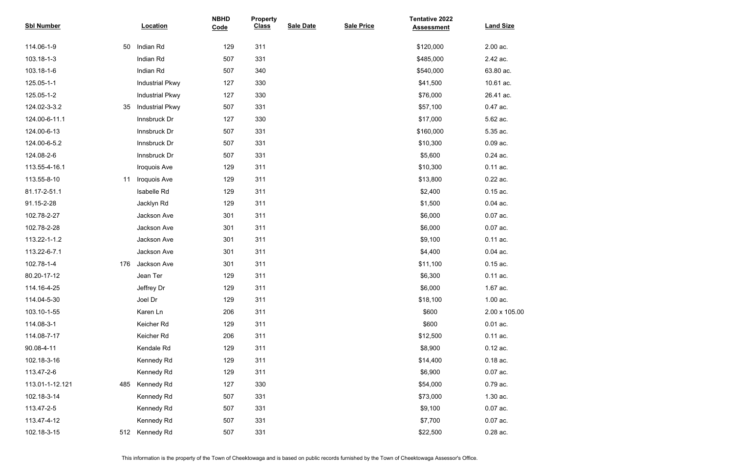| <b>Sbl Number</b> |     | Location               | <b>NBHD</b><br>Code | <b>Property</b><br><b>Class</b> | <b>Sale Date</b> | <b>Sale Price</b> | <b>Tentative 2022</b><br><b>Assessment</b> | <b>Land Size</b> |
|-------------------|-----|------------------------|---------------------|---------------------------------|------------------|-------------------|--------------------------------------------|------------------|
| 114.06-1-9        | 50  | Indian Rd              | 129                 | 311                             |                  |                   | \$120,000                                  | 2.00 ac.         |
| 103.18-1-3        |     | Indian Rd              | 507                 | 331                             |                  |                   | \$485,000                                  | 2.42 ac.         |
| 103.18-1-6        |     | Indian Rd              | 507                 | 340                             |                  |                   | \$540,000                                  | 63.80 ac.        |
| 125.05-1-1        |     | <b>Industrial Pkwy</b> | 127                 | 330                             |                  |                   | \$41,500                                   | 10.61 ac.        |
| 125.05-1-2        |     | <b>Industrial Pkwy</b> | 127                 | 330                             |                  |                   | \$76,000                                   | 26.41 ac.        |
| 124.02-3-3.2      | 35  | <b>Industrial Pkwy</b> | 507                 | 331                             |                  |                   | \$57,100                                   | 0.47 ac.         |
| 124.00-6-11.1     |     | Innsbruck Dr           | 127                 | 330                             |                  |                   | \$17,000                                   | 5.62 ac.         |
| 124.00-6-13       |     | Innsbruck Dr           | 507                 | 331                             |                  |                   | \$160,000                                  | 5.35 ac.         |
| 124.00-6-5.2      |     | Innsbruck Dr           | 507                 | 331                             |                  |                   | \$10,300                                   | $0.09$ ac.       |
| 124.08-2-6        |     | Innsbruck Dr           | 507                 | 331                             |                  |                   | \$5,600                                    | $0.24$ ac.       |
| 113.55-4-16.1     |     | Iroquois Ave           | 129                 | 311                             |                  |                   | \$10,300                                   | 0.11 ac.         |
| 113.55-8-10       | 11  | Iroquois Ave           | 129                 | 311                             |                  |                   | \$13,800                                   | 0.22 ac.         |
| 81.17-2-51.1      |     | Isabelle Rd            | 129                 | 311                             |                  |                   | \$2,400                                    | $0.15$ ac.       |
| 91.15-2-28        |     | Jacklyn Rd             | 129                 | 311                             |                  |                   | \$1,500                                    | $0.04$ ac.       |
| 102.78-2-27       |     | Jackson Ave            | 301                 | 311                             |                  |                   | \$6,000                                    | 0.07 ac.         |
| 102.78-2-28       |     | Jackson Ave            | 301                 | 311                             |                  |                   | \$6,000                                    | 0.07 ac.         |
| 113.22-1-1.2      |     | Jackson Ave            | 301                 | 311                             |                  |                   | \$9,100                                    | 0.11 ac.         |
| 113.22-6-7.1      |     | Jackson Ave            | 301                 | 311                             |                  |                   | \$4,400                                    | $0.04$ ac.       |
| 102.78-1-4        | 176 | Jackson Ave            | 301                 | 311                             |                  |                   | \$11,100                                   | $0.15$ ac.       |
| 80.20-17-12       |     | Jean Ter               | 129                 | 311                             |                  |                   | \$6,300                                    | $0.11$ ac.       |
| 114.16-4-25       |     | Jeffrey Dr             | 129                 | 311                             |                  |                   | \$6,000                                    | 1.67 ac.         |
| 114.04-5-30       |     | Joel Dr                | 129                 | 311                             |                  |                   | \$18,100                                   | 1.00 ac.         |
| 103.10-1-55       |     | Karen Ln               | 206                 | 311                             |                  |                   | \$600                                      | 2.00 x 105.00    |
| 114.08-3-1        |     | Keicher Rd             | 129                 | 311                             |                  |                   | \$600                                      | $0.01$ ac.       |
| 114.08-7-17       |     | Keicher Rd             | 206                 | 311                             |                  |                   | \$12,500                                   | 0.11 ac.         |
| 90.08-4-11        |     | Kendale Rd             | 129                 | 311                             |                  |                   | \$8,900                                    | $0.12$ ac.       |
| 102.18-3-16       |     | Kennedy Rd             | 129                 | 311                             |                  |                   | \$14,400                                   | $0.18$ ac.       |
| 113.47-2-6        |     | Kennedy Rd             | 129                 | 311                             |                  |                   | \$6,900                                    | $0.07$ ac.       |
| 113.01-1-12.121   | 485 | <b>Kennedy Rd</b>      | 127                 | 330                             |                  |                   | \$54,000                                   | 0.79 ac.         |
| 102.18-3-14       |     | Kennedy Rd             | 507                 | 331                             |                  |                   | \$73,000                                   | 1.30 ac.         |
| 113.47-2-5        |     | Kennedy Rd             | 507                 | 331                             |                  |                   | \$9,100                                    | $0.07$ ac.       |
| 113.47-4-12       |     | Kennedy Rd             | 507                 | 331                             |                  |                   | \$7,700                                    | $0.07$ ac.       |
| 102.18-3-15       | 512 | <b>Kennedy Rd</b>      | 507                 | 331                             |                  |                   | \$22,500                                   | 0.28 ac.         |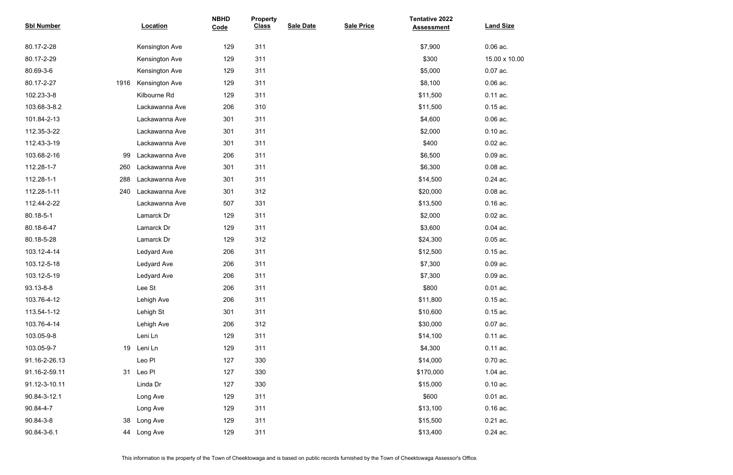| <b>Sbl Number</b> |      | Location              | <b>NBHD</b><br>Code | <b>Property</b><br><b>Class</b> | <b>Sale Date</b> | <b>Sale Price</b> | <b>Tentative 2022</b><br><b>Assessment</b> | <b>Land Size</b> |
|-------------------|------|-----------------------|---------------------|---------------------------------|------------------|-------------------|--------------------------------------------|------------------|
| 80.17-2-28        |      | Kensington Ave        | 129                 | 311                             |                  |                   | \$7,900                                    | $0.06$ ac.       |
| 80.17-2-29        |      | Kensington Ave        | 129                 | 311                             |                  |                   | \$300                                      | 15.00 x 10.00    |
| 80.69-3-6         |      | Kensington Ave        | 129                 | 311                             |                  |                   | \$5,000                                    | $0.07$ ac.       |
| 80.17-2-27        | 1916 | <b>Kensington Ave</b> | 129                 | 311                             |                  |                   | \$8,100                                    | $0.06$ ac.       |
| 102.23-3-8        |      | Kilbourne Rd          | 129                 | 311                             |                  |                   | \$11,500                                   | 0.11 ac.         |
| 103.68-3-8.2      |      | Lackawanna Ave        | 206                 | 310                             |                  |                   | \$11,500                                   | $0.15$ ac.       |
| 101.84-2-13       |      | Lackawanna Ave        | 301                 | 311                             |                  |                   | \$4,600                                    | $0.06$ ac.       |
| 112.35-3-22       |      | Lackawanna Ave        | 301                 | 311                             |                  |                   | \$2,000                                    | $0.10$ ac.       |
| 112.43-3-19       |      | Lackawanna Ave        | 301                 | 311                             |                  |                   | \$400                                      | $0.02$ ac.       |
| 103.68-2-16       | 99   | Lackawanna Ave        | 206                 | 311                             |                  |                   | \$6,500                                    | $0.09$ ac.       |
| 112.28-1-7        | 260  | Lackawanna Ave        | 301                 | 311                             |                  |                   | \$6,300                                    | $0.08$ ac.       |
| 112.28-1-1        | 288  | Lackawanna Ave        | 301                 | 311                             |                  |                   | \$14,500                                   | $0.24$ ac.       |
| 112.28-1-11       | 240  | Lackawanna Ave        | 301                 | 312                             |                  |                   | \$20,000                                   | $0.08$ ac.       |
| 112.44-2-22       |      | Lackawanna Ave        | 507                 | 331                             |                  |                   | \$13,500                                   | $0.16$ ac.       |
| 80.18-5-1         |      | Lamarck Dr            | 129                 | 311                             |                  |                   | \$2,000                                    | $0.02$ ac.       |
| 80.18-6-47        |      | Lamarck Dr            | 129                 | 311                             |                  |                   | \$3,600                                    | $0.04$ ac.       |
| 80.18-5-28        |      | Lamarck Dr            | 129                 | 312                             |                  |                   | \$24,300                                   | $0.05$ ac.       |
| 103.12-4-14       |      | Ledyard Ave           | 206                 | 311                             |                  |                   | \$12,500                                   | $0.15$ ac.       |
| 103.12-5-18       |      | Ledyard Ave           | 206                 | 311                             |                  |                   | \$7,300                                    | $0.09$ ac.       |
| 103.12-5-19       |      | Ledyard Ave           | 206                 | 311                             |                  |                   | \$7,300                                    | $0.09$ ac.       |
| 93.13-8-8         |      | Lee St                | 206                 | 311                             |                  |                   | \$800                                      | $0.01$ ac.       |
| 103.76-4-12       |      | Lehigh Ave            | 206                 | 311                             |                  |                   | \$11,800                                   | $0.15$ ac.       |
| 113.54-1-12       |      | Lehigh St             | 301                 | 311                             |                  |                   | \$10,600                                   | $0.15$ ac.       |
| 103.76-4-14       |      | Lehigh Ave            | 206                 | 312                             |                  |                   | \$30,000                                   | $0.07$ ac.       |
| 103.05-9-8        |      | Leni Ln               | 129                 | 311                             |                  |                   | \$14,100                                   | $0.11$ ac.       |
| 103.05-9-7        | 19   | Leni Ln               | 129                 | 311                             |                  |                   | \$4,300                                    | $0.11$ ac.       |
| 91.16-2-26.13     |      | Leo Pl                | 127                 | 330                             |                  |                   | \$14,000                                   | $0.70$ ac.       |
| 91.16-2-59.11     | 31   | Leo Pl                | 127                 | 330                             |                  |                   | \$170,000                                  | $1.04$ ac.       |
| 91.12-3-10.11     |      | Linda Dr              | 127                 | 330                             |                  |                   | \$15,000                                   | $0.10$ ac.       |
| 90.84-3-12.1      |      | Long Ave              | 129                 | 311                             |                  |                   | \$600                                      | $0.01$ ac.       |
| 90.84-4-7         |      | Long Ave              | 129                 | 311                             |                  |                   | \$13,100                                   | $0.16$ ac.       |
| 90.84-3-8         | 38   | Long Ave              | 129                 | 311                             |                  |                   | \$15,500                                   | $0.21$ ac.       |
| 90.84-3-6.1       | 44   | Long Ave              | 129                 | 311                             |                  |                   | \$13,400                                   | $0.24$ ac.       |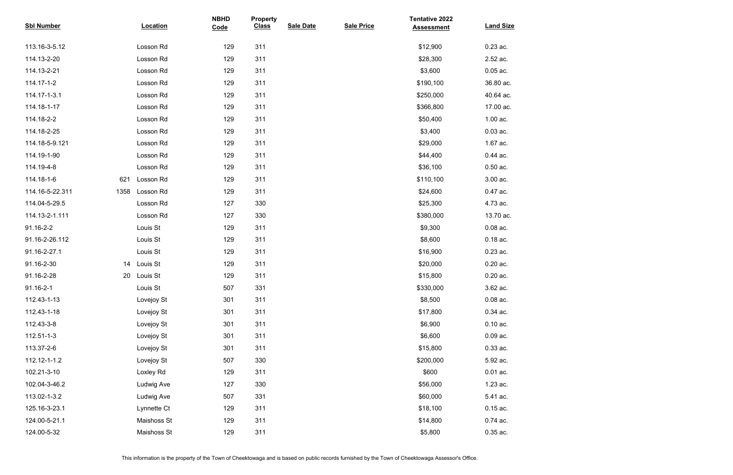| <b>Sbl Number</b> |      | Location    | <b>NBHD</b><br>Code | <b>Property</b><br><b>Class</b> | <b>Sale Date</b> | <b>Sale Price</b> | <b>Tentative 2022</b><br><b>Assessment</b> | <b>Land Size</b> |
|-------------------|------|-------------|---------------------|---------------------------------|------------------|-------------------|--------------------------------------------|------------------|
| 113.16-3-5.12     |      | Losson Rd   | 129                 | 311                             |                  |                   | \$12,900                                   | $0.23$ ac.       |
| 114.13-2-20       |      | Losson Rd   | 129                 | 311                             |                  |                   | \$28,300                                   | 2.52 ac.         |
| 114.13-2-21       |      | Losson Rd   | 129                 | 311                             |                  |                   | \$3,600                                    | $0.05$ ac.       |
| 114.17-1-2        |      | Losson Rd   | 129                 | 311                             |                  |                   | \$190,100                                  | 36.80 ac.        |
| 114.17-1-3.1      |      | Losson Rd   | 129                 | 311                             |                  |                   | \$250,000                                  | 40.64 ac.        |
| 114.18-1-17       |      | Losson Rd   | 129                 | 311                             |                  |                   | \$366,800                                  | 17.00 ac.        |
| 114.18-2-2        |      | Losson Rd   | 129                 | 311                             |                  |                   | \$50,400                                   | 1.00 ac.         |
| 114.18-2-25       |      | Losson Rd   | 129                 | 311                             |                  |                   | \$3,400                                    | $0.03$ ac.       |
| 114.18-5-9.121    |      | Losson Rd   | 129                 | 311                             |                  |                   | \$29,000                                   | 1.67 ac.         |
| 114.19-1-90       |      | Losson Rd   | 129                 | 311                             |                  |                   | \$44,400                                   | 0.44 ac.         |
| 114.19-4-8        |      | Losson Rd   | 129                 | 311                             |                  |                   | \$36,100                                   | $0.50$ ac.       |
| 114.18-1-6        | 621  | Losson Rd   | 129                 | 311                             |                  |                   | \$110,100                                  | 3.00 ac.         |
| 114.16-5-22.311   | 1358 | Losson Rd   | 129                 | 311                             |                  |                   | \$24,600                                   | 0.47 ac.         |
| 114.04-5-29.5     |      | Losson Rd   | 127                 | 330                             |                  |                   | \$25,300                                   | 4.73 ac.         |
| 114.13-2-1.111    |      | Losson Rd   | 127                 | 330                             |                  |                   | \$380,000                                  | 13.70 ac.        |
| 91.16-2-2         |      | Louis St    | 129                 | 311                             |                  |                   | \$9,300                                    | $0.08$ ac.       |
| 91.16-2-26.112    |      | Louis St    | 129                 | 311                             |                  |                   | \$8,600                                    | $0.18$ ac.       |
| 91.16-2-27.1      |      | Louis St    | 129                 | 311                             |                  |                   | \$16,900                                   | 0.23 ac.         |
| 91.16-2-30        | 14   | Louis St    | 129                 | 311                             |                  |                   | \$20,000                                   | $0.20$ ac.       |
| 91.16-2-28        | 20   | Louis St    | 129                 | 311                             |                  |                   | \$15,800                                   | $0.20$ ac.       |
| $91.16 - 2 - 1$   |      | Louis St    | 507                 | 331                             |                  |                   | \$330,000                                  | 3.62 ac.         |
| 112.43-1-13       |      | Lovejoy St  | 301                 | 311                             |                  |                   | \$8,500                                    | $0.08$ ac.       |
| 112.43-1-18       |      | Lovejoy St  | 301                 | 311                             |                  |                   | \$17,800                                   | 0.34 ac.         |
| 112.43-3-8        |      | Lovejoy St  | 301                 | 311                             |                  |                   | \$6,900                                    | $0.10$ ac.       |
| 112.51-1-3        |      | Lovejoy St  | 301                 | 311                             |                  |                   | \$6,600                                    | $0.09$ ac.       |
| 113.37-2-6        |      | Lovejoy St  | 301                 | 311                             |                  |                   | \$15,800                                   | $0.33$ ac.       |
| 112.12-1-1.2      |      | Lovejoy St  | 507                 | 330                             |                  |                   | \$200,000                                  | 5.92 ac.         |
| 102.21-3-10       |      | Loxley Rd   | 129                 | 311                             |                  |                   | \$600                                      | $0.01$ ac.       |
| 102.04-3-46.2     |      | Ludwig Ave  | 127                 | 330                             |                  |                   | \$56,000                                   | 1.23 ac.         |
| 113.02-1-3.2      |      | Ludwig Ave  | 507                 | 331                             |                  |                   | \$60,000                                   | 5.41 ac.         |
| 125.16-3-23.1     |      | Lynnette Ct | 129                 | 311                             |                  |                   | \$18,100                                   | $0.15$ ac.       |
| 124.00-5-21.1     |      | Maishoss St | 129                 | 311                             |                  |                   | \$14,800                                   | $0.74$ ac.       |
| 124.00-5-32       |      | Maishoss St | 129                 | 311                             |                  |                   | \$5,800                                    | 0.35 ac.         |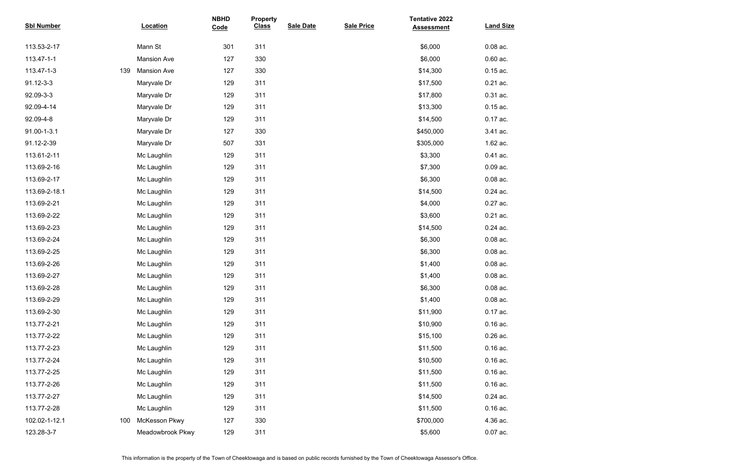| <b>Sbl Number</b> |     | <b>Location</b>    | <b>NBHD</b><br>Code | <b>Property</b><br><b>Class</b> | <b>Sale Date</b> | <b>Sale Price</b> | <b>Tentative 2022</b><br><b>Assessment</b> | <b>Land Size</b> |
|-------------------|-----|--------------------|---------------------|---------------------------------|------------------|-------------------|--------------------------------------------|------------------|
| 113.53-2-17       |     | Mann St            | 301                 | 311                             |                  |                   | \$6,000                                    | $0.08$ ac.       |
| 113.47-1-1        |     | <b>Mansion Ave</b> | 127                 | 330                             |                  |                   | \$6,000                                    | $0.60$ ac.       |
| 113.47-1-3        | 139 | <b>Mansion Ave</b> | 127                 | 330                             |                  |                   | \$14,300                                   | $0.15$ ac.       |
| 91.12-3-3         |     | Maryvale Dr        | 129                 | 311                             |                  |                   | \$17,500                                   | $0.21$ ac.       |
| 92.09-3-3         |     | Maryvale Dr        | 129                 | 311                             |                  |                   | \$17,800                                   | 0.31 ac.         |
| 92.09-4-14        |     | Maryvale Dr        | 129                 | 311                             |                  |                   | \$13,300                                   | $0.15$ ac.       |
| 92.09-4-8         |     | Maryvale Dr        | 129                 | 311                             |                  |                   | \$14,500                                   | 0.17 ac.         |
| 91.00-1-3.1       |     | Maryvale Dr        | 127                 | 330                             |                  |                   | \$450,000                                  | 3.41 ac.         |
| 91.12-2-39        |     | Maryvale Dr        | 507                 | 331                             |                  |                   | \$305,000                                  | 1.62 ac.         |
| 113.61-2-11       |     | Mc Laughlin        | 129                 | 311                             |                  |                   | \$3,300                                    | 0.41 ac.         |
| 113.69-2-16       |     | Mc Laughlin        | 129                 | 311                             |                  |                   | \$7,300                                    | $0.09$ ac.       |
| 113.69-2-17       |     | Mc Laughlin        | 129                 | 311                             |                  |                   | \$6,300                                    | $0.08$ ac.       |
| 113.69-2-18.1     |     | Mc Laughlin        | 129                 | 311                             |                  |                   | \$14,500                                   | 0.24 ac.         |
| 113.69-2-21       |     | Mc Laughlin        | 129                 | 311                             |                  |                   | \$4,000                                    | 0.27 ac.         |
| 113.69-2-22       |     | Mc Laughlin        | 129                 | 311                             |                  |                   | \$3,600                                    | $0.21$ ac.       |
| 113.69-2-23       |     | Mc Laughlin        | 129                 | 311                             |                  |                   | \$14,500                                   | 0.24 ac.         |
| 113.69-2-24       |     | Mc Laughlin        | 129                 | 311                             |                  |                   | \$6,300                                    | $0.08$ ac.       |
| 113.69-2-25       |     | Mc Laughlin        | 129                 | 311                             |                  |                   | \$6,300                                    | $0.08$ ac.       |
| 113.69-2-26       |     | Mc Laughlin        | 129                 | 311                             |                  |                   | \$1,400                                    | $0.08$ ac.       |
| 113.69-2-27       |     | Mc Laughlin        | 129                 | 311                             |                  |                   | \$1,400                                    | $0.08$ ac.       |
| 113.69-2-28       |     | Mc Laughlin        | 129                 | 311                             |                  |                   | \$6,300                                    | $0.08$ ac.       |
| 113.69-2-29       |     | Mc Laughlin        | 129                 | 311                             |                  |                   | \$1,400                                    | $0.08$ ac.       |
| 113.69-2-30       |     | Mc Laughlin        | 129                 | 311                             |                  |                   | \$11,900                                   | 0.17 ac.         |
| 113.77-2-21       |     | Mc Laughlin        | 129                 | 311                             |                  |                   | \$10,900                                   | $0.16$ ac.       |
| 113.77-2-22       |     | Mc Laughlin        | 129                 | 311                             |                  |                   | \$15,100                                   | 0.26 ac.         |
| 113.77-2-23       |     | Mc Laughlin        | 129                 | 311                             |                  |                   | \$11,500                                   | $0.16$ ac.       |
| 113.77-2-24       |     | Mc Laughlin        | 129                 | 311                             |                  |                   | \$10,500                                   | $0.16$ ac.       |
| 113.77-2-25       |     | Mc Laughlin        | 129                 | 311                             |                  |                   | \$11,500                                   | $0.16$ ac.       |
| 113.77-2-26       |     | Mc Laughlin        | 129                 | 311                             |                  |                   | \$11,500                                   | $0.16$ ac.       |
| 113.77-2-27       |     | Mc Laughlin        | 129                 | 311                             |                  |                   | \$14,500                                   | 0.24 ac.         |
| 113.77-2-28       |     | Mc Laughlin        | 129                 | 311                             |                  |                   | \$11,500                                   | $0.16$ ac.       |
| 102.02-1-12.1     | 100 | McKesson Pkwy      | 127                 | 330                             |                  |                   | \$700,000                                  | 4.36 ac.         |
| 123.28-3-7        |     | Meadowbrook Pkwy   | 129                 | 311                             |                  |                   | \$5,600                                    | $0.07$ ac.       |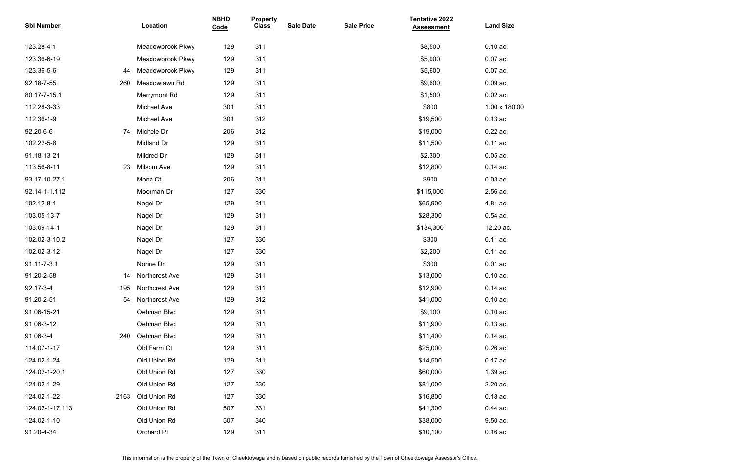| <b>Sbl Number</b> |      | Location              | <b>NBHD</b><br>Code | <b>Property</b><br><b>Class</b> | <b>Sale Date</b> | <b>Sale Price</b> | <b>Tentative 2022</b><br><b>Assessment</b> | <b>Land Size</b> |
|-------------------|------|-----------------------|---------------------|---------------------------------|------------------|-------------------|--------------------------------------------|------------------|
| 123.28-4-1        |      | Meadowbrook Pkwy      | 129                 | 311                             |                  |                   | \$8,500                                    | $0.10$ ac.       |
| 123.36-6-19       |      | Meadowbrook Pkwy      | 129                 | 311                             |                  |                   | \$5,900                                    | 0.07 ac.         |
| 123.36-5-6        | 44   | Meadowbrook Pkwy      | 129                 | 311                             |                  |                   | \$5,600                                    | 0.07 ac.         |
| 92.18-7-55        | 260  | Meadowlawn Rd         | 129                 | 311                             |                  |                   | \$9,600                                    | 0.09 ac.         |
| 80.17-7-15.1      |      | Merrymont Rd          | 129                 | 311                             |                  |                   | \$1,500                                    | $0.02$ ac.       |
| 112.28-3-33       |      | <b>Michael Ave</b>    | 301                 | 311                             |                  |                   | \$800                                      | 1.00 x 180.00    |
| 112.36-1-9        |      | <b>Michael Ave</b>    | 301                 | 312                             |                  |                   | \$19,500                                   | $0.13$ ac.       |
| 92.20-6-6         | 74   | Michele Dr            | 206                 | 312                             |                  |                   | \$19,000                                   | 0.22 ac.         |
| 102.22-5-8        |      | Midland Dr            | 129                 | 311                             |                  |                   | \$11,500                                   | 0.11 ac.         |
| 91.18-13-21       |      | Mildred Dr            | 129                 | 311                             |                  |                   | \$2,300                                    | $0.05$ ac.       |
| 113.56-8-11       | 23   | Milsom Ave            | 129                 | 311                             |                  |                   | \$12,800                                   | $0.14$ ac.       |
| 93.17-10-27.1     |      | Mona Ct               | 206                 | 311                             |                  |                   | \$900                                      | $0.03$ ac.       |
| 92.14-1-1.112     |      | Moorman Dr            | 127                 | 330                             |                  |                   | \$115,000                                  | 2.56 ac.         |
| 102.12-8-1        |      | Nagel Dr              | 129                 | 311                             |                  |                   | \$65,900                                   | 4.81 ac.         |
| 103.05-13-7       |      | Nagel Dr              | 129                 | 311                             |                  |                   | \$28,300                                   | $0.54$ ac.       |
| 103.09-14-1       |      | Nagel Dr              | 129                 | 311                             |                  |                   | \$134,300                                  | 12.20 ac.        |
| 102.02-3-10.2     |      | Nagel Dr              | 127                 | 330                             |                  |                   | \$300                                      | $0.11$ ac.       |
| 102.02-3-12       |      | Nagel Dr              | 127                 | 330                             |                  |                   | \$2,200                                    | 0.11 ac.         |
| 91.11-7-3.1       |      | Norine Dr             | 129                 | 311                             |                  |                   | \$300                                      | $0.01$ ac.       |
| 91.20-2-58        | 14   | <b>Northcrest Ave</b> | 129                 | 311                             |                  |                   | \$13,000                                   | $0.10$ ac.       |
| 92.17-3-4         | 195  | Northcrest Ave        | 129                 | 311                             |                  |                   | \$12,900                                   | $0.14$ ac.       |
| 91.20-2-51        | 54   | <b>Northcrest Ave</b> | 129                 | 312                             |                  |                   | \$41,000                                   | $0.10$ ac.       |
| 91.06-15-21       |      | Oehman Blvd           | 129                 | 311                             |                  |                   | \$9,100                                    | $0.10$ ac.       |
| 91.06-3-12        |      | Oehman Blvd           | 129                 | 311                             |                  |                   | \$11,900                                   | $0.13$ ac.       |
| 91.06-3-4         | 240  | Oehman Blvd           | 129                 | 311                             |                  |                   | \$11,400                                   | $0.14$ ac.       |
| 114.07-1-17       |      | Old Farm Ct           | 129                 | 311                             |                  |                   | \$25,000                                   | $0.26$ ac.       |
| 124.02-1-24       |      | Old Union Rd          | 129                 | 311                             |                  |                   | \$14,500                                   | 0.17 ac.         |
| 124.02-1-20.1     |      | Old Union Rd          | 127                 | 330                             |                  |                   | \$60,000                                   | 1.39 ac.         |
| 124.02-1-29       |      | Old Union Rd          | 127                 | 330                             |                  |                   | \$81,000                                   | 2.20 ac.         |
| 124.02-1-22       | 2163 | Old Union Rd          | 127                 | 330                             |                  |                   | \$16,800                                   | $0.18$ ac.       |
| 124.02-1-17.113   |      | Old Union Rd          | 507                 | 331                             |                  |                   | \$41,300                                   | $0.44$ ac.       |
| 124.02-1-10       |      | Old Union Rd          | 507                 | 340                             |                  |                   | \$38,000                                   | 9.50 ac.         |
| 91.20-4-34        |      | Orchard PI            | 129                 | 311                             |                  |                   | \$10,100                                   | $0.16$ ac.       |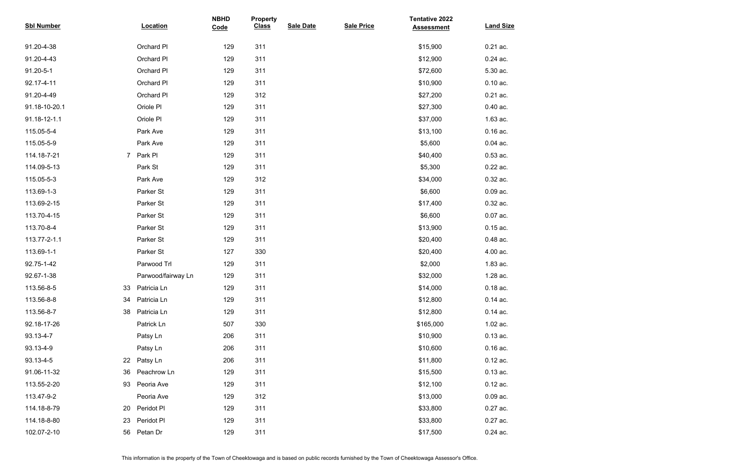| <b>Sbl Number</b> |                | <b>Location</b>    | <b>NBHD</b><br>Code | <b>Property</b><br><b>Class</b> | <b>Sale Date</b> | <b>Sale Price</b> | <b>Tentative 2022</b><br><b>Assessment</b> | <b>Land Size</b> |
|-------------------|----------------|--------------------|---------------------|---------------------------------|------------------|-------------------|--------------------------------------------|------------------|
| 91.20-4-38        |                | Orchard PI         | 129                 | 311                             |                  |                   | \$15,900                                   | 0.21 ac.         |
| 91.20-4-43        |                | Orchard PI         | 129                 | 311                             |                  |                   | \$12,900                                   | 0.24 ac.         |
| 91.20-5-1         |                | Orchard PI         | 129                 | 311                             |                  |                   | \$72,600                                   | 5.30 ac.         |
| 92.17-4-11        |                | Orchard PI         | 129                 | 311                             |                  |                   | \$10,900                                   | $0.10$ ac.       |
| 91.20-4-49        |                | Orchard PI         | 129                 | 312                             |                  |                   | \$27,200                                   | $0.21$ ac.       |
| 91.18-10-20.1     |                | Oriole PI          | 129                 | 311                             |                  |                   | \$27,300                                   | $0.40$ ac.       |
| 91.18-12-1.1      |                | Oriole Pl          | 129                 | 311                             |                  |                   | \$37,000                                   | 1.63 ac.         |
| 115.05-5-4        |                | Park Ave           | 129                 | 311                             |                  |                   | \$13,100                                   | $0.16$ ac.       |
| 115.05-5-9        |                | Park Ave           | 129                 | 311                             |                  |                   | \$5,600                                    | $0.04$ ac.       |
| 114.18-7-21       | 7 <sup>7</sup> | Park PI            | 129                 | 311                             |                  |                   | \$40,400                                   | $0.53$ ac.       |
| 114.09-5-13       |                | Park St            | 129                 | 311                             |                  |                   | \$5,300                                    | 0.22 ac.         |
| 115.05-5-3        |                | Park Ave           | 129                 | 312                             |                  |                   | \$34,000                                   | 0.32 ac.         |
| 113.69-1-3        |                | Parker St          | 129                 | 311                             |                  |                   | \$6,600                                    | $0.09$ ac.       |
| 113.69-2-15       |                | Parker St          | 129                 | 311                             |                  |                   | \$17,400                                   | 0.32 ac.         |
| 113.70-4-15       |                | Parker St          | 129                 | 311                             |                  |                   | \$6,600                                    | 0.07 ac.         |
| 113.70-8-4        |                | Parker St          | 129                 | 311                             |                  |                   | \$13,900                                   | $0.15$ ac.       |
| 113.77-2-1.1      |                | Parker St          | 129                 | 311                             |                  |                   | \$20,400                                   | 0.48 ac.         |
| 113.69-1-1        |                | Parker St          | 127                 | 330                             |                  |                   | \$20,400                                   | 4.00 ac.         |
| 92.75-1-42        |                | Parwood Trl        | 129                 | 311                             |                  |                   | \$2,000                                    | 1.83 ac.         |
| 92.67-1-38        |                | Parwood/fairway Ln | 129                 | 311                             |                  |                   | \$32,000                                   | 1.28 ac.         |
| 113.56-8-5        | 33             | Patricia Ln        | 129                 | 311                             |                  |                   | \$14,000                                   | $0.18$ ac.       |
| 113.56-8-8        | 34             | Patricia Ln        | 129                 | 311                             |                  |                   | \$12,800                                   | $0.14$ ac.       |
| 113.56-8-7        | 38             | Patricia Ln        | 129                 | 311                             |                  |                   | \$12,800                                   | $0.14$ ac.       |
| 92.18-17-26       |                | Patrick Ln         | 507                 | 330                             |                  |                   | \$165,000                                  | 1.02 ac.         |
| 93.13-4-7         |                | Patsy Ln           | 206                 | 311                             |                  |                   | \$10,900                                   | $0.13$ ac.       |
| 93.13-4-9         |                | Patsy Ln           | 206                 | 311                             |                  |                   | \$10,600                                   | $0.16$ ac.       |
| 93.13-4-5         | 22             | Patsy Ln           | 206                 | 311                             |                  |                   | \$11,800                                   | $0.12$ ac.       |
| 91.06-11-32       | 36             | Peachrow Ln        | 129                 | 311                             |                  |                   | \$15,500                                   | $0.13$ ac.       |
| 113.55-2-20       | 93             | Peoria Ave         | 129                 | 311                             |                  |                   | \$12,100                                   | $0.12$ ac.       |
| 113.47-9-2        |                | Peoria Ave         | 129                 | 312                             |                  |                   | \$13,000                                   | $0.09$ ac.       |
| 114.18-8-79       | 20             | Peridot Pl         | 129                 | 311                             |                  |                   | \$33,800                                   | 0.27 ac.         |
| 114.18-8-80       | 23             | Peridot Pl         | 129                 | 311                             |                  |                   | \$33,800                                   | 0.27 ac.         |
| 102.07-2-10       | 56             | Petan Dr           | 129                 | 311                             |                  |                   | \$17,500                                   | $0.24$ ac.       |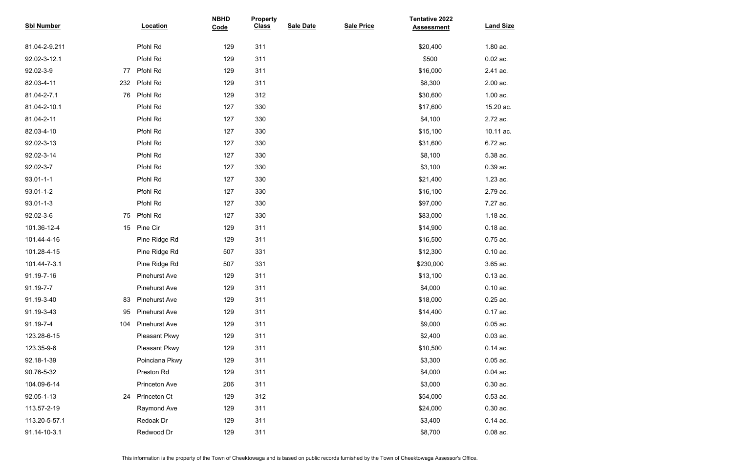| <b>Sbl Number</b> | <b>Location</b>      | <b>NBHD</b><br>Code | <b>Property</b><br><b>Class</b> | <b>Sale Date</b> | <b>Sale Price</b> | <b>Tentative 2022</b><br><b>Assessment</b> | <b>Land Size</b> |
|-------------------|----------------------|---------------------|---------------------------------|------------------|-------------------|--------------------------------------------|------------------|
| 81.04-2-9.211     | Pfohl Rd             | 129                 | 311                             |                  |                   | \$20,400                                   | 1.80 ac.         |
| 92.02-3-12.1      | Pfohl Rd             | 129                 | 311                             |                  |                   | \$500                                      | $0.02$ ac.       |
| 92.02-3-9<br>77   | Pfohl Rd             | 129                 | 311                             |                  |                   | \$16,000                                   | 2.41 ac.         |
| 82.03-4-11<br>232 | Pfohl Rd             | 129                 | 311                             |                  |                   | \$8,300                                    | 2.00 ac.         |
| 81.04-2-7.1<br>76 | Pfohl Rd             | 129                 | 312                             |                  |                   | \$30,600                                   | 1.00 ac.         |
| 81.04-2-10.1      | Pfohl Rd             | 127                 | 330                             |                  |                   | \$17,600                                   | 15.20 ac.        |
| 81.04-2-11        | Pfohl Rd             | 127                 | 330                             |                  |                   | \$4,100                                    | 2.72 ac.         |
| 82.03-4-10        | Pfohl Rd             | 127                 | 330                             |                  |                   | \$15,100                                   | 10.11 ac.        |
| 92.02-3-13        | Pfohl Rd             | 127                 | 330                             |                  |                   | \$31,600                                   | 6.72 ac.         |
| 92.02-3-14        | Pfohl Rd             | 127                 | 330                             |                  |                   | \$8,100                                    | 5.38 ac.         |
| 92.02-3-7         | Pfohl Rd             | 127                 | 330                             |                  |                   | \$3,100                                    | 0.39 ac.         |
| $93.01 - 1 - 1$   | Pfohl Rd             | 127                 | 330                             |                  |                   | \$21,400                                   | 1.23 ac.         |
| 93.01-1-2         | Pfohl Rd             | 127                 | 330                             |                  |                   | \$16,100                                   | 2.79 ac.         |
| $93.01 - 1 - 3$   | Pfohl Rd             | 127                 | 330                             |                  |                   | \$97,000                                   | 7.27 ac.         |
| 92.02-3-6<br>75   | Pfohl Rd             | 127                 | 330                             |                  |                   | \$83,000                                   | 1.18 ac.         |
| 101.36-12-4<br>15 | Pine Cir             | 129                 | 311                             |                  |                   | \$14,900                                   | $0.18$ ac.       |
| 101.44-4-16       | Pine Ridge Rd        | 129                 | 311                             |                  |                   | \$16,500                                   | 0.75 ac.         |
| 101.28-4-15       | Pine Ridge Rd        | 507                 | 331                             |                  |                   | \$12,300                                   | $0.10$ ac.       |
| 101.44-7-3.1      | Pine Ridge Rd        | 507                 | 331                             |                  |                   | \$230,000                                  | 3.65 ac.         |
| 91.19-7-16        | <b>Pinehurst Ave</b> | 129                 | 311                             |                  |                   | \$13,100                                   | $0.13$ ac.       |
| 91.19-7-7         | <b>Pinehurst Ave</b> | 129                 | 311                             |                  |                   | \$4,000                                    | $0.10$ ac.       |
| 91.19-3-40<br>83  | <b>Pinehurst Ave</b> | 129                 | 311                             |                  |                   | \$18,000                                   | $0.25$ ac.       |
| 91.19-3-43<br>95  | <b>Pinehurst Ave</b> | 129                 | 311                             |                  |                   | \$14,400                                   | 0.17 ac.         |
| 91.19-7-4<br>104  | <b>Pinehurst Ave</b> | 129                 | 311                             |                  |                   | \$9,000                                    | $0.05$ ac.       |
| 123.28-6-15       | Pleasant Pkwy        | 129                 | 311                             |                  |                   | \$2,400                                    | $0.03$ ac.       |
| 123.35-9-6        | <b>Pleasant Pkwy</b> | 129                 | 311                             |                  |                   | \$10,500                                   | $0.14$ ac.       |
| 92.18-1-39        | Poinciana Pkwy       | 129                 | 311                             |                  |                   | \$3,300                                    | $0.05$ ac.       |
| 90.76-5-32        | Preston Rd           | 129                 | 311                             |                  |                   | \$4,000                                    | $0.04$ ac.       |
| 104.09-6-14       | <b>Princeton Ave</b> | 206                 | 311                             |                  |                   | \$3,000                                    | $0.30$ ac.       |
| 92.05-1-13<br>24  | <b>Princeton Ct</b>  | 129                 | 312                             |                  |                   | \$54,000                                   | $0.53$ ac.       |
| 113.57-2-19       | Raymond Ave          | 129                 | 311                             |                  |                   | \$24,000                                   | $0.30$ ac.       |
| 113.20-5-57.1     | Redoak Dr            | 129                 | 311                             |                  |                   | \$3,400                                    | $0.14$ ac.       |
| 91.14-10-3.1      | Redwood Dr           | 129                 | 311                             |                  |                   | \$8,700                                    | $0.08$ ac.       |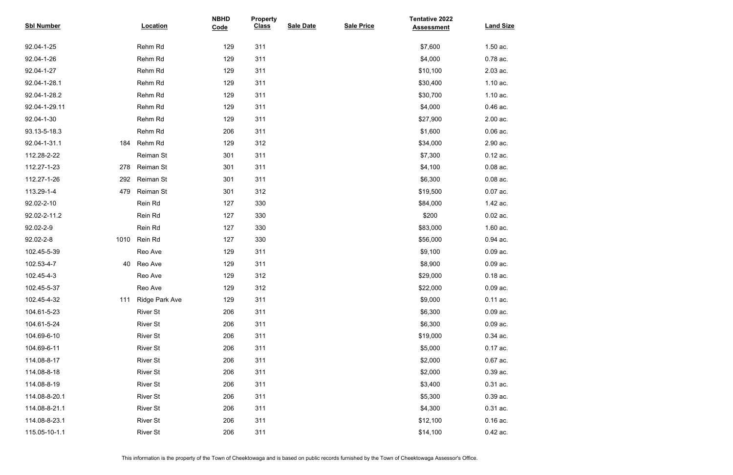| <b>Sbl Number</b> |      | <b>Location</b>       | <b>NBHD</b><br>Code | <b>Property</b><br><b>Class</b> | <b>Sale Date</b> | <b>Sale Price</b> | <b>Tentative 2022</b><br><b>Assessment</b> | <b>Land Size</b> |
|-------------------|------|-----------------------|---------------------|---------------------------------|------------------|-------------------|--------------------------------------------|------------------|
| 92.04-1-25        |      | Rehm Rd               | 129                 | 311                             |                  |                   | \$7,600                                    | 1.50 ac.         |
| 92.04-1-26        |      | Rehm Rd               | 129                 | 311                             |                  |                   | \$4,000                                    | 0.78 ac.         |
| 92.04-1-27        |      | Rehm Rd               | 129                 | 311                             |                  |                   | \$10,100                                   | 2.03 ac.         |
| 92.04-1-28.1      |      | Rehm Rd               | 129                 | 311                             |                  |                   | \$30,400                                   | 1.10 ac.         |
| 92.04-1-28.2      |      | Rehm Rd               | 129                 | 311                             |                  |                   | \$30,700                                   | 1.10 ac.         |
| 92.04-1-29.11     |      | Rehm Rd               | 129                 | 311                             |                  |                   | \$4,000                                    | 0.46 ac.         |
| 92.04-1-30        |      | Rehm Rd               | 129                 | 311                             |                  |                   | \$27,900                                   | 2.00 ac.         |
| 93.13-5-18.3      |      | Rehm Rd               | 206                 | 311                             |                  |                   | \$1,600                                    | $0.06$ ac.       |
| 92.04-1-31.1      | 184  | Rehm Rd               | 129                 | 312                             |                  |                   | \$34,000                                   | 2.90 ac.         |
| 112.28-2-22       |      | Reiman St             | 301                 | 311                             |                  |                   | \$7,300                                    | $0.12$ ac.       |
| 112.27-1-23       | 278  | Reiman St             | 301                 | 311                             |                  |                   | \$4,100                                    | $0.08$ ac.       |
| 112.27-1-26       | 292  | Reiman St             | 301                 | 311                             |                  |                   | \$6,300                                    | $0.08$ ac.       |
| 113.29-1-4        | 479  | Reiman St             | 301                 | 312                             |                  |                   | \$19,500                                   | $0.07$ ac.       |
| 92.02-2-10        |      | Rein Rd               | 127                 | 330                             |                  |                   | \$84,000                                   | 1.42 ac.         |
| 92.02-2-11.2      |      | Rein Rd               | 127                 | 330                             |                  |                   | \$200                                      | $0.02$ ac.       |
| 92.02-2-9         |      | Rein Rd               | 127                 | 330                             |                  |                   | \$83,000                                   | 1.60 ac.         |
| 92.02-2-8         | 1010 | Rein Rd               | 127                 | 330                             |                  |                   | \$56,000                                   | 0.94 ac.         |
| 102.45-5-39       |      | Reo Ave               | 129                 | 311                             |                  |                   | \$9,100                                    | $0.09$ ac.       |
| 102.53-4-7        | 40   | Reo Ave               | 129                 | 311                             |                  |                   | \$8,900                                    | $0.09$ ac.       |
| 102.45-4-3        |      | Reo Ave               | 129                 | 312                             |                  |                   | \$29,000                                   | $0.18$ ac.       |
| 102.45-5-37       |      | Reo Ave               | 129                 | 312                             |                  |                   | \$22,000                                   | $0.09$ ac.       |
| 102.45-4-32       | 111  | <b>Ridge Park Ave</b> | 129                 | 311                             |                  |                   | \$9,000                                    | 0.11 ac.         |
| 104.61-5-23       |      | <b>River St</b>       | 206                 | 311                             |                  |                   | \$6,300                                    | $0.09$ ac.       |
| 104.61-5-24       |      | <b>River St</b>       | 206                 | 311                             |                  |                   | \$6,300                                    | $0.09$ ac.       |
| 104.69-6-10       |      | <b>River St</b>       | 206                 | 311                             |                  |                   | \$19,000                                   | $0.34$ ac.       |
| 104.69-6-11       |      | <b>River St</b>       | 206                 | 311                             |                  |                   | \$5,000                                    | 0.17 ac.         |
| 114.08-8-17       |      | <b>River St</b>       | 206                 | 311                             |                  |                   | \$2,000                                    | $0.67$ ac.       |
| 114.08-8-18       |      | <b>River St</b>       | 206                 | 311                             |                  |                   | \$2,000                                    | 0.39 ac.         |
| 114.08-8-19       |      | <b>River St</b>       | 206                 | 311                             |                  |                   | \$3,400                                    | $0.31$ ac.       |
| 114.08-8-20.1     |      | <b>River St</b>       | 206                 | 311                             |                  |                   | \$5,300                                    | $0.39$ ac.       |
| 114.08-8-21.1     |      | <b>River St</b>       | 206                 | 311                             |                  |                   | \$4,300                                    | 0.31 ac.         |
| 114.08-8-23.1     |      | <b>River St</b>       | 206                 | 311                             |                  |                   | \$12,100                                   | $0.16$ ac.       |
| 115.05-10-1.1     |      | <b>River St</b>       | 206                 | 311                             |                  |                   | \$14,100                                   | 0.42 ac.         |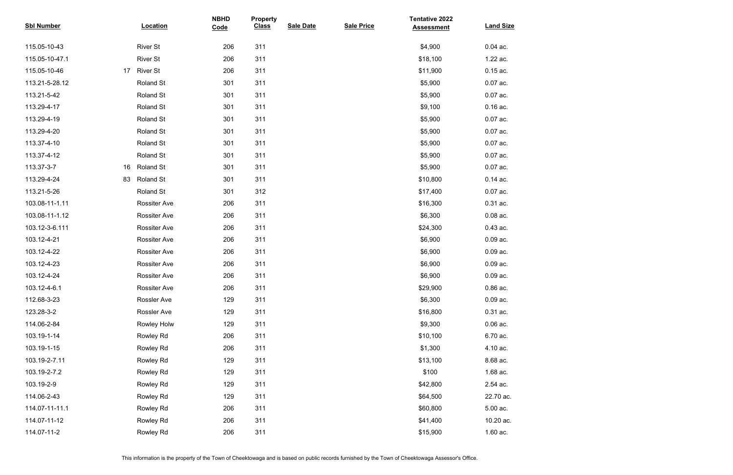| <b>Sbl Number</b> |    | <b>Location</b>     | <b>NBHD</b><br>Code | <b>Property</b><br><b>Class</b> | <b>Sale Date</b> | <b>Sale Price</b> | <b>Tentative 2022</b><br><b>Assessment</b> | <b>Land Size</b> |
|-------------------|----|---------------------|---------------------|---------------------------------|------------------|-------------------|--------------------------------------------|------------------|
| 115.05-10-43      |    | <b>River St</b>     | 206                 | 311                             |                  |                   | \$4,900                                    | $0.04$ ac.       |
| 115.05-10-47.1    |    | <b>River St</b>     | 206                 | 311                             |                  |                   | \$18,100                                   | 1.22 ac.         |
| 115.05-10-46      | 17 | <b>River St</b>     | 206                 | 311                             |                  |                   | \$11,900                                   | $0.15$ ac.       |
| 113.21-5-28.12    |    | Roland St           | 301                 | 311                             |                  |                   | \$5,900                                    | $0.07$ ac.       |
| 113.21-5-42       |    | Roland St           | 301                 | 311                             |                  |                   | \$5,900                                    | $0.07$ ac.       |
| 113.29-4-17       |    | Roland St           | 301                 | 311                             |                  |                   | \$9,100                                    | $0.16$ ac.       |
| 113.29-4-19       |    | Roland St           | 301                 | 311                             |                  |                   | \$5,900                                    | $0.07$ ac.       |
| 113.29-4-20       |    | Roland St           | 301                 | 311                             |                  |                   | \$5,900                                    | $0.07$ ac.       |
| 113.37-4-10       |    | Roland St           | 301                 | 311                             |                  |                   | \$5,900                                    | $0.07$ ac.       |
| 113.37-4-12       |    | Roland St           | 301                 | 311                             |                  |                   | \$5,900                                    | $0.07$ ac.       |
| 113.37-3-7        | 16 | <b>Roland St</b>    | 301                 | 311                             |                  |                   | \$5,900                                    | $0.07$ ac.       |
| 113.29-4-24       | 83 | <b>Roland St</b>    | 301                 | 311                             |                  |                   | \$10,800                                   | $0.14$ ac.       |
| 113.21-5-26       |    | Roland St           | 301                 | 312                             |                  |                   | \$17,400                                   | $0.07$ ac.       |
| 103.08-11-1.11    |    | <b>Rossiter Ave</b> | 206                 | 311                             |                  |                   | \$16,300                                   | 0.31 ac.         |
| 103.08-11-1.12    |    | <b>Rossiter Ave</b> | 206                 | 311                             |                  |                   | \$6,300                                    | $0.08$ ac.       |
| 103.12-3-6.111    |    | <b>Rossiter Ave</b> | 206                 | 311                             |                  |                   | \$24,300                                   | 0.43 ac.         |
| 103.12-4-21       |    | <b>Rossiter Ave</b> | 206                 | 311                             |                  |                   | \$6,900                                    | $0.09$ ac.       |
| 103.12-4-22       |    | <b>Rossiter Ave</b> | 206                 | 311                             |                  |                   | \$6,900                                    | $0.09$ ac.       |
| 103.12-4-23       |    | <b>Rossiter Ave</b> | 206                 | 311                             |                  |                   | \$6,900                                    | $0.09$ ac.       |
| 103.12-4-24       |    | <b>Rossiter Ave</b> | 206                 | 311                             |                  |                   | \$6,900                                    | $0.09$ ac.       |
| 103.12-4-6.1      |    | <b>Rossiter Ave</b> | 206                 | 311                             |                  |                   | \$29,900                                   | 0.86 ac.         |
| 112.68-3-23       |    | <b>Rossler Ave</b>  | 129                 | 311                             |                  |                   | \$6,300                                    | $0.09$ ac.       |
| 123.28-3-2        |    | <b>Rossler Ave</b>  | 129                 | 311                             |                  |                   | \$16,800                                   | $0.31$ ac.       |
| 114.06-2-84       |    | Rowley Holw         | 129                 | 311                             |                  |                   | \$9,300                                    | $0.06$ ac.       |
| 103.19-1-14       |    | Rowley Rd           | 206                 | 311                             |                  |                   | \$10,100                                   | 6.70 ac.         |
| 103.19-1-15       |    | Rowley Rd           | 206                 | 311                             |                  |                   | \$1,300                                    | 4.10 ac.         |
| 103.19-2-7.11     |    | Rowley Rd           | 129                 | 311                             |                  |                   | \$13,100                                   | 8.68 ac.         |
| 103.19-2-7.2      |    | Rowley Rd           | 129                 | 311                             |                  |                   | \$100                                      | 1.68 ac.         |
| 103.19-2-9        |    | Rowley Rd           | 129                 | 311                             |                  |                   | \$42,800                                   | 2.54 ac.         |
| 114.06-2-43       |    | Rowley Rd           | 129                 | 311                             |                  |                   | \$64,500                                   | 22.70 ac.        |
| 114.07-11-11.1    |    | Rowley Rd           | 206                 | 311                             |                  |                   | \$60,800                                   | 5.00 ac.         |
| 114.07-11-12      |    | Rowley Rd           | 206                 | 311                             |                  |                   | \$41,400                                   | 10.20 ac.        |
| 114.07-11-2       |    | Rowley Rd           | 206                 | 311                             |                  |                   | \$15,900                                   | 1.60 ac.         |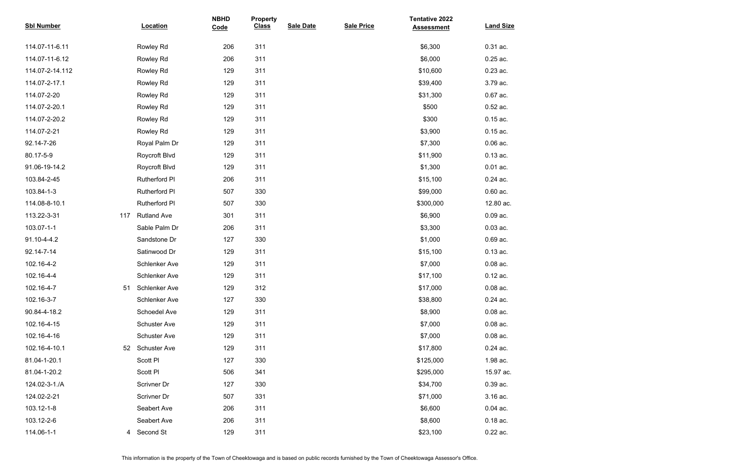| <b>Sbl Number</b> |     | <b>Location</b>      | <b>NBHD</b><br>Code | <b>Property</b><br><b>Class</b> | <b>Sale Date</b> | <b>Sale Price</b> | <b>Tentative 2022</b><br><b>Assessment</b> | <b>Land Size</b> |
|-------------------|-----|----------------------|---------------------|---------------------------------|------------------|-------------------|--------------------------------------------|------------------|
| 114.07-11-6.11    |     | Rowley Rd            | 206                 | 311                             |                  |                   | \$6,300                                    | 0.31 ac.         |
| 114.07-11-6.12    |     | Rowley Rd            | 206                 | 311                             |                  |                   | \$6,000                                    | $0.25$ ac.       |
| 114.07-2-14.112   |     | Rowley Rd            | 129                 | 311                             |                  |                   | \$10,600                                   | 0.23 ac.         |
| 114.07-2-17.1     |     | Rowley Rd            | 129                 | 311                             |                  |                   | \$39,400                                   | 3.79 ac.         |
| 114.07-2-20       |     | Rowley Rd            | 129                 | 311                             |                  |                   | \$31,300                                   | 0.67 ac.         |
| 114.07-2-20.1     |     | Rowley Rd            | 129                 | 311                             |                  |                   | \$500                                      | $0.52$ ac.       |
| 114.07-2-20.2     |     | Rowley Rd            | 129                 | 311                             |                  |                   | \$300                                      | $0.15$ ac.       |
| 114.07-2-21       |     | Rowley Rd            | 129                 | 311                             |                  |                   | \$3,900                                    | $0.15$ ac.       |
| 92.14-7-26        |     | Royal Palm Dr        | 129                 | 311                             |                  |                   | \$7,300                                    | $0.06$ ac.       |
| 80.17-5-9         |     | Roycroft Blvd        | 129                 | 311                             |                  |                   | \$11,900                                   | $0.13$ ac.       |
| 91.06-19-14.2     |     | Roycroft Blvd        | 129                 | 311                             |                  |                   | \$1,300                                    | $0.01$ ac.       |
| 103.84-2-45       |     | Rutherford PI        | 206                 | 311                             |                  |                   | \$15,100                                   | 0.24 ac.         |
| 103.84-1-3        |     | Rutherford PI        | 507                 | 330                             |                  |                   | \$99,000                                   | $0.60$ ac.       |
| 114.08-8-10.1     |     | Rutherford PI        | 507                 | 330                             |                  |                   | \$300,000                                  | 12.80 ac.        |
| 113.22-3-31       | 117 | <b>Rutland Ave</b>   | 301                 | 311                             |                  |                   | \$6,900                                    | $0.09$ ac.       |
| 103.07-1-1        |     | Sable Palm Dr        | 206                 | 311                             |                  |                   | \$3,300                                    | $0.03$ ac.       |
| 91.10-4-4.2       |     | Sandstone Dr         | 127                 | 330                             |                  |                   | \$1,000                                    | 0.69 ac.         |
| 92.14-7-14        |     | Satinwood Dr         | 129                 | 311                             |                  |                   | \$15,100                                   | $0.13$ ac.       |
| 102.16-4-2        |     | Schlenker Ave        | 129                 | 311                             |                  |                   | \$7,000                                    | $0.08$ ac.       |
| 102.16-4-4        |     | <b>Schlenker Ave</b> | 129                 | 311                             |                  |                   | \$17,100                                   | $0.12$ ac.       |
| 102.16-4-7        | 51  | Schlenker Ave        | 129                 | 312                             |                  |                   | \$17,000                                   | $0.08$ ac.       |
| 102.16-3-7        |     | Schlenker Ave        | 127                 | 330                             |                  |                   | \$38,800                                   | $0.24$ ac.       |
| 90.84-4-18.2      |     | Schoedel Ave         | 129                 | 311                             |                  |                   | \$8,900                                    | $0.08$ ac.       |
| 102.16-4-15       |     | <b>Schuster Ave</b>  | 129                 | 311                             |                  |                   | \$7,000                                    | $0.08$ ac.       |
| 102.16-4-16       |     | <b>Schuster Ave</b>  | 129                 | 311                             |                  |                   | \$7,000                                    | $0.08$ ac.       |
| 102.16-4-10.1     | 52  | <b>Schuster Ave</b>  | 129                 | 311                             |                  |                   | \$17,800                                   | $0.24$ ac.       |
| 81.04-1-20.1      |     | Scott PI             | 127                 | 330                             |                  |                   | \$125,000                                  | 1.98 ac.         |
| 81.04-1-20.2      |     | Scott PI             | 506                 | 341                             |                  |                   | \$295,000                                  | 15.97 ac.        |
| 124.02-3-1./A     |     | Scrivner Dr          | 127                 | 330                             |                  |                   | \$34,700                                   | $0.39$ ac.       |
| 124.02-2-21       |     | Scrivner Dr          | 507                 | 331                             |                  |                   | \$71,000                                   | 3.16 ac.         |
| 103.12-1-8        |     | Seabert Ave          | 206                 | 311                             |                  |                   | \$6,600                                    | $0.04$ ac.       |
| 103.12-2-6        |     | Seabert Ave          | 206                 | 311                             |                  |                   | \$8,600                                    | $0.18$ ac.       |
| 114.06-1-1        | 4   | Second St            | 129                 | 311                             |                  |                   | \$23,100                                   | $0.22$ ac.       |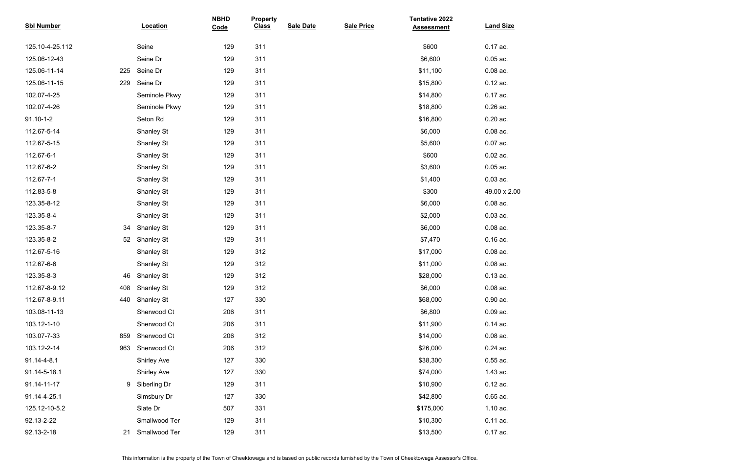| <b>Sbl Number</b> |                 | Location           | <b>NBHD</b><br>Code | <b>Property</b><br><b>Class</b> | <b>Sale Date</b> | <b>Sale Price</b> | <b>Tentative 2022</b><br><b>Assessment</b> | <b>Land Size</b> |
|-------------------|-----------------|--------------------|---------------------|---------------------------------|------------------|-------------------|--------------------------------------------|------------------|
| 125.10-4-25.112   |                 | Seine              | 129                 | 311                             |                  |                   | \$600                                      | 0.17 ac.         |
| 125.06-12-43      |                 | Seine Dr           | 129                 | 311                             |                  |                   | \$6,600                                    | $0.05$ ac.       |
| 125.06-11-14      | 225             | Seine Dr           | 129                 | 311                             |                  |                   | \$11,100                                   | $0.08$ ac.       |
| 125.06-11-15      | 229             | Seine Dr           | 129                 | 311                             |                  |                   | \$15,800                                   | $0.12$ ac.       |
| 102.07-4-25       |                 | Seminole Pkwy      | 129                 | 311                             |                  |                   | \$14,800                                   | 0.17 ac.         |
| 102.07-4-26       |                 | Seminole Pkwy      | 129                 | 311                             |                  |                   | \$18,800                                   | $0.26$ ac.       |
| $91.10 - 1 - 2$   |                 | Seton Rd           | 129                 | 311                             |                  |                   | \$16,800                                   | $0.20$ ac.       |
| 112.67-5-14       |                 | <b>Shanley St</b>  | 129                 | 311                             |                  |                   | \$6,000                                    | $0.08$ ac.       |
| 112.67-5-15       |                 | <b>Shanley St</b>  | 129                 | 311                             |                  |                   | \$5,600                                    | $0.07$ ac.       |
| 112.67-6-1        |                 | <b>Shanley St</b>  | 129                 | 311                             |                  |                   | \$600                                      | $0.02$ ac.       |
| 112.67-6-2        |                 | <b>Shanley St</b>  | 129                 | 311                             |                  |                   | \$3,600                                    | $0.05$ ac.       |
| 112.67-7-1        |                 | <b>Shanley St</b>  | 129                 | 311                             |                  |                   | \$1,400                                    | $0.03$ ac.       |
| 112.83-5-8        |                 | <b>Shanley St</b>  | 129                 | 311                             |                  |                   | \$300                                      | 49.00 x 2.00     |
| 123.35-8-12       |                 | <b>Shanley St</b>  | 129                 | 311                             |                  |                   | \$6,000                                    | $0.08$ ac.       |
| 123.35-8-4        |                 | <b>Shanley St</b>  | 129                 | 311                             |                  |                   | \$2,000                                    | $0.03$ ac.       |
| 123.35-8-7        | 34              | <b>Shanley St</b>  | 129                 | 311                             |                  |                   | \$6,000                                    | $0.08$ ac.       |
| 123.35-8-2        | 52 <sub>2</sub> | <b>Shanley St</b>  | 129                 | 311                             |                  |                   | \$7,470                                    | $0.16$ ac.       |
| 112.67-5-16       |                 | <b>Shanley St</b>  | 129                 | 312                             |                  |                   | \$17,000                                   | $0.08$ ac.       |
| 112.67-6-6        |                 | <b>Shanley St</b>  | 129                 | 312                             |                  |                   | \$11,000                                   | $0.08$ ac.       |
| 123.35-8-3        | 46              | <b>Shanley St</b>  | 129                 | 312                             |                  |                   | \$28,000                                   | $0.13$ ac.       |
| 112.67-8-9.12     | 408             | <b>Shanley St</b>  | 129                 | 312                             |                  |                   | \$6,000                                    | $0.08$ ac.       |
| 112.67-8-9.11     | 440             | <b>Shanley St</b>  | 127                 | 330                             |                  |                   | \$68,000                                   | 0.90 ac.         |
| 103.08-11-13      |                 | Sherwood Ct        | 206                 | 311                             |                  |                   | \$6,800                                    | $0.09$ ac.       |
| 103.12-1-10       |                 | Sherwood Ct        | 206                 | 311                             |                  |                   | \$11,900                                   | $0.14$ ac.       |
| 103.07-7-33       | 859             | Sherwood Ct        | 206                 | 312                             |                  |                   | \$14,000                                   | $0.08$ ac.       |
| 103.12-2-14       | 963             | Sherwood Ct        | 206                 | 312                             |                  |                   | \$26,000                                   | $0.24$ ac.       |
| 91.14-4-8.1       |                 | <b>Shirley Ave</b> | 127                 | 330                             |                  |                   | \$38,300                                   | $0.55$ ac.       |
| 91.14-5-18.1      |                 | <b>Shirley Ave</b> | 127                 | 330                             |                  |                   | \$74,000                                   | 1.43 ac.         |
| 91.14-11-17       | 9               | Siberling Dr       | 129                 | 311                             |                  |                   | \$10,900                                   | $0.12$ ac.       |
| 91.14-4-25.1      |                 | Simsbury Dr        | 127                 | 330                             |                  |                   | \$42,800                                   | 0.65 ac.         |
| 125.12-10-5.2     |                 | Slate Dr           | 507                 | 331                             |                  |                   | \$175,000                                  | 1.10 ac.         |
| 92.13-2-22        |                 | Smallwood Ter      | 129                 | 311                             |                  |                   | \$10,300                                   | $0.11$ ac.       |
| 92.13-2-18        | 21              | Smallwood Ter      | 129                 | 311                             |                  |                   | \$13,500                                   | $0.17$ ac.       |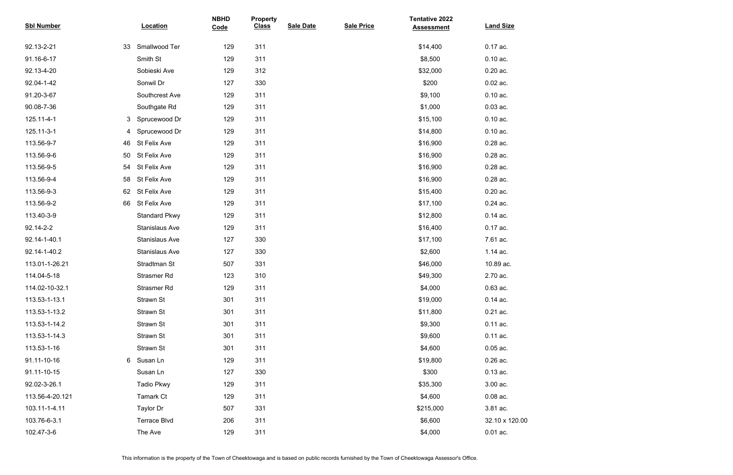| <b>Sbl Number</b> | Location              | <b>NBHD</b><br>Code | <b>Property</b><br><b>Class</b> | <b>Sale Date</b> | <b>Sale Price</b> | <b>Tentative 2022</b><br><b>Assessment</b> | <b>Land Size</b> |
|-------------------|-----------------------|---------------------|---------------------------------|------------------|-------------------|--------------------------------------------|------------------|
| 92.13-2-21<br>33  | Smallwood Ter         | 129                 | 311                             |                  |                   | \$14,400                                   | 0.17 ac.         |
| 91.16-6-17        | Smith St              | 129                 | 311                             |                  |                   | \$8,500                                    | $0.10$ ac.       |
| 92.13-4-20        | Sobieski Ave          | 129                 | 312                             |                  |                   | \$32,000                                   | $0.20$ ac.       |
| 92.04-1-42        | Sonwil Dr             | 127                 | 330                             |                  |                   | \$200                                      | $0.02$ ac.       |
| 91.20-3-67        | Southcrest Ave        | 129                 | 311                             |                  |                   | \$9,100                                    | $0.10$ ac.       |
| 90.08-7-36        | Southgate Rd          | 129                 | 311                             |                  |                   | \$1,000                                    | $0.03$ ac.       |
| 125.11-4-1<br>3   | Sprucewood Dr         | 129                 | 311                             |                  |                   | \$15,100                                   | $0.10$ ac.       |
| 125.11-3-1<br>4   | Sprucewood Dr         | 129                 | 311                             |                  |                   | \$14,800                                   | $0.10$ ac.       |
| 113.56-9-7<br>46  | St Felix Ave          | 129                 | 311                             |                  |                   | \$16,900                                   | 0.28 ac.         |
| 113.56-9-6<br>50  | St Felix Ave          | 129                 | 311                             |                  |                   | \$16,900                                   | 0.28 ac.         |
| 113.56-9-5<br>54  | St Felix Ave          | 129                 | 311                             |                  |                   | \$16,900                                   | 0.28 ac.         |
| 113.56-9-4<br>58  | St Felix Ave          | 129                 | 311                             |                  |                   | \$16,900                                   | 0.28 ac.         |
| 113.56-9-3<br>62  | St Felix Ave          | 129                 | 311                             |                  |                   | \$15,400                                   | $0.20$ ac.       |
| 113.56-9-2<br>66  | St Felix Ave          | 129                 | 311                             |                  |                   | \$17,100                                   | 0.24 ac.         |
| 113.40-3-9        | <b>Standard Pkwy</b>  | 129                 | 311                             |                  |                   | \$12,800                                   | $0.14$ ac.       |
| 92.14-2-2         | <b>Stanislaus Ave</b> | 129                 | 311                             |                  |                   | \$16,400                                   | 0.17 ac.         |
| 92.14-1-40.1      | <b>Stanislaus Ave</b> | 127                 | 330                             |                  |                   | \$17,100                                   | 7.61 ac.         |
| 92.14-1-40.2      | <b>Stanislaus Ave</b> | 127                 | 330                             |                  |                   | \$2,600                                    | 1.14 ac.         |
| 113.01-1-26.21    | Stradtman St          | 507                 | 331                             |                  |                   | \$46,000                                   | 10.89 ac.        |
| 114.04-5-18       | Strasmer Rd           | 123                 | 310                             |                  |                   | \$49,300                                   | 2.70 ac.         |
| 114.02-10-32.1    | Strasmer Rd           | 129                 | 311                             |                  |                   | \$4,000                                    | 0.63 ac.         |
| 113.53-1-13.1     | Strawn St             | 301                 | 311                             |                  |                   | \$19,000                                   | $0.14$ ac.       |
| 113.53-1-13.2     | Strawn St             | 301                 | 311                             |                  |                   | \$11,800                                   | $0.21$ ac.       |
| 113.53-1-14.2     | Strawn St             | 301                 | 311                             |                  |                   | \$9,300                                    | 0.11 ac.         |
| 113.53-1-14.3     | Strawn St             | 301                 | 311                             |                  |                   | \$9,600                                    | 0.11 ac.         |
| 113.53-1-16       | Strawn St             | 301                 | 311                             |                  |                   | \$4,600                                    | $0.05$ ac.       |
| 91.11-10-16<br>6  | Susan Ln              | 129                 | 311                             |                  |                   | \$19,800                                   | $0.26$ ac.       |
| 91.11-10-15       | Susan Ln              | 127                 | 330                             |                  |                   | \$300                                      | $0.13$ ac.       |
| 92.02-3-26.1      | <b>Tadio Pkwy</b>     | 129                 | 311                             |                  |                   | \$35,300                                   | 3.00 ac.         |
| 113.56-4-20.121   | Tamark Ct             | 129                 | 311                             |                  |                   | \$4,600                                    | $0.08$ ac.       |
| 103.11-1-4.11     | Taylor Dr             | 507                 | 331                             |                  |                   | \$215,000                                  | 3.81 ac.         |
| 103.76-6-3.1      | <b>Terrace Blvd</b>   | 206                 | 311                             |                  |                   | \$6,600                                    | 32.10 x 120.00   |
| 102.47-3-6        | The Ave               | 129                 | 311                             |                  |                   | \$4,000                                    | $0.01$ ac.       |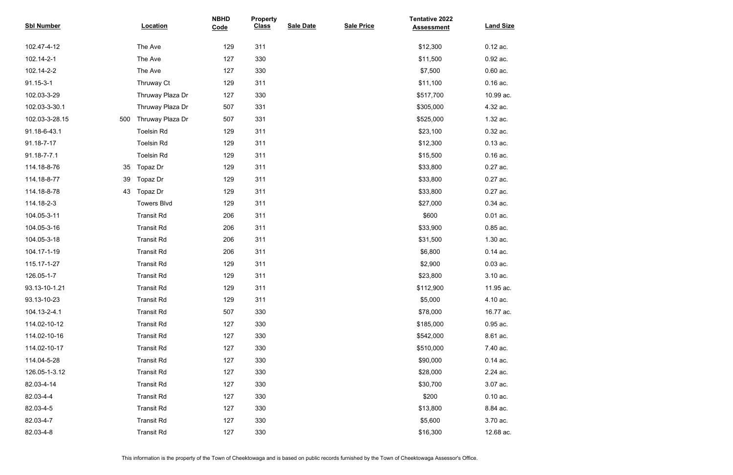| <b>Sbl Number</b> | Location                | <b>NBHD</b><br>Code | <b>Property</b><br><b>Class</b> | <b>Sale Date</b> | <b>Sale Price</b> | <b>Tentative 2022</b><br><b>Assessment</b> | <b>Land Size</b> |
|-------------------|-------------------------|---------------------|---------------------------------|------------------|-------------------|--------------------------------------------|------------------|
| 102.47-4-12       | The Ave                 | 129                 | 311                             |                  |                   | \$12,300                                   | $0.12$ ac.       |
| 102.14-2-1        | The Ave                 | 127                 | 330                             |                  |                   | \$11,500                                   | 0.92 ac.         |
| 102.14-2-2        | The Ave                 | 127                 | 330                             |                  |                   | \$7,500                                    | $0.60$ ac.       |
| 91.15-3-1         | Thruway Ct              | 129                 | 311                             |                  |                   | \$11,100                                   | $0.16$ ac.       |
| 102.03-3-29       | Thruway Plaza Dr        | 127                 | 330                             |                  |                   | \$517,700                                  | 10.99 ac.        |
| 102.03-3-30.1     | Thruway Plaza Dr        | 507                 | 331                             |                  |                   | \$305,000                                  | 4.32 ac.         |
| 102.03-3-28.15    | Thruway Plaza Dr<br>500 | 507                 | 331                             |                  |                   | \$525,000                                  | 1.32 ac.         |
| 91.18-6-43.1      | <b>Toelsin Rd</b>       | 129                 | 311                             |                  |                   | \$23,100                                   | 0.32 ac.         |
| 91.18-7-17        | <b>Toelsin Rd</b>       | 129                 | 311                             |                  |                   | \$12,300                                   | $0.13$ ac.       |
| 91.18-7-7.1       | <b>Toelsin Rd</b>       | 129                 | 311                             |                  |                   | \$15,500                                   | $0.16$ ac.       |
| 114.18-8-76       | Topaz Dr<br>35          | 129                 | 311                             |                  |                   | \$33,800                                   | 0.27 ac.         |
| 114.18-8-77       | Topaz Dr<br>39          | 129                 | 311                             |                  |                   | \$33,800                                   | 0.27 ac.         |
| 114.18-8-78       | Topaz Dr<br>43          | 129                 | 311                             |                  |                   | \$33,800                                   | 0.27 ac.         |
| 114.18-2-3        | <b>Towers Blvd</b>      | 129                 | 311                             |                  |                   | \$27,000                                   | 0.34 ac.         |
| 104.05-3-11       | <b>Transit Rd</b>       | 206                 | 311                             |                  |                   | \$600                                      | $0.01$ ac.       |
| 104.05-3-16       | <b>Transit Rd</b>       | 206                 | 311                             |                  |                   | \$33,900                                   | 0.85 ac.         |
| 104.05-3-18       | <b>Transit Rd</b>       | 206                 | 311                             |                  |                   | \$31,500                                   | 1.30 ac.         |
| 104.17-1-19       | <b>Transit Rd</b>       | 206                 | 311                             |                  |                   | \$6,800                                    | $0.14$ ac.       |
| 115.17-1-27       | <b>Transit Rd</b>       | 129                 | 311                             |                  |                   | \$2,900                                    | $0.03$ ac.       |
| 126.05-1-7        | <b>Transit Rd</b>       | 129                 | 311                             |                  |                   | \$23,800                                   | 3.10 ac.         |
| 93.13-10-1.21     | <b>Transit Rd</b>       | 129                 | 311                             |                  |                   | \$112,900                                  | 11.95 ac.        |
| 93.13-10-23       | <b>Transit Rd</b>       | 129                 | 311                             |                  |                   | \$5,000                                    | 4.10 ac.         |
| 104.13-2-4.1      | <b>Transit Rd</b>       | 507                 | 330                             |                  |                   | \$78,000                                   | 16.77 ac.        |
| 114.02-10-12      | <b>Transit Rd</b>       | 127                 | 330                             |                  |                   | \$185,000                                  | 0.95 ac.         |
| 114.02-10-16      | <b>Transit Rd</b>       | 127                 | 330                             |                  |                   | \$542,000                                  | 8.61 ac.         |
| 114.02-10-17      | <b>Transit Rd</b>       | 127                 | 330                             |                  |                   | \$510,000                                  | 7.40 ac.         |
| 114.04-5-28       | <b>Transit Rd</b>       | 127                 | 330                             |                  |                   | \$90,000                                   | $0.14$ ac.       |
| 126.05-1-3.12     | <b>Transit Rd</b>       | 127                 | 330                             |                  |                   | \$28,000                                   | 2.24 ac.         |
| 82.03-4-14        | <b>Transit Rd</b>       | 127                 | 330                             |                  |                   | \$30,700                                   | 3.07 ac.         |
| 82.03-4-4         | <b>Transit Rd</b>       | 127                 | 330                             |                  |                   | \$200                                      | $0.10$ ac.       |
| 82.03-4-5         | <b>Transit Rd</b>       | 127                 | 330                             |                  |                   | \$13,800                                   | 8.84 ac.         |
| 82.03-4-7         | <b>Transit Rd</b>       | 127                 | 330                             |                  |                   | \$5,600                                    | 3.70 ac.         |
| 82.03-4-8         | <b>Transit Rd</b>       | 127                 | 330                             |                  |                   | \$16,300                                   | 12.68 ac.        |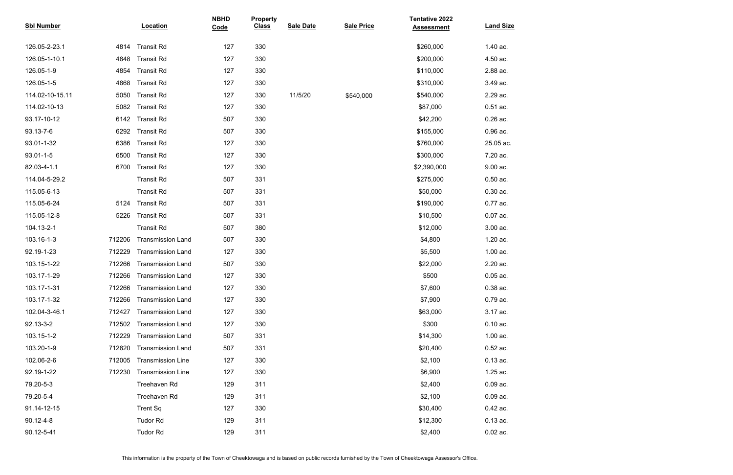| <b>Sbl Number</b> |        | Location                 | <b>NBHD</b><br>Code | <b>Property</b><br><b>Class</b> | <b>Sale Date</b> | <b>Sale Price</b> | <b>Tentative 2022</b><br><b>Assessment</b> | <b>Land Size</b> |
|-------------------|--------|--------------------------|---------------------|---------------------------------|------------------|-------------------|--------------------------------------------|------------------|
| 126.05-2-23.1     | 4814   | <b>Transit Rd</b>        | 127                 | 330                             |                  |                   | \$260,000                                  | 1.40 ac.         |
| 126.05-1-10.1     | 4848   | <b>Transit Rd</b>        | 127                 | 330                             |                  |                   | \$200,000                                  | 4.50 ac.         |
| 126.05-1-9        | 4854   | <b>Transit Rd</b>        | 127                 | 330                             |                  |                   | \$110,000                                  | 2.88 ac.         |
| 126.05-1-5        | 4868   | <b>Transit Rd</b>        | 127                 | 330                             |                  |                   | \$310,000                                  | 3.49 ac.         |
| 114.02-10-15.11   | 5050   | <b>Transit Rd</b>        | 127                 | 330                             | 11/5/20          | \$540,000         | \$540,000                                  | 2.29 ac.         |
| 114.02-10-13      | 5082   | <b>Transit Rd</b>        | 127                 | 330                             |                  |                   | \$87,000                                   | $0.51$ ac.       |
| 93.17-10-12       | 6142   | <b>Transit Rd</b>        | 507                 | 330                             |                  |                   | \$42,200                                   | $0.26$ ac.       |
| 93.13-7-6         | 6292   | <b>Transit Rd</b>        | 507                 | 330                             |                  |                   | \$155,000                                  | 0.96 ac.         |
| 93.01-1-32        | 6386   | <b>Transit Rd</b>        | 127                 | 330                             |                  |                   | \$760,000                                  | 25.05 ac.        |
| $93.01 - 1 - 5$   | 6500   | <b>Transit Rd</b>        | 127                 | 330                             |                  |                   | \$300,000                                  | 7.20 ac.         |
| 82.03-4-1.1       | 6700   | <b>Transit Rd</b>        | 127                 | 330                             |                  |                   | \$2,390,000                                | 9.00 ac.         |
| 114.04-5-29.2     |        | <b>Transit Rd</b>        | 507                 | 331                             |                  |                   | \$275,000                                  | $0.50$ ac.       |
| 115.05-6-13       |        | <b>Transit Rd</b>        | 507                 | 331                             |                  |                   | \$50,000                                   | $0.30$ ac.       |
| 115.05-6-24       | 5124   | <b>Transit Rd</b>        | 507                 | 331                             |                  |                   | \$190,000                                  | 0.77 ac.         |
| 115.05-12-8       | 5226   | <b>Transit Rd</b>        | 507                 | 331                             |                  |                   | \$10,500                                   | $0.07$ ac.       |
| 104.13-2-1        |        | <b>Transit Rd</b>        | 507                 | 380                             |                  |                   | \$12,000                                   | 3.00 ac.         |
| 103.16-1-3        | 712206 | <b>Transmission Land</b> | 507                 | 330                             |                  |                   | \$4,800                                    | 1.20 ac.         |
| 92.19-1-23        | 712229 | <b>Transmission Land</b> | 127                 | 330                             |                  |                   | \$5,500                                    | 1.00 ac.         |
| 103.15-1-22       | 712266 | <b>Transmission Land</b> | 507                 | 330                             |                  |                   | \$22,000                                   | 2.20 ac.         |
| 103.17-1-29       | 712266 | <b>Transmission Land</b> | 127                 | 330                             |                  |                   | \$500                                      | $0.05$ ac.       |
| 103.17-1-31       | 712266 | <b>Transmission Land</b> | 127                 | 330                             |                  |                   | \$7,600                                    | $0.38$ ac.       |
| 103.17-1-32       | 712266 | <b>Transmission Land</b> | 127                 | 330                             |                  |                   | \$7,900                                    | 0.79 ac.         |
| 102.04-3-46.1     | 712427 | <b>Transmission Land</b> | 127                 | 330                             |                  |                   | \$63,000                                   | 3.17 ac.         |
| 92.13-3-2         | 712502 | <b>Transmission Land</b> | 127                 | 330                             |                  |                   | \$300                                      | $0.10$ ac.       |
| 103.15-1-2        | 712229 | <b>Transmission Land</b> | 507                 | 331                             |                  |                   | \$14,300                                   | 1.00 ac.         |
| 103.20-1-9        | 712820 | <b>Transmission Land</b> | 507                 | 331                             |                  |                   | \$20,400                                   | $0.52$ ac.       |
| 102.06-2-6        | 712005 | <b>Transmission Line</b> | 127                 | 330                             |                  |                   | \$2,100                                    | $0.13$ ac.       |
| 92.19-1-22        | 712230 | <b>Transmission Line</b> | 127                 | 330                             |                  |                   | \$6,900                                    | 1.25 ac.         |
| 79.20-5-3         |        | Treehaven Rd             | 129                 | 311                             |                  |                   | \$2,400                                    | $0.09$ ac.       |
| 79.20-5-4         |        | Treehaven Rd             | 129                 | 311                             |                  |                   | \$2,100                                    | $0.09$ ac.       |
| 91.14-12-15       |        | <b>Trent Sq</b>          | 127                 | 330                             |                  |                   | \$30,400                                   | 0.42 ac.         |
| 90.12-4-8         |        | <b>Tudor Rd</b>          | 129                 | 311                             |                  |                   | \$12,300                                   | $0.13$ ac.       |
| 90.12-5-41        |        | <b>Tudor Rd</b>          | 129                 | 311                             |                  |                   | \$2,400                                    | $0.02$ ac.       |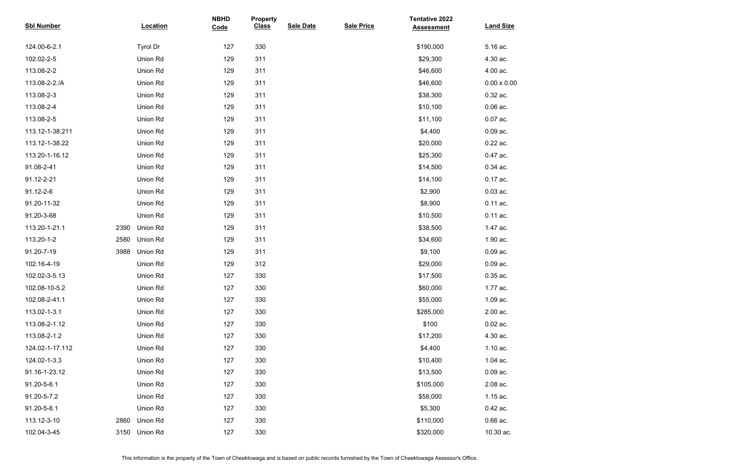| <b>Sbl Number</b> |      | Location        | <b>NBHD</b><br>Code | <b>Property</b><br><b>Class</b> | <b>Sale Date</b> | <b>Sale Price</b> | <b>Tentative 2022</b><br><b>Assessment</b> | <b>Land Size</b>   |
|-------------------|------|-----------------|---------------------|---------------------------------|------------------|-------------------|--------------------------------------------|--------------------|
| 124.00-6-2.1      |      | Tyrol Dr        | 127                 | 330                             |                  |                   | \$190,000                                  | 5.16 ac.           |
| 102.02-2-5        |      | Union Rd        | 129                 | 311                             |                  |                   | \$29,300                                   | 4.30 ac.           |
| 113.08-2-2        |      | Union Rd        | 129                 | 311                             |                  |                   | \$46,600                                   | 4.00 ac.           |
| 113.08-2-2./A     |      | Union Rd        | 129                 | 311                             |                  |                   | \$46,600                                   | $0.00 \times 0.00$ |
| 113.08-2-3        |      | Union Rd        | 129                 | 311                             |                  |                   | \$38,300                                   | 0.32 ac.           |
| 113.08-2-4        |      | Union Rd        | 129                 | 311                             |                  |                   | \$10,100                                   | $0.06$ ac.         |
| 113.08-2-5        |      | Union Rd        | 129                 | 311                             |                  |                   | \$11,100                                   | $0.07$ ac.         |
| 113.12-1-38.211   |      | Union Rd        | 129                 | 311                             |                  |                   | \$4,400                                    | $0.09$ ac.         |
| 113.12-1-38.22    |      | Union Rd        | 129                 | 311                             |                  |                   | \$20,000                                   | 0.22 ac.           |
| 113.20-1-16.12    |      | Union Rd        | 129                 | 311                             |                  |                   | \$25,300                                   | 0.47 ac.           |
| 91.08-2-41        |      | Union Rd        | 129                 | 311                             |                  |                   | \$14,500                                   | 0.34 ac.           |
| 91.12-2-21        |      | Union Rd        | 129                 | 311                             |                  |                   | \$14,100                                   | 0.17 ac.           |
| 91.12-2-6         |      | Union Rd        | 129                 | 311                             |                  |                   | \$2,900                                    | $0.03$ ac.         |
| 91.20-11-32       |      | Union Rd        | 129                 | 311                             |                  |                   | \$8,900                                    | $0.11$ ac.         |
| 91.20-3-68        |      | Union Rd        | 129                 | 311                             |                  |                   | \$10,500                                   | $0.11$ ac.         |
| 113.20-1-21.1     | 2390 | <b>Union Rd</b> | 129                 | 311                             |                  |                   | \$38,500                                   | 1.47 ac.           |
| 113.20-1-2        | 2580 | Union Rd        | 129                 | 311                             |                  |                   | \$34,600                                   | 1.90 ac.           |
| 91.20-7-19        | 3988 | Union Rd        | 129                 | 311                             |                  |                   | \$9,100                                    | $0.09$ ac.         |
| 102.16-4-19       |      | Union Rd        | 129                 | 312                             |                  |                   | \$29,000                                   | $0.09$ ac.         |
| 102.02-3-5.13     |      | Union Rd        | 127                 | 330                             |                  |                   | \$17,500                                   | 0.35 ac.           |
| 102.08-10-5.2     |      | Union Rd        | 127                 | 330                             |                  |                   | \$60,000                                   | 1.77 ac.           |
| 102.08-2-41.1     |      | Union Rd        | 127                 | 330                             |                  |                   | \$55,000                                   | 1.09 ac.           |
| 113.02-1-3.1      |      | Union Rd        | 127                 | 330                             |                  |                   | \$285,000                                  | 2.00 ac.           |
| 113.08-2-1.12     |      | Union Rd        | 127                 | 330                             |                  |                   | \$100                                      | $0.02$ ac.         |
| 113.08-2-1.2      |      | Union Rd        | 127                 | 330                             |                  |                   | \$17,200                                   | 4.30 ac.           |
| 124.02-1-17.112   |      | Union Rd        | 127                 | 330                             |                  |                   | \$4,400                                    | 1.10 ac.           |
| 124.02-1-3.3      |      | Union Rd        | 127                 | 330                             |                  |                   | \$10,400                                   | 1.04 ac.           |
| 91.16-1-23.12     |      | Union Rd        | 127                 | 330                             |                  |                   | \$13,500                                   | $0.09$ ac.         |
| 91.20-5-6.1       |      | Union Rd        | 127                 | 330                             |                  |                   | \$105,000                                  | 2.08 ac.           |
| 91.20-5-7.2       |      | Union Rd        | 127                 | 330                             |                  |                   | \$58,000                                   | 1.15 ac.           |
| 91.20-5-8.1       |      | Union Rd        | 127                 | 330                             |                  |                   | \$5,300                                    | 0.42 ac.           |
| 113.12-3-10       | 2860 | Union Rd        | 127                 | 330                             |                  |                   | \$110,000                                  | $0.66$ ac.         |
| 102.04-3-45       | 3150 | Union Rd        | 127                 | 330                             |                  |                   | \$320,000                                  | 10.30 ac.          |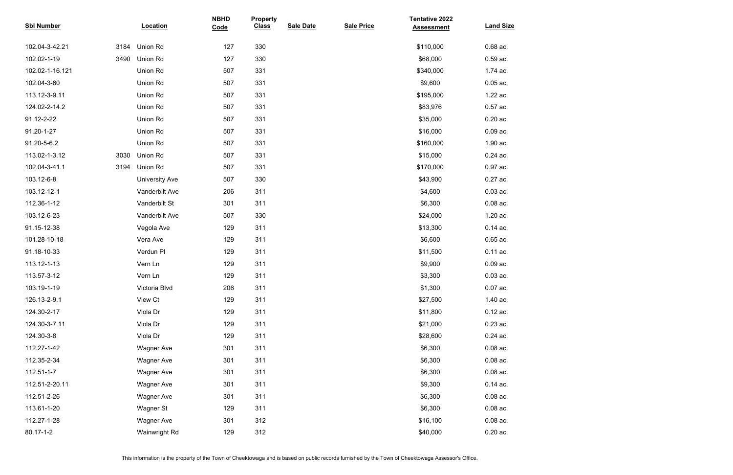| <b>Sbl Number</b> |      | Location              | <b>NBHD</b><br>Code | <b>Property</b><br><b>Class</b> | <b>Sale Date</b> | <b>Sale Price</b> | <b>Tentative 2022</b><br><b>Assessment</b> | <b>Land Size</b> |
|-------------------|------|-----------------------|---------------------|---------------------------------|------------------|-------------------|--------------------------------------------|------------------|
| 102.04-3-42.21    | 3184 | Union Rd              | 127                 | 330                             |                  |                   | \$110,000                                  | 0.68 ac.         |
| 102.02-1-19       | 3490 | Union Rd              | 127                 | 330                             |                  |                   | \$68,000                                   | $0.59$ ac.       |
| 102.02-1-16.121   |      | Union Rd              | 507                 | 331                             |                  |                   | \$340,000                                  | 1.74 ac.         |
| 102.04-3-60       |      | Union Rd              | 507                 | 331                             |                  |                   | \$9,600                                    | $0.05$ ac.       |
| 113.12-3-9.11     |      | Union Rd              | 507                 | 331                             |                  |                   | \$195,000                                  | 1.22 ac.         |
| 124.02-2-14.2     |      | Union Rd              | 507                 | 331                             |                  |                   | \$83,976                                   | $0.57$ ac.       |
| 91.12-2-22        |      | Union Rd              | 507                 | 331                             |                  |                   | \$35,000                                   | $0.20$ ac.       |
| 91.20-1-27        |      | Union Rd              | 507                 | 331                             |                  |                   | \$16,000                                   | $0.09$ ac.       |
| 91.20-5-6.2       |      | Union Rd              | 507                 | 331                             |                  |                   | \$160,000                                  | 1.90 ac.         |
| 113.02-1-3.12     | 3030 | Union Rd              | 507                 | 331                             |                  |                   | \$15,000                                   | 0.24 ac.         |
| 102.04-3-41.1     | 3194 | Union Rd              | 507                 | 331                             |                  |                   | \$170,000                                  | 0.97 ac.         |
| 103.12-6-8        |      | <b>University Ave</b> | 507                 | 330                             |                  |                   | \$43,900                                   | 0.27 ac.         |
| 103.12-12-1       |      | Vanderbilt Ave        | 206                 | 311                             |                  |                   | \$4,600                                    | $0.03$ ac.       |
| 112.36-1-12       |      | Vanderbilt St         | 301                 | 311                             |                  |                   | \$6,300                                    | $0.08$ ac.       |
| 103.12-6-23       |      | Vanderbilt Ave        | 507                 | 330                             |                  |                   | \$24,000                                   | 1.20 ac.         |
| 91.15-12-38       |      | Vegola Ave            | 129                 | 311                             |                  |                   | \$13,300                                   | $0.14$ ac.       |
| 101.28-10-18      |      | Vera Ave              | 129                 | 311                             |                  |                   | \$6,600                                    | $0.65$ ac.       |
| 91.18-10-33       |      | Verdun PI             | 129                 | 311                             |                  |                   | \$11,500                                   | $0.11$ ac.       |
| 113.12-1-13       |      | Vern Ln               | 129                 | 311                             |                  |                   | \$9,900                                    | $0.09$ ac.       |
| 113.57-3-12       |      | Vern Ln               | 129                 | 311                             |                  |                   | \$3,300                                    | $0.03$ ac.       |
| 103.19-1-19       |      | Victoria Blvd         | 206                 | 311                             |                  |                   | \$1,300                                    | $0.07$ ac.       |
| 126.13-2-9.1      |      | View Ct               | 129                 | 311                             |                  |                   | \$27,500                                   | 1.40 ac.         |
| 124.30-2-17       |      | Viola Dr              | 129                 | 311                             |                  |                   | \$11,800                                   | $0.12$ ac.       |
| 124.30-3-7.11     |      | Viola Dr              | 129                 | 311                             |                  |                   | \$21,000                                   | $0.23$ ac.       |
| 124.30-3-8        |      | Viola Dr              | 129                 | 311                             |                  |                   | \$28,600                                   | $0.24$ ac.       |
| 112.27-1-42       |      | <b>Wagner Ave</b>     | 301                 | 311                             |                  |                   | \$6,300                                    | $0.08$ ac.       |
| 112.35-2-34       |      | <b>Wagner Ave</b>     | 301                 | 311                             |                  |                   | \$6,300                                    | $0.08$ ac.       |
| 112.51-1-7        |      | <b>Wagner Ave</b>     | 301                 | 311                             |                  |                   | \$6,300                                    | $0.08$ ac.       |
| 112.51-2-20.11    |      | <b>Wagner Ave</b>     | 301                 | 311                             |                  |                   | \$9,300                                    | $0.14$ ac.       |
| 112.51-2-26       |      | <b>Wagner Ave</b>     | 301                 | 311                             |                  |                   | \$6,300                                    | $0.08$ ac.       |
| 113.61-1-20       |      | Wagner St             | 129                 | 311                             |                  |                   | \$6,300                                    | $0.08$ ac.       |
| 112.27-1-28       |      | <b>Wagner Ave</b>     | 301                 | 312                             |                  |                   | \$16,100                                   | $0.08$ ac.       |
| 80.17-1-2         |      | Wainwright Rd         | 129                 | 312                             |                  |                   | \$40,000                                   | $0.20$ ac.       |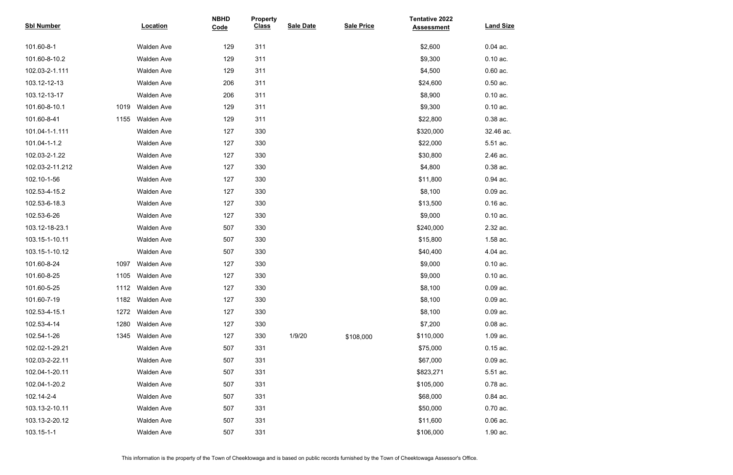| <b>Sbl Number</b> |      | <b>Location</b>   | <b>NBHD</b><br>Code | <b>Property</b><br><b>Class</b> | <b>Sale Date</b> | <b>Sale Price</b> | <b>Tentative 2022</b><br><b>Assessment</b> | <b>Land Size</b> |
|-------------------|------|-------------------|---------------------|---------------------------------|------------------|-------------------|--------------------------------------------|------------------|
|                   |      |                   |                     |                                 |                  |                   |                                            |                  |
| 101.60-8-1        |      | <b>Walden Ave</b> | 129                 | 311                             |                  |                   | \$2,600                                    | $0.04$ ac.       |
| 101.60-8-10.2     |      | <b>Walden Ave</b> | 129                 | 311                             |                  |                   | \$9,300                                    | $0.10$ ac.       |
| 102.03-2-1.111    |      | <b>Walden Ave</b> | 129                 | 311                             |                  |                   | \$4,500                                    | $0.60$ ac.       |
| 103.12-12-13      |      | <b>Walden Ave</b> | 206                 | 311                             |                  |                   | \$24,600                                   | $0.50$ ac.       |
| 103.12-13-17      |      | <b>Walden Ave</b> | 206                 | 311                             |                  |                   | \$8,900                                    | $0.10$ ac.       |
| 101.60-8-10.1     | 1019 | <b>Walden Ave</b> | 129                 | 311                             |                  |                   | \$9,300                                    | $0.10$ ac.       |
| 101.60-8-41       | 1155 | <b>Walden Ave</b> | 129                 | 311                             |                  |                   | \$22,800                                   | 0.38 ac.         |
| 101.04-1-1.111    |      | <b>Walden Ave</b> | 127                 | 330                             |                  |                   | \$320,000                                  | 32.46 ac.        |
| 101.04-1-1.2      |      | <b>Walden Ave</b> | 127                 | 330                             |                  |                   | \$22,000                                   | 5.51 ac.         |
| 102.03-2-1.22     |      | <b>Walden Ave</b> | 127                 | 330                             |                  |                   | \$30,800                                   | 2.46 ac.         |
| 102.03-2-11.212   |      | <b>Walden Ave</b> | 127                 | 330                             |                  |                   | \$4,800                                    | 0.38 ac.         |
| 102.10-1-56       |      | <b>Walden Ave</b> | 127                 | 330                             |                  |                   | \$11,800                                   | 0.94 ac.         |
| 102.53-4-15.2     |      | Walden Ave        | 127                 | 330                             |                  |                   | \$8,100                                    | $0.09$ ac.       |
| 102.53-6-18.3     |      | <b>Walden Ave</b> | 127                 | 330                             |                  |                   | \$13,500                                   | $0.16$ ac.       |
| 102.53-6-26       |      | <b>Walden Ave</b> | 127                 | 330                             |                  |                   | \$9,000                                    | $0.10$ ac.       |
| 103.12-18-23.1    |      | <b>Walden Ave</b> | 507                 | 330                             |                  |                   | \$240,000                                  | 2.32 ac.         |
| 103.15-1-10.11    |      | <b>Walden Ave</b> | 507                 | 330                             |                  |                   | \$15,800                                   | 1.58 ac.         |
| 103.15-1-10.12    |      | <b>Walden Ave</b> | 507                 | 330                             |                  |                   | \$40,400                                   | 4.04 ac.         |
| 101.60-8-24       | 1097 | <b>Walden Ave</b> | 127                 | 330                             |                  |                   | \$9,000                                    | $0.10$ ac.       |
| 101.60-8-25       | 1105 | <b>Walden Ave</b> | 127                 | 330                             |                  |                   | \$9,000                                    | $0.10$ ac.       |
| 101.60-5-25       | 1112 | <b>Walden Ave</b> | 127                 | 330                             |                  |                   | \$8,100                                    | $0.09$ ac.       |
| 101.60-7-19       | 1182 | <b>Walden Ave</b> | 127                 | 330                             |                  |                   | \$8,100                                    | $0.09$ ac.       |
| 102.53-4-15.1     | 1272 | <b>Walden Ave</b> | 127                 | 330                             |                  |                   | \$8,100                                    | $0.09$ ac.       |
| 102.53-4-14       | 1280 | <b>Walden Ave</b> | 127                 | 330                             |                  |                   | \$7,200                                    | $0.08$ ac.       |
| 102.54-1-26       | 1345 | <b>Walden Ave</b> | 127                 | 330                             | 1/9/20           | \$108,000         | \$110,000                                  | 1.09 ac.         |
| 102.02-1-29.21    |      | <b>Walden Ave</b> | 507                 | 331                             |                  |                   | \$75,000                                   | $0.15$ ac.       |
| 102.03-2-22.11    |      | <b>Walden Ave</b> | 507                 | 331                             |                  |                   | \$67,000                                   | $0.09$ ac.       |
| 102.04-1-20.11    |      | <b>Walden Ave</b> | 507                 | 331                             |                  |                   | \$823,271                                  | 5.51 ac.         |
| 102.04-1-20.2     |      | <b>Walden Ave</b> | 507                 | 331                             |                  |                   | \$105,000                                  | 0.78 ac.         |
| 102.14-2-4        |      | <b>Walden Ave</b> | 507                 | 331                             |                  |                   | \$68,000                                   | 0.84 ac.         |
| 103.13-2-10.11    |      | <b>Walden Ave</b> | 507                 | 331                             |                  |                   | \$50,000                                   | $0.70$ ac.       |
| 103.13-2-20.12    |      | <b>Walden Ave</b> | 507                 | 331                             |                  |                   | \$11,600                                   | $0.06$ ac.       |
| 103.15-1-1        |      | <b>Walden Ave</b> | 507                 | 331                             |                  |                   | \$106,000                                  | 1.90 ac.         |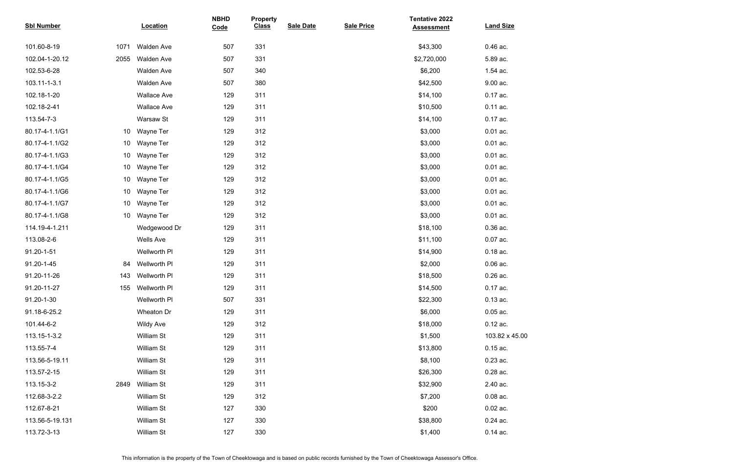| <b>Sbl Number</b> |                 | <b>Location</b>    | <b>NBHD</b><br>Code | <b>Property</b><br><b>Class</b> | <b>Sale Date</b> | <b>Sale Price</b> | <b>Tentative 2022</b><br><b>Assessment</b> | <b>Land Size</b> |
|-------------------|-----------------|--------------------|---------------------|---------------------------------|------------------|-------------------|--------------------------------------------|------------------|
| 101.60-8-19       | 1071            | <b>Walden Ave</b>  | 507                 | 331                             |                  |                   | \$43,300                                   | 0.46 ac.         |
| 102.04-1-20.12    | 2055            | <b>Walden Ave</b>  | 507                 | 331                             |                  |                   | \$2,720,000                                | 5.89 ac.         |
| 102.53-6-28       |                 | Walden Ave         | 507                 | 340                             |                  |                   | \$6,200                                    | 1.54 ac.         |
| 103.11-1-3.1      |                 | Walden Ave         | 507                 | 380                             |                  |                   | \$42,500                                   | 9.00 ac.         |
| 102.18-1-20       |                 | <b>Wallace Ave</b> | 129                 | 311                             |                  |                   | \$14,100                                   | 0.17 ac.         |
| 102.18-2-41       |                 | <b>Wallace Ave</b> | 129                 | 311                             |                  |                   | \$10,500                                   | 0.11 ac.         |
| 113.54-7-3        |                 | Warsaw St          | 129                 | 311                             |                  |                   | \$14,100                                   | 0.17 ac.         |
| 80.17-4-1.1/G1    | 10              | Wayne Ter          | 129                 | 312                             |                  |                   | \$3,000                                    | $0.01$ ac.       |
| 80.17-4-1.1/G2    | 10 <sup>°</sup> | Wayne Ter          | 129                 | 312                             |                  |                   | \$3,000                                    | $0.01$ ac.       |
| 80.17-4-1.1/G3    | 10 <sup>°</sup> | Wayne Ter          | 129                 | 312                             |                  |                   | \$3,000                                    | $0.01$ ac.       |
| 80.17-4-1.1/G4    | 10 <sup>°</sup> | Wayne Ter          | 129                 | 312                             |                  |                   | \$3,000                                    | $0.01$ ac.       |
| 80.17-4-1.1/G5    | 10 <sup>°</sup> | Wayne Ter          | 129                 | 312                             |                  |                   | \$3,000                                    | $0.01$ ac.       |
| 80.17-4-1.1/G6    | 10 <sup>°</sup> | Wayne Ter          | 129                 | 312                             |                  |                   | \$3,000                                    | $0.01$ ac.       |
| 80.17-4-1.1/G7    | 10 <sup>°</sup> | Wayne Ter          | 129                 | 312                             |                  |                   | \$3,000                                    | $0.01$ ac.       |
| 80.17-4-1.1/G8    | 10 <sup>°</sup> | Wayne Ter          | 129                 | 312                             |                  |                   | \$3,000                                    | $0.01$ ac.       |
| 114.19-4-1.211    |                 | Wedgewood Dr       | 129                 | 311                             |                  |                   | \$18,100                                   | 0.36 ac.         |
| 113.08-2-6        |                 | <b>Wells Ave</b>   | 129                 | 311                             |                  |                   | \$11,100                                   | 0.07 ac.         |
| 91.20-1-51        |                 | Wellworth PI       | 129                 | 311                             |                  |                   | \$14,900                                   | $0.18$ ac.       |
| 91.20-1-45        | 84              | Wellworth PI       | 129                 | 311                             |                  |                   | \$2,000                                    | $0.06$ ac.       |
| 91.20-11-26       | 143             | Wellworth PI       | 129                 | 311                             |                  |                   | \$18,500                                   | 0.26 ac.         |
| 91.20-11-27       | 155             | Wellworth PI       | 129                 | 311                             |                  |                   | \$14,500                                   | 0.17 ac.         |
| 91.20-1-30        |                 | Wellworth PI       | 507                 | 331                             |                  |                   | \$22,300                                   | $0.13$ ac.       |
| 91.18-6-25.2      |                 | Wheaton Dr         | 129                 | 311                             |                  |                   | \$6,000                                    | $0.05$ ac.       |
| 101.44-6-2        |                 | <b>Wildy Ave</b>   | 129                 | 312                             |                  |                   | \$18,000                                   | $0.12$ ac.       |
| 113.15-1-3.2      |                 | <b>William St</b>  | 129                 | 311                             |                  |                   | \$1,500                                    | 103.82 x 45.00   |
| 113.55-7-4        |                 | William St         | 129                 | 311                             |                  |                   | \$13,800                                   | $0.15$ ac.       |
| 113.56-5-19.11    |                 | William St         | 129                 | 311                             |                  |                   | \$8,100                                    | $0.23$ ac.       |
| 113.57-2-15       |                 | William St         | 129                 | 311                             |                  |                   | \$26,300                                   | 0.28 ac.         |
| 113.15-3-2        | 2849            | <b>William St</b>  | 129                 | 311                             |                  |                   | \$32,900                                   | 2.40 ac.         |
| 112.68-3-2.2      |                 | William St         | 129                 | 312                             |                  |                   | \$7,200                                    | $0.08$ ac.       |
| 112.67-8-21       |                 | William St         | 127                 | 330                             |                  |                   | \$200                                      | $0.02$ ac.       |
| 113.56-5-19.131   |                 | William St         | 127                 | 330                             |                  |                   | \$38,800                                   | 0.24 ac.         |
| 113.72-3-13       |                 | William St         | 127                 | 330                             |                  |                   | \$1,400                                    | $0.14$ ac.       |